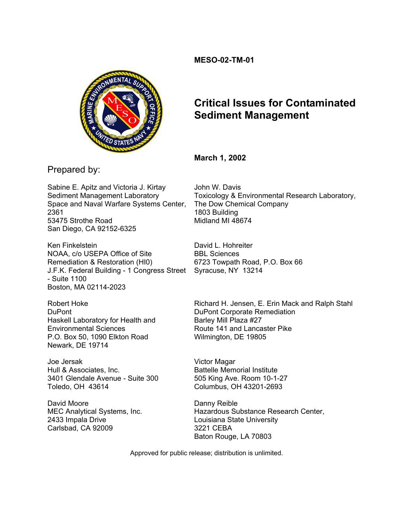# **MESO-02-TM-01**



# **Critical Issues for Contaminated Sediment Management**

# **March 1, 2002**

Prepared by:

Sabine E. Apitz and Victoria J. Kirtay Sediment Management Laboratory Space and Naval Warfare Systems Center, 2361 53475 Strothe Road San Diego, CA 92152-6325

Ken Finkelstein NOAA, c/o USEPA Office of Site Remediation & Restoration (HI0) J.F.K. Federal Building - 1 Congress Street Syracuse, NY 13214 - Suite 1100 Boston, MA 02114-2023

Robert Hoke DuPont Haskell Laboratory for Health and Environmental Sciences P.O. Box 50, 1090 Elkton Road Newark, DE 19714

Joe Jersak Hull & Associates, Inc. 3401 Glendale Avenue - Suite 300 Toledo, OH 43614

David Moore MEC Analytical Systems, Inc. 2433 Impala Drive Carlsbad, CA 92009

John W. Davis Toxicology & Environmental Research Laboratory, The Dow Chemical Company 1803 Building Midland MI 48674

David L. Hohreiter BBL Sciences 6723 Towpath Road, P.O. Box 66

Richard H. Jensen, E. Erin Mack and Ralph Stahl DuPont Corporate Remediation Barley Mill Plaza #27 Route 141 and Lancaster Pike Wilmington, DE 19805

Victor Magar Battelle Memorial Institute 505 King Ave. Room 10-1-27 Columbus, OH 43201-2693

Danny Reible Hazardous Substance Research Center, Louisiana State University 3221 CEBA Baton Rouge, LA 70803

Approved for public release; distribution is unlimited.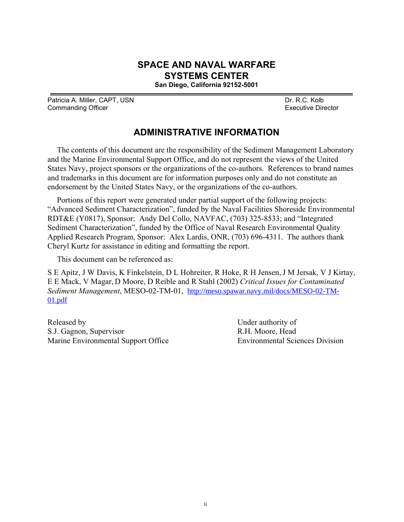# **SPACE AND NAVAL WARFARE SYSTEMS CENTER**

**San Diego, California 92152-5001** 

Patricia A. Miller, CAPT, USN DR. R.C. Kolb Commanding Officer **Executive Director** Executive Director

# **ADMINISTRATIVE INFORMATION**

The contents of this document are the responsibility of the Sediment Management Laboratory and the Marine Environmental Support Office, and do not represent the views of the United States Navy, project sponsors or the organizations of the co-authors. References to brand names and trademarks in this document are for information purposes only and do not constitute an endorsement by the United States Navy, or the organizations of the co-authors.

Portions of this report were generated under partial support of the following projects: "Advanced Sediment Characterization", funded by the Naval Facilities Shoreside Environmental RDT&E (Y0817), Sponsor: Andy Del Collo, NAVFAC, (703) 325-8533; and "Integrated Sediment Characterization", funded by the Office of Naval Research Environmental Quality Applied Research Program, Sponsor: Alex Lardis, ONR, (703) 696-4311. The authors thank Cheryl Kurtz for assistance in editing and formatting the report.

This document can be referenced as:

S E Apitz, J W Davis, K Finkelstein, D L Hohreiter, R Hoke, R H Jensen,J M Jersak, V J Kirtay, E E Mack, V Magar, D Moore, D Reible and R Stahl (2002) *Critical Issues for Contaminated Sediment Management*, MESO-02-TM-01, http://meso.spawar.navy.mil/docs/MESO-02-TM-01.pdf

Released by Under authority of S.J. Gagnon, Supervisor R.H. Moore, Head Marine Environmental Support Office Environmental Sciences Division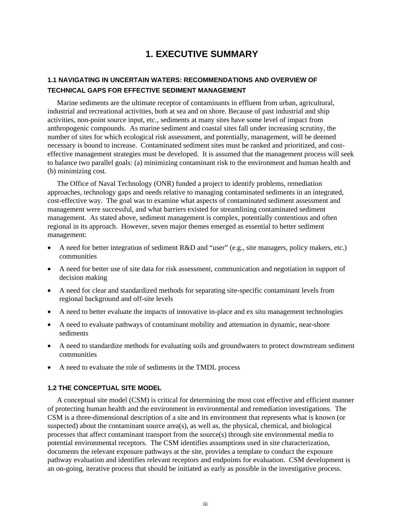# **1. EXECUTIVE SUMMARY**

# <span id="page-2-0"></span>**1.1 NAVIGATING IN UNCERTAIN WATERS: RECOMMENDATIONS AND OVERVIEW OF TECHNICAL GAPS FOR EFFECTIVE SEDIMENT MANAGEMENT**

Marine sediments are the ultimate receptor of contaminants in effluent from urban, agricultural, industrial and recreational activities, both at sea and on shore. Because of past industrial and ship activities, non-point source input, etc., sediments at many sites have some level of impact from anthropogenic compounds. As marine sediment and coastal sites fall under increasing scrutiny, the number of sites for which ecological risk assessment, and potentially, management, will be deemed necessary is bound to increase. Contaminated sediment sites must be ranked and prioritized, and costeffective management strategies must be developed. It is assumed that the management process will seek to balance two parallel goals: (a) minimizing contaminant risk to the environment and human health and (b) minimizing cost.

The Office of Naval Technology (ONR) funded a project to identify problems, remediation approaches, technology gaps and needs relative to managing contaminated sediments in an integrated, cost-effective way. The goal was to examine what aspects of contaminated sediment assessment and management were successful, and what barriers existed for streamlining contaminated sediment management. As stated above, sediment management is complex, potentially contentious and often regional in its approach. However, seven major themes emerged as essential to better sediment management:

- A need for better integration of sediment R&D and "user" (e.g., site managers, policy makers, etc.) communities
- A need for better use of site data for risk assessment, communication and negotiation in support of decision making
- A need for clear and standardized methods for separating site-specific contaminant levels from regional background and off-site levels
- A need to better evaluate the impacts of innovative in-place and ex situ management technologies
- A need to evaluate pathways of contaminant mobility and attenuation in dynamic, near-shore sediments
- A need to standardize methods for evaluating soils and groundwaters to protect downstream sediment communities
- A need to evaluate the role of sediments in the TMDL process

# **1.2 THE CONCEPTUAL SITE MODEL**

A conceptual site model (CSM) is critical for determining the most cost effective and efficient manner of protecting human health and the environment in environmental and remediation investigations. The CSM is a three-dimensional description of a site and its environment that represents what is known (or suspected) about the contaminant source area(s), as well as, the physical, chemical, and biological processes that affect contaminant transport from the source(s) through site environmental media to potential environmental receptors. The CSM identifies assumptions used in site characterization, documents the relevant exposure pathways at the site, provides a template to conduct the exposure pathway evaluation and identifies relevant receptors and endpoints for evaluation. CSM development is an on-going, iterative process that should be initiated as early as possible in the investigative process.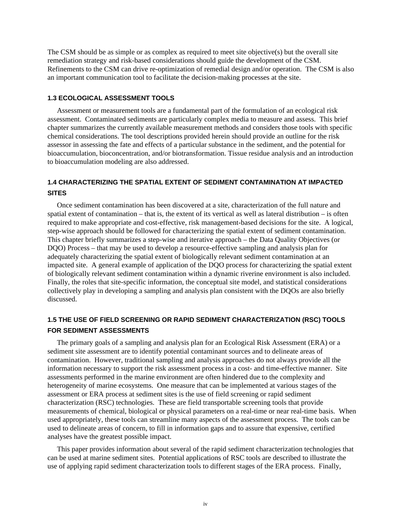<span id="page-3-0"></span>The CSM should be as simple or as complex as required to meet site objective(s) but the overall site remediation strategy and risk-based considerations should guide the development of the CSM. Refinements to the CSM can drive re-optimization of remedial design and/or operation. The CSM is also an important communication tool to facilitate the decision-making processes at the site.

# **1.3 ECOLOGICAL ASSESSMENT TOOLS**

Assessment or measurement tools are a fundamental part of the formulation of an ecological risk assessment. Contaminated sediments are particularly complex media to measure and assess. This brief chapter summarizes the currently available measurement methods and considers those tools with specific chemical considerations. The tool descriptions provided herein should provide an outline for the risk assessor in assessing the fate and effects of a particular substance in the sediment, and the potential for bioaccumulation, bioconcentration, and/or biotransformation. Tissue residue analysis and an introduction to bioaccumulation modeling are also addressed.

# **1.4 CHARACTERIZING THE SPATIAL EXTENT OF SEDIMENT CONTAMINATION AT IMPACTED SITES**

Once sediment contamination has been discovered at a site, characterization of the full nature and spatial extent of contamination – that is, the extent of its vertical as well as lateral distribution – is often required to make appropriate and cost-effective, risk management-based decisions for the site. A logical, step-wise approach should be followed for characterizing the spatial extent of sediment contamination. This chapter briefly summarizes a step-wise and iterative approach – the Data Quality Objectives (or DQO) Process – that may be used to develop a resource-effective sampling and analysis plan for adequately characterizing the spatial extent of biologically relevant sediment contamination at an impacted site. A general example of application of the DQO process for characterizing the spatial extent of biologically relevant sediment contamination within a dynamic riverine environment is also included. Finally, the roles that site-specific information, the conceptual site model, and statistical considerations collectively play in developing a sampling and analysis plan consistent with the DQOs are also briefly discussed.

# **1.5 THE USE OF FIELD SCREENING OR RAPID SEDIMENT CHARACTERIZATION (RSC) TOOLS FOR SEDIMENT ASSESSMENTS**

The primary goals of a sampling and analysis plan for an Ecological Risk Assessment (ERA) or a sediment site assessment are to identify potential contaminant sources and to delineate areas of contamination. However, traditional sampling and analysis approaches do not always provide all the information necessary to support the risk assessment process in a cost- and time-effective manner. Site assessments performed in the marine environment are often hindered due to the complexity and heterogeneity of marine ecosystems. One measure that can be implemented at various stages of the assessment or ERA process at sediment sites is the use of field screening or rapid sediment characterization (RSC) technologies. These are field transportable screening tools that provide measurements of chemical, biological or physical parameters on a real-time or near real-time basis. When used appropriately, these tools can streamline many aspects of the assessment process. The tools can be used to delineate areas of concern, to fill in information gaps and to assure that expensive, certified analyses have the greatest possible impact.

This paper provides information about several of the rapid sediment characterization technologies that can be used at marine sediment sites. Potential applications of RSC tools are described to illustrate the use of applying rapid sediment characterization tools to different stages of the ERA process. Finally,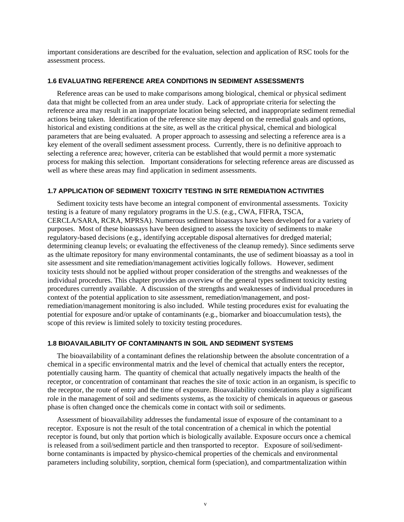<span id="page-4-0"></span>important considerations are described for the evaluation, selection and application of RSC tools for the assessment process.

# **1.6 EVALUATING REFERENCE AREA CONDITIONS IN SEDIMENT ASSESSMENTS**

Reference areas can be used to make comparisons among biological, chemical or physical sediment data that might be collected from an area under study. Lack of appropriate criteria for selecting the reference area may result in an inappropriate location being selected, and inappropriate sediment remedial actions being taken. Identification of the reference site may depend on the remedial goals and options, historical and existing conditions at the site, as well as the critical physical, chemical and biological parameters that are being evaluated. A proper approach to assessing and selecting a reference area is a key element of the overall sediment assessment process. Currently, there is no definitive approach to selecting a reference area; however, criteria can be established that would permit a more systematic process for making this selection. Important considerations for selecting reference areas are discussed as well as where these areas may find application in sediment assessments.

## **1.7 APPLICATION OF SEDIMENT TOXICITY TESTING IN SITE REMEDIATION ACTIVITIES**

Sediment toxicity tests have become an integral component of environmental assessments. Toxicity testing is a feature of many regulatory programs in the U.S. (e.g., CWA, FIFRA, TSCA, CERCLA/SARA, RCRA, MPRSA). Numerous sediment bioassays have been developed for a variety of purposes. Most of these bioassays have been designed to assess the toxicity of sediments to make regulatory-based decisions (e.g., identifying acceptable disposal alternatives for dredged material; determining cleanup levels; or evaluating the effectiveness of the cleanup remedy). Since sediments serve as the ultimate repository for many environmental contaminants, the use of sediment bioassay as a tool in site assessment and site remediation/management activities logically follows. However, sediment toxicity tests should not be applied without proper consideration of the strengths and weaknesses of the individual procedures. This chapter provides an overview of the general types sediment toxicity testing procedures currently available. A discussion of the strengths and weaknesses of individual procedures in context of the potential application to site assessment, remediation/management, and postremediation/management monitoring is also included. While testing procedures exist for evaluating the potential for exposure and/or uptake of contaminants (e.g., biomarker and bioaccumulation tests), the scope of this review is limited solely to toxicity testing procedures.

## **1.8 BIOAVAILABILITY OF CONTAMINANTS IN SOIL AND SEDIMENT SYSTEMS**

The bioavailability of a contaminant defines the relationship between the absolute concentration of a chemical in a specific environmental matrix and the level of chemical that actually enters the receptor, potentially causing harm. The quantity of chemical that actually negatively impacts the health of the receptor, or concentration of contaminant that reaches the site of toxic action in an organism, is specific to the receptor, the route of entry and the time of exposure. Bioavailability considerations play a significant role in the management of soil and sediments systems, as the toxicity of chemicals in aqueous or gaseous phase is often changed once the chemicals come in contact with soil or sediments.

Assessment of bioavailability addresses the fundamental issue of exposure of the contaminant to a receptor. Exposure is not the result of the total concentration of a chemical in which the potential receptor is found, but only that portion which is biologically available. Exposure occurs once a chemical is released from a soil/sediment particle and then transported to receptor. Exposure of soil/sedimentborne contaminants is impacted by physico-chemical properties of the chemicals and environmental parameters including solubility, sorption, chemical form (speciation), and compartmentalization within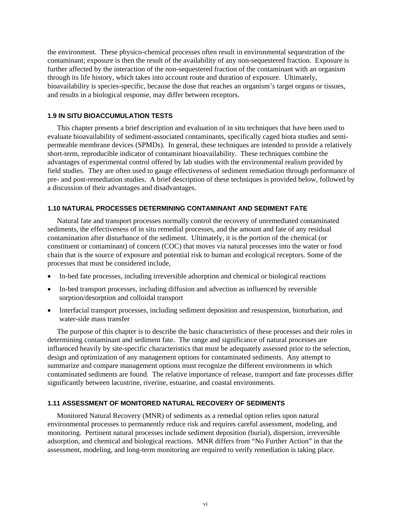<span id="page-5-0"></span>the environment. These physico-chemical processes often result in environmental sequestration of the contaminant; exposure is then the result of the availability of any non-sequestered fraction. Exposure is further affected by the interaction of the non-sequestered fraction of the contaminant with an organism through its life history, which takes into account route and duration of exposure. Ultimately, bioavailability is species-specific, because the dose that reaches an organism's target organs or tissues, and results in a biological response, may differ between receptors.

# **1.9 IN SITU BIOACCUMULATION TESTS**

This chapter presents a brief description and evaluation of in situ techniques that have been used to evaluate bioavailability of sediment-associated contaminants, specifically caged biota studies and semipermeable membrane devices (SPMDs). In general, these techniques are intended to provide a relatively short-term, reproducible indicator of contaminant bioavailability. These techniques combine the advantages of experimental control offered by lab studies with the environmental realism provided by field studies. They are often used to gauge effectiveness of sediment remediation through performance of pre- and post-remediation studies. A brief description of these techniques is provided below, followed by a discussion of their advantages and disadvantages.

# **1.10 NATURAL PROCESSES DETERMINING CONTAMINANT AND SEDIMENT FATE**

Natural fate and transport processes normally control the recovery of unremediated contaminated sediments, the effectiveness of in situ remedial processes, and the amount and fate of any residual contamination after disturbance of the sediment. Ultimately, it is the portion of the chemical (or constituent or contaminant) of concern (COC) that moves via natural processes into the water or food chain that is the source of exposure and potential risk to human and ecological receptors. Some of the processes that must be considered include,

- In-bed fate processes, including irreversible adsorption and chemical or biological reactions
- In-bed transport processes, including diffusion and advection as influenced by reversible sorption/desorption and colloidal transport
- Interfacial transport processes, including sediment deposition and resuspension, bioturbation, and water-side mass transfer

The purpose of this chapter is to describe the basic characteristics of these processes and their roles in determining contaminant and sediment fate. The range and significance of natural processes are influenced heavily by site-specific characteristics that must be adequately assessed prior to the selection, design and optimization of any management options for contaminated sediments. Any attempt to summarize and compare management options must recognize the different environments in which contaminated sediments are found. The relative importance of release, transport and fate processes differ significantly between lacustrine, riverine, estuarine, and coastal environments.

### **1.11 ASSESSMENT OF MONITORED NATURAL RECOVERY OF SEDIMENTS**

Monitored Natural Recovery (MNR) of sediments as a remedial option relies upon natural environmental processes to permanently reduce risk and requires careful assessment, modeling, and monitoring. Pertinent natural processes include sediment deposition (burial), dispersion, irreversible adsorption, and chemical and biological reactions. MNR differs from "No Further Action" in that the assessment, modeling, and long-term monitoring are required to verify remediation is taking place.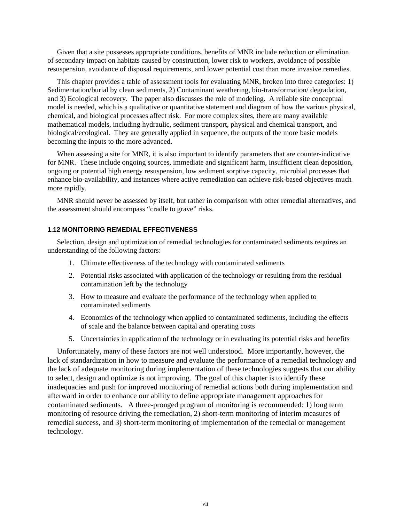<span id="page-6-0"></span>Given that a site possesses appropriate conditions, benefits of MNR include reduction or elimination of secondary impact on habitats caused by construction, lower risk to workers, avoidance of possible resuspension, avoidance of disposal requirements, and lower potential cost than more invasive remedies.

This chapter provides a table of assessment tools for evaluating MNR, broken into three categories: 1) Sedimentation/burial by clean sediments, 2) Contaminant weathering, bio-transformation/ degradation, and 3) Ecological recovery. The paper also discusses the role of modeling. A reliable site conceptual model is needed, which is a qualitative or quantitative statement and diagram of how the various physical, chemical, and biological processes affect risk. For more complex sites, there are many available mathematical models, including hydraulic, sediment transport, physical and chemical transport, and biological/ecological. They are generally applied in sequence, the outputs of the more basic models becoming the inputs to the more advanced.

When assessing a site for MNR, it is also important to identify parameters that are counter-indicative for MNR. These include ongoing sources, immediate and significant harm, insufficient clean deposition, ongoing or potential high energy resuspension, low sediment sorptive capacity, microbial processes that enhance bio-availability, and instances where active remediation can achieve risk-based objectives much more rapidly.

MNR should never be assessed by itself, but rather in comparison with other remedial alternatives, and the assessment should encompass "cradle to grave" risks.

## **1.12 MONITORING REMEDIAL EFFECTIVENESS**

Selection, design and optimization of remedial technologies for contaminated sediments requires an understanding of the following factors:

- 1. Ultimate effectiveness of the technology with contaminated sediments
- 2. Potential risks associated with application of the technology or resulting from the residual contamination left by the technology
- 3. How to measure and evaluate the performance of the technology when applied to contaminated sediments
- 4. Economics of the technology when applied to contaminated sediments, including the effects of scale and the balance between capital and operating costs
- 5. Uncertainties in application of the technology or in evaluating its potential risks and benefits

Unfortunately, many of these factors are not well understood. More importantly, however, the lack of standardization in how to measure and evaluate the performance of a remedial technology and the lack of adequate monitoring during implementation of these technologies suggests that our ability to select, design and optimize is not improving. The goal of this chapter is to identify these inadequacies and push for improved monitoring of remedial actions both during implementation and afterward in order to enhance our ability to define appropriate management approaches for contaminated sediments. A three-pronged program of monitoring is recommended: 1) long term monitoring of resource driving the remediation, 2) short-term monitoring of interim measures of remedial success, and 3) short-term monitoring of implementation of the remedial or management technology.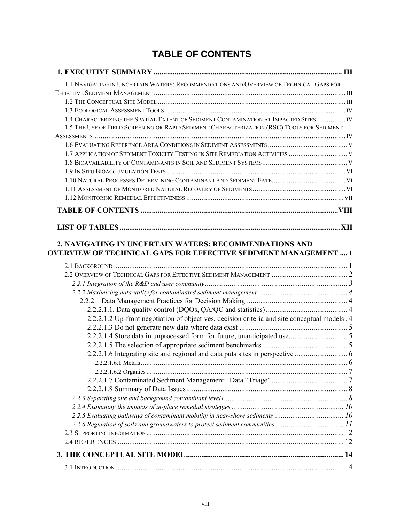# **TABLE OF CONTENTS**

<span id="page-7-0"></span>

| 1.1 NAVIGATING IN UNCERTAIN WATERS: RECOMMENDATIONS AND OVERVIEW OF TECHNICAL GAPS FOR                                                                                              |  |
|-------------------------------------------------------------------------------------------------------------------------------------------------------------------------------------|--|
|                                                                                                                                                                                     |  |
|                                                                                                                                                                                     |  |
|                                                                                                                                                                                     |  |
| 1.4 CHARACTERIZING THE SPATIAL EXTENT OF SEDIMENT CONTAMINATION AT IMPACTED SITES  IV<br>1.5 THE USE OF FIELD SCREENING OR RAPID SEDIMENT CHARACTERIZATION (RSC) TOOLS FOR SEDIMENT |  |
|                                                                                                                                                                                     |  |
|                                                                                                                                                                                     |  |
| 1.7 APPLICATION OF SEDIMENT TOXICITY TESTING IN SITE REMEDIATION ACTIVITIES  V                                                                                                      |  |
|                                                                                                                                                                                     |  |
|                                                                                                                                                                                     |  |
|                                                                                                                                                                                     |  |
|                                                                                                                                                                                     |  |
|                                                                                                                                                                                     |  |
|                                                                                                                                                                                     |  |
|                                                                                                                                                                                     |  |
|                                                                                                                                                                                     |  |
|                                                                                                                                                                                     |  |
|                                                                                                                                                                                     |  |
|                                                                                                                                                                                     |  |
|                                                                                                                                                                                     |  |
| 2.2.2.1.2 Up-front negotiation of objectives, decision criteria and site conceptual models . 4                                                                                      |  |
|                                                                                                                                                                                     |  |
|                                                                                                                                                                                     |  |
|                                                                                                                                                                                     |  |
|                                                                                                                                                                                     |  |
|                                                                                                                                                                                     |  |
|                                                                                                                                                                                     |  |
|                                                                                                                                                                                     |  |
|                                                                                                                                                                                     |  |
|                                                                                                                                                                                     |  |
|                                                                                                                                                                                     |  |
| 2.2.6 Regulation of soils and groundwaters to protect sediment communities 11                                                                                                       |  |
|                                                                                                                                                                                     |  |
|                                                                                                                                                                                     |  |
|                                                                                                                                                                                     |  |
|                                                                                                                                                                                     |  |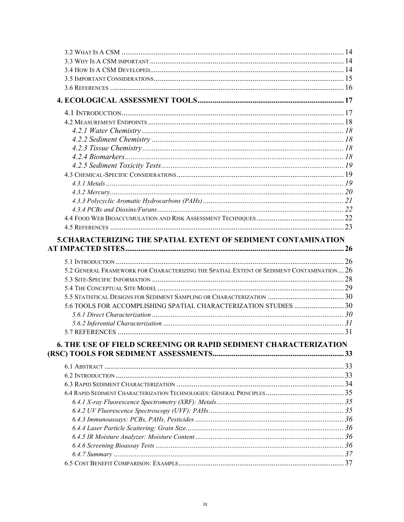| <b>5. CHARACTERIZING THE SPATIAL EXTENT OF SEDIMENT CONTAMINATION</b>                                                                                                                                                           |  |
|---------------------------------------------------------------------------------------------------------------------------------------------------------------------------------------------------------------------------------|--|
| 5.2 GENERAL FRAMEWORK FOR CHARACTERIZING THE SPATIAL EXTENT OF SEDIMENT CONTAMINATION 26<br>5.6 TOOLS FOR ACCOMPLISHING SPATIAL CHARACTERIZATION STUDIES 30<br>6. THE USE OF FIELD SCREENING OR RAPID SEDIMENT CHARACTERIZATION |  |
|                                                                                                                                                                                                                                 |  |
|                                                                                                                                                                                                                                 |  |
|                                                                                                                                                                                                                                 |  |
|                                                                                                                                                                                                                                 |  |
|                                                                                                                                                                                                                                 |  |
|                                                                                                                                                                                                                                 |  |
|                                                                                                                                                                                                                                 |  |
|                                                                                                                                                                                                                                 |  |
|                                                                                                                                                                                                                                 |  |
|                                                                                                                                                                                                                                 |  |
|                                                                                                                                                                                                                                 |  |
|                                                                                                                                                                                                                                 |  |
|                                                                                                                                                                                                                                 |  |
|                                                                                                                                                                                                                                 |  |
|                                                                                                                                                                                                                                 |  |
|                                                                                                                                                                                                                                 |  |
|                                                                                                                                                                                                                                 |  |
|                                                                                                                                                                                                                                 |  |
|                                                                                                                                                                                                                                 |  |
|                                                                                                                                                                                                                                 |  |
|                                                                                                                                                                                                                                 |  |
|                                                                                                                                                                                                                                 |  |
|                                                                                                                                                                                                                                 |  |
|                                                                                                                                                                                                                                 |  |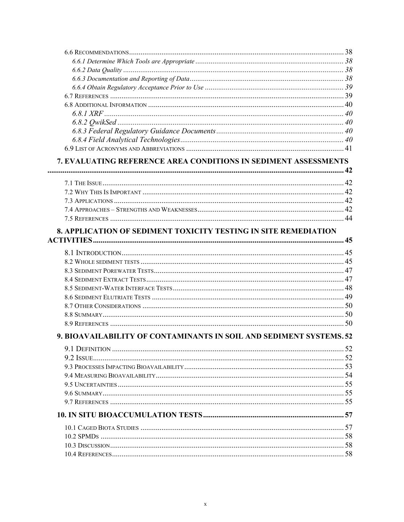| 7. EVALUATING REFERENCE AREA CONDITIONS IN SEDIMENT ASSESSMENTS        |    |
|------------------------------------------------------------------------|----|
|                                                                        |    |
|                                                                        |    |
|                                                                        |    |
|                                                                        |    |
|                                                                        |    |
|                                                                        |    |
| <b>8. APPLICATION OF SEDIMENT TOXICITY TESTING IN SITE REMEDIATION</b> |    |
|                                                                        |    |
|                                                                        |    |
|                                                                        |    |
|                                                                        |    |
|                                                                        |    |
|                                                                        |    |
|                                                                        |    |
|                                                                        |    |
|                                                                        |    |
| 9. BIOAVAILABILITY OF CONTAMINANTS IN SOIL AND SEDIMENT SYSTEMS. 52    |    |
|                                                                        |    |
|                                                                        |    |
|                                                                        |    |
|                                                                        |    |
|                                                                        |    |
|                                                                        |    |
|                                                                        |    |
|                                                                        |    |
|                                                                        |    |
|                                                                        |    |
|                                                                        |    |
|                                                                        | 58 |
|                                                                        |    |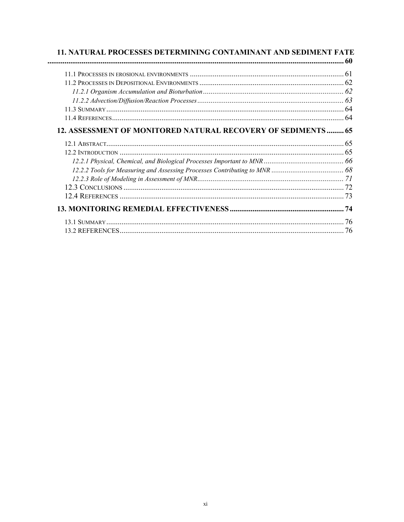| 11. NATURAL PROCESSES DETERMINING CONTAMINANT AND SEDIMENT FATE |     |
|-----------------------------------------------------------------|-----|
|                                                                 |     |
|                                                                 |     |
|                                                                 |     |
|                                                                 |     |
|                                                                 |     |
|                                                                 | 64  |
|                                                                 | 64  |
| 12. ASSESSMENT OF MONITORED NATURAL RECOVERY OF SEDIMENTS 65    |     |
|                                                                 | 65  |
|                                                                 | 65  |
|                                                                 |     |
|                                                                 |     |
|                                                                 |     |
|                                                                 |     |
|                                                                 | -73 |
|                                                                 |     |
|                                                                 | 76  |
|                                                                 | 76  |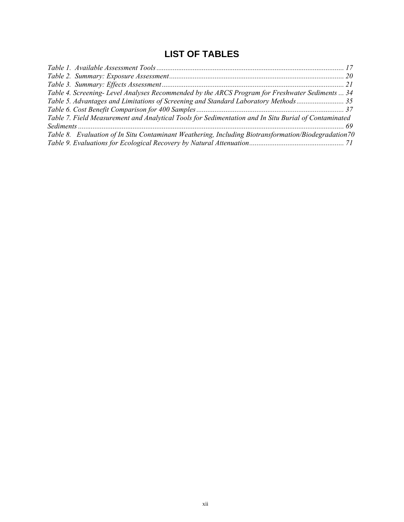# **LIST OF TABLES**

<span id="page-11-0"></span>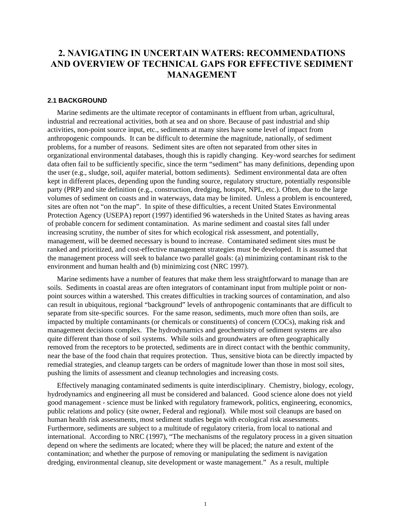# <span id="page-12-0"></span>**2. NAVIGATING IN UNCERTAIN WATERS: RECOMMENDATIONS AND OVERVIEW OF TECHNICAL GAPS FOR EFFECTIVE SEDIMENT MANAGEMENT**

#### **2.1 BACKGROUND**

Marine sediments are the ultimate receptor of contaminants in effluent from urban, agricultural, industrial and recreational activities, both at sea and on shore. Because of past industrial and ship activities, non-point source input, etc., sediments at many sites have some level of impact from anthropogenic compounds. It can be difficult to determine the magnitude, nationally, of sediment problems, for a number of reasons. Sediment sites are often not separated from other sites in organizational environmental databases, though this is rapidly changing. Key-word searches for sediment data often fail to be sufficiently specific, since the term "sediment" has many definitions, depending upon the user (e.g., sludge, soil, aquifer material, bottom sediments). Sediment environmental data are often kept in different places, depending upon the funding source, regulatory structure, potentially responsible party (PRP) and site definition (e.g., construction, dredging, hotspot, NPL, etc.). Often, due to the large volumes of sediment on coasts and in waterways, data may be limited. Unless a problem is encountered, sites are often not "on the map". In spite of these difficulties, a recent United States Environmental Protection Agency (USEPA) report (1997) identified 96 watersheds in the United States as having areas of probable concern for sediment contamination. As marine sediment and coastal sites fall under increasing scrutiny, the number of sites for which ecological risk assessment, and potentially, management, will be deemed necessary is bound to increase. Contaminated sediment sites must be ranked and prioritized, and cost-effective management strategies must be developed. It is assumed that the management process will seek to balance two parallel goals: (a) minimizing contaminant risk to the environment and human health and (b) minimizing cost (NRC 1997).

Marine sediments have a number of features that make them less straightforward to manage than are soils. Sediments in coastal areas are often integrators of contaminant input from multiple point or nonpoint sources within a watershed. This creates difficulties in tracking sources of contamination, and also can result in ubiquitous, regional "background" levels of anthropogenic contaminants that are difficult to separate from site-specific sources. For the same reason, sediments, much more often than soils, are impacted by multiple contaminants (or chemicals or constituents) of concern (COCs), making risk and management decisions complex. The hydrodynamics and geochemistry of sediment systems are also quite different than those of soil systems. While soils and groundwaters are often geographically removed from the receptors to be protected, sediments are in direct contact with the benthic community, near the base of the food chain that requires protection. Thus, sensitive biota can be directly impacted by remedial strategies, and cleanup targets can be orders of magnitude lower than those in most soil sites, pushing the limits of assessment and cleanup technologies and increasing costs.

Effectively managing contaminated sediments is quite interdisciplinary. Chemistry, biology, ecology, hydrodynamics and engineering all must be considered and balanced. Good science alone does not yield good management - science must be linked with regulatory framework, politics, engineering, economics, public relations and policy (site owner, Federal and regional). While most soil cleanups are based on human health risk assessments, most sediment studies begin with ecological risk assessments. Furthermore, sediments are subject to a multitude of regulatory criteria, from local to national and international. According to NRC (1997), "The mechanisms of the regulatory process in a given situation depend on where the sediments are located; where they will be placed; the nature and extent of the contamination; and whether the purpose of removing or manipulating the sediment is navigation dredging, environmental cleanup, site development or waste management." As a result, multiple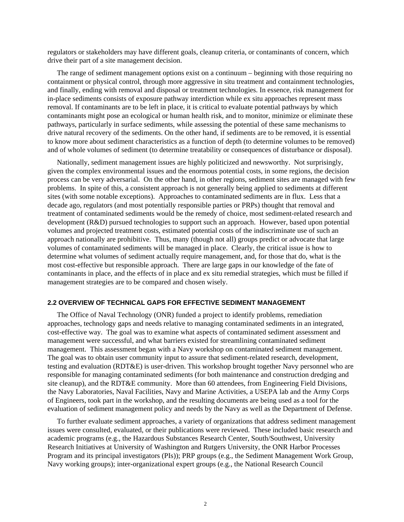<span id="page-13-0"></span>regulators or stakeholders may have different goals, cleanup criteria, or contaminants of concern, which drive their part of a site management decision.

The range of sediment management options exist on a continuum – beginning with those requiring no containment or physical control, through more aggressive in situ treatment and containment technologies, and finally, ending with removal and disposal or treatment technologies. In essence, risk management for in-place sediments consists of exposure pathway interdiction while ex situ approaches represent mass removal. If contaminants are to be left in place, it is critical to evaluate potential pathways by which contaminants might pose an ecological or human health risk, and to monitor, minimize or eliminate these pathways, particularly in surface sediments, while assessing the potential of these same mechanisms to drive natural recovery of the sediments. On the other hand, if sediments are to be removed, it is essential to know more about sediment characteristics as a function of depth (to determine volumes to be removed) and of whole volumes of sediment (to determine treatability or consequences of disturbance or disposal).

Nationally, sediment management issues are highly politicized and newsworthy. Not surprisingly, given the complex environmental issues and the enormous potential costs, in some regions, the decision process can be very adversarial. On the other hand, in other regions, sediment sites are managed with few problems. In spite of this, a consistent approach is not generally being applied to sediments at different sites (with some notable exceptions). Approaches to contaminated sediments are in flux. Less that a decade ago, regulators (and most potentially responsible parties or PRPs) thought that removal and treatment of contaminated sediments would be the remedy of choice, most sediment-related research and development (R&D) pursued technologies to support such an approach. However, based upon potential volumes and projected treatment costs, estimated potential costs of the indiscriminate use of such an approach nationally are prohibitive. Thus, many (though not all) groups predict or advocate that large volumes of contaminated sediments will be managed in place. Clearly, the critical issue is how to determine what volumes of sediment actually require management, and, for those that do, what is the most cost-effective but responsible approach. There are large gaps in our knowledge of the fate of contaminants in place, and the effects of in place and ex situ remedial strategies, which must be filled if management strategies are to be compared and chosen wisely.

#### **2.2 OVERVIEW OF TECHNICAL GAPS FOR EFFECTIVE SEDIMENT MANAGEMENT**

The Office of Naval Technology (ONR) funded a project to identify problems, remediation approaches, technology gaps and needs relative to managing contaminated sediments in an integrated, cost-effective way. The goal was to examine what aspects of contaminated sediment assessment and management were successful, and what barriers existed for streamlining contaminated sediment management. This assessment began with a Navy workshop on contaminated sediment management. The goal was to obtain user community input to assure that sediment-related research, development, testing and evaluation (RDT&E) is user-driven. This workshop brought together Navy personnel who are responsible for managing contaminated sediments (for both maintenance and construction dredging and site cleanup), and the RDT&E community. More than 60 attendees, from Engineering Field Divisions, the Navy Laboratories, Naval Facilities, Navy and Marine Activities, a USEPA lab and the Army Corps of Engineers, took part in the workshop, and the resulting documents are being used as a tool for the evaluation of sediment management policy and needs by the Navy as well as the Department of Defense.

To further evaluate sediment approaches, a variety of organizations that address sediment management issues were consulted, evaluated, or their publications were reviewed. These included basic research and academic programs (e.g., the Hazardous Substances Research Center, South/Southwest, University Research Initiatives at University of Washington and Rutgers University, the ONR Harbor Processes Program and its principal investigators (PIs)); PRP groups (e.g., the Sediment Management Work Group, Navy working groups); inter-organizational expert groups (e.g., the National Research Council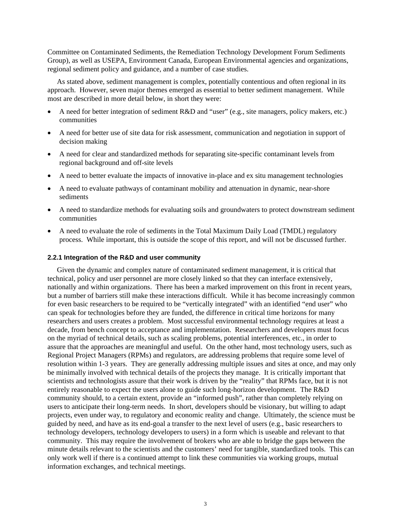<span id="page-14-0"></span>Committee on Contaminated Sediments, the Remediation Technology Development Forum Sediments Group), as well as USEPA, Environment Canada, European Environmental agencies and organizations, regional sediment policy and guidance, and a number of case studies.

As stated above, sediment management is complex, potentially contentious and often regional in its approach. However, seven major themes emerged as essential to better sediment management. While most are described in more detail below, in short they were:

- A need for better integration of sediment R&D and "user" (e.g., site managers, policy makers, etc.) communities
- A need for better use of site data for risk assessment, communication and negotiation in support of decision making
- A need for clear and standardized methods for separating site-specific contaminant levels from regional background and off-site levels
- A need to better evaluate the impacts of innovative in-place and ex situ management technologies
- A need to evaluate pathways of contaminant mobility and attenuation in dynamic, near-shore sediments
- A need to standardize methods for evaluating soils and groundwaters to protect downstream sediment communities
- A need to evaluate the role of sediments in the Total Maximum Daily Load (TMDL) regulatory process. While important, this is outside the scope of this report, and will not be discussed further.

#### **2.2.1 Integration of the R&D and user community**

Given the dynamic and complex nature of contaminated sediment management, it is critical that technical, policy and user personnel are more closely linked so that they can interface extensively, nationally and within organizations. There has been a marked improvement on this front in recent years, but a number of barriers still make these interactions difficult. While it has become increasingly common for even basic researchers to be required to be "vertically integrated" with an identified "end user" who can speak for technologies before they are funded, the difference in critical time horizons for many researchers and users creates a problem. Most successful environmental technology requires at least a decade, from bench concept to acceptance and implementation. Researchers and developers must focus on the myriad of technical details, such as scaling problems, potential interferences, etc., in order to assure that the approaches are meaningful and useful. On the other hand, most technology users, such as Regional Project Managers (RPMs) and regulators, are addressing problems that require some level of resolution within 1-3 years. They are generally addressing multiple issues and sites at once, and may only be minimally involved with technical details of the projects they manage. It is critically important that scientists and technologists assure that their work is driven by the "reality" that RPMs face, but it is not entirely reasonable to expect the users alone to guide such long-horizon development. The R&D community should, to a certain extent, provide an "informed push", rather than completely relying on users to anticipate their long-term needs. In short, developers should be visionary, but willing to adapt projects, even under way, to regulatory and economic reality and change. Ultimately, the science must be guided by need, and have as its end-goal a transfer to the next level of users (e.g., basic researchers to technology developers, technology developers to users) in a form which is useable and relevant to that community. This may require the involvement of brokers who are able to bridge the gaps between the minute details relevant to the scientists and the customers' need for tangible, standardized tools. This can only work well if there is a continued attempt to link these communities via working groups, mutual information exchanges, and technical meetings.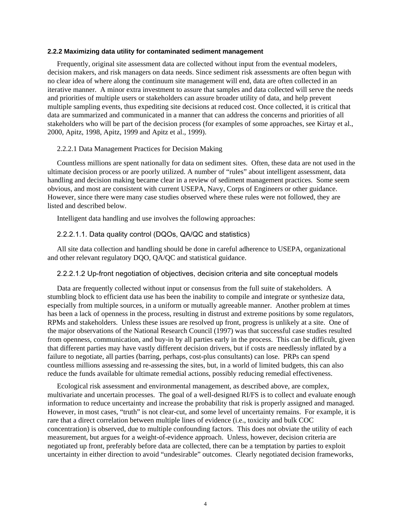#### <span id="page-15-0"></span>**2.2.2 Maximizing data utility for contaminated sediment management**

Frequently, original site assessment data are collected without input from the eventual modelers, decision makers, and risk managers on data needs. Since sediment risk assessments are often begun with no clear idea of where along the continuum site management will end, data are often collected in an iterative manner. A minor extra investment to assure that samples and data collected will serve the needs and priorities of multiple users or stakeholders can assure broader utility of data, and help prevent multiple sampling events, thus expediting site decisions at reduced cost. Once collected, it is critical that data are summarized and communicated in a manner that can address the concerns and priorities of all stakeholders who will be part of the decision process (for examples of some approaches, see Kirtay et al., 2000, Apitz, 1998, Apitz, 1999 and Apitz et al., 1999).

# 2.2.2.1 Data Management Practices for Decision Making

Countless millions are spent nationally for data on sediment sites. Often, these data are not used in the ultimate decision process or are poorly utilized. A number of "rules" about intelligent assessment, data handling and decision making became clear in a review of sediment management practices. Some seem obvious, and most are consistent with current USEPA, Navy, Corps of Engineers or other guidance. However, since there were many case studies observed where these rules were not followed, they are listed and described below.

Intelligent data handling and use involves the following approaches:

# 2.2.2.1.1. Data quality control (DQOs, QA/QC and statistics)

All site data collection and handling should be done in careful adherence to USEPA, organizational and other relevant regulatory DQO, QA/QC and statistical guidance.

# 2.2.2.1.2 Up-front negotiation of objectives, decision criteria and site conceptual models

Data are frequently collected without input or consensus from the full suite of stakeholders. A stumbling block to efficient data use has been the inability to compile and integrate or synthesize data, especially from multiple sources, in a uniform or mutually agreeable manner. Another problem at times has been a lack of openness in the process, resulting in distrust and extreme positions by some regulators, RPMs and stakeholders. Unless these issues are resolved up front, progress is unlikely at a site. One of the major observations of the National Research Council (1997) was that successful case studies resulted from openness, communication, and buy-in by all parties early in the process. This can be difficult, given that different parties may have vastly different decision drivers, but if costs are needlessly inflated by a failure to negotiate, all parties (barring, perhaps, cost-plus consultants) can lose. PRPs can spend countless millions assessing and re-assessing the sites, but, in a world of limited budgets, this can also reduce the funds available for ultimate remedial actions, possibly reducing remedial effectiveness.

Ecological risk assessment and environmental management, as described above, are complex, multivariate and uncertain processes. The goal of a well-designed RI/FS is to collect and evaluate enough information to reduce uncertainty and increase the probability that risk is properly assigned and managed. However, in most cases, "truth" is not clear-cut, and some level of uncertainty remains. For example, it is rare that a direct correlation between multiple lines of evidence (i.e., toxicity and bulk COC concentration) is observed, due to multiple confounding factors. This does not obviate the utility of each measurement, but argues for a weight-of-evidence approach. Unless, however, decision criteria are negotiated up front, preferably before data are collected, there can be a temptation by parties to exploit uncertainty in either direction to avoid "undesirable" outcomes. Clearly negotiated decision frameworks,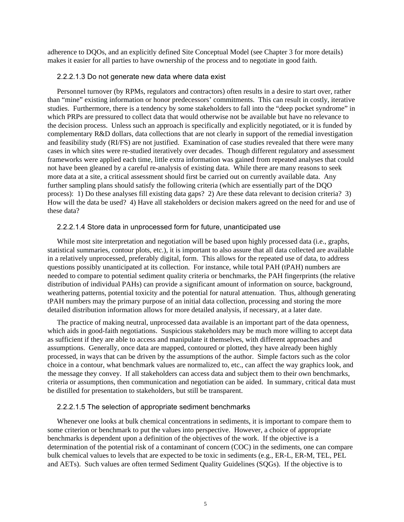<span id="page-16-0"></span>adherence to DQOs, and an explicitly defined Site Conceptual Model (see Chapter 3 for more details) makes it easier for all parties to have ownership of the process and to negotiate in good faith.

## 2.2.2.1.3 Do not generate new data where data exist

Personnel turnover (by RPMs, regulators and contractors) often results in a desire to start over, rather than "mine" existing information or honor predecessors' commitments. This can result in costly, iterative studies. Furthermore, there is a tendency by some stakeholders to fall into the "deep pocket syndrome" in which PRPs are pressured to collect data that would otherwise not be available but have no relevance to the decision process. Unless such an approach is specifically and explicitly negotiated, or it is funded by complementary R&D dollars, data collections that are not clearly in support of the remedial investigation and feasibility study (RI/FS) are not justified. Examination of case studies revealed that there were many cases in which sites were re-studied iteratively over decades. Though different regulatory and assessment frameworks were applied each time, little extra information was gained from repeated analyses that could not have been gleaned by a careful re-analysis of existing data. While there are many reasons to seek more data at a site, a critical assessment should first be carried out on currently available data. Any further sampling plans should satisfy the following criteria (which are essentially part of the DQO process): 1) Do these analyses fill existing data gaps? 2) Are these data relevant to decision criteria? 3) How will the data be used? 4) Have all stakeholders or decision makers agreed on the need for and use of these data?

# 2.2.2.1.4 Store data in unprocessed form for future, unanticipated use

While most site interpretation and negotiation will be based upon highly processed data (i.e., graphs, statistical summaries, contour plots, etc.), it is important to also assure that all data collected are available in a relatively unprocessed, preferably digital, form. This allows for the repeated use of data, to address questions possibly unanticipated at its collection. For instance, while total PAH (tPAH) numbers are needed to compare to potential sediment quality criteria or benchmarks, the PAH fingerprints (the relative distribution of individual PAHs) can provide a significant amount of information on source, background, weathering patterns, potential toxicity and the potential for natural attenuation. Thus, although generating tPAH numbers may the primary purpose of an initial data collection, processing and storing the more detailed distribution information allows for more detailed analysis, if necessary, at a later date.

The practice of making neutral, unprocessed data available is an important part of the data openness, which aids in good-faith negotiations. Suspicious stakeholders may be much more willing to accept data as sufficient if they are able to access and manipulate it themselves, with different approaches and assumptions. Generally, once data are mapped, contoured or plotted, they have already been highly processed, in ways that can be driven by the assumptions of the author. Simple factors such as the color choice in a contour, what benchmark values are normalized to, etc., can affect the way graphics look, and the message they convey. If all stakeholders can access data and subject them to their own benchmarks, criteria or assumptions, then communication and negotiation can be aided. In summary, critical data must be distilled for presentation to stakeholders, but still be transparent.

#### 2.2.2.1.5 The selection of appropriate sediment benchmarks

Whenever one looks at bulk chemical concentrations in sediments, it is important to compare them to some criterion or benchmark to put the values into perspective. However, a choice of appropriate benchmarks is dependent upon a definition of the objectives of the work. If the objective is a determination of the potential risk of a contaminant of concern (COC) in the sediments, one can compare bulk chemical values to levels that are expected to be toxic in sediments (e.g., ER-L, ER-M, TEL, PEL and AETs). Such values are often termed Sediment Quality Guidelines (SQGs). If the objective is to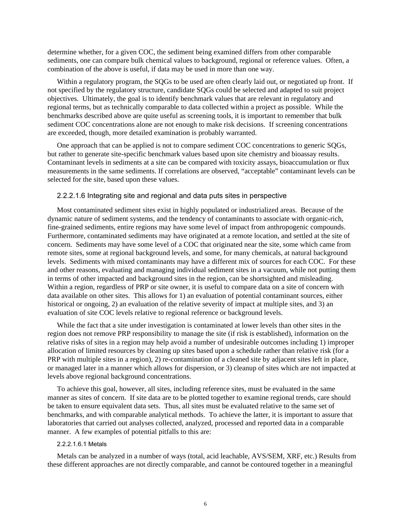<span id="page-17-0"></span>determine whether, for a given COC, the sediment being examined differs from other comparable sediments, one can compare bulk chemical values to background, regional or reference values. Often, a combination of the above is useful, if data may be used in more than one way.

Within a regulatory program, the SQGs to be used are often clearly laid out, or negotiated up front. If not specified by the regulatory structure, candidate SQGs could be selected and adapted to suit project objectives. Ultimately, the goal is to identify benchmark values that are relevant in regulatory and regional terms, but as technically comparable to data collected within a project as possible. While the benchmarks described above are quite useful as screening tools, it is important to remember that bulk sediment COC concentrations alone are not enough to make risk decisions. If screening concentrations are exceeded, though, more detailed examination is probably warranted.

One approach that can be applied is not to compare sediment COC concentrations to generic SQGs, but rather to generate site-specific benchmark values based upon site chemistry and bioassay results. Contaminant levels in sediments at a site can be compared with toxicity assays, bioaccumulation or flux measurements in the same sediments. If correlations are observed, "acceptable" contaminant levels can be selected for the site, based upon these values.

## 2.2.2.1.6 Integrating site and regional and data puts sites in perspective

Most contaminated sediment sites exist in highly populated or industrialized areas. Because of the dynamic nature of sediment systems, and the tendency of contaminants to associate with organic-rich, fine-grained sediments, entire regions may have some level of impact from anthropogenic compounds. Furthermore, contaminated sediments may have originated at a remote location, and settled at the site of concern. Sediments may have some level of a COC that originated near the site, some which came from remote sites, some at regional background levels, and some, for many chemicals, at natural background levels. Sediments with mixed contaminants may have a different mix of sources for each COC. For these and other reasons, evaluating and managing individual sediment sites in a vacuum, while not putting them in terms of other impacted and background sites in the region, can be shortsighted and misleading. Within a region, regardless of PRP or site owner, it is useful to compare data on a site of concern with data available on other sites. This allows for 1) an evaluation of potential contaminant sources, either historical or ongoing, 2) an evaluation of the relative severity of impact at multiple sites, and 3) an evaluation of site COC levels relative to regional reference or background levels.

While the fact that a site under investigation is contaminated at lower levels than other sites in the region does not remove PRP responsibility to manage the site (if risk is established), information on the relative risks of sites in a region may help avoid a number of undesirable outcomes including 1) improper allocation of limited resources by cleaning up sites based upon a schedule rather than relative risk (for a PRP with multiple sites in a region), 2) re-contamination of a cleaned site by adjacent sites left in place, or managed later in a manner which allows for dispersion, or 3) cleanup of sites which are not impacted at levels above regional background concentrations.

To achieve this goal, however, all sites, including reference sites, must be evaluated in the same manner as sites of concern. If site data are to be plotted together to examine regional trends, care should be taken to ensure equivalent data sets. Thus, all sites must be evaluated relative to the same set of benchmarks, and with comparable analytical methods. To achieve the latter, it is important to assure that laboratories that carried out analyses collected, analyzed, processed and reported data in a comparable manner. A few examples of potential pitfalls to this are:

#### 2.2.2.1.6.1 Metals

Metals can be analyzed in a number of ways (total, acid leachable, AVS/SEM, XRF, etc.) Results from these different approaches are not directly comparable, and cannot be contoured together in a meaningful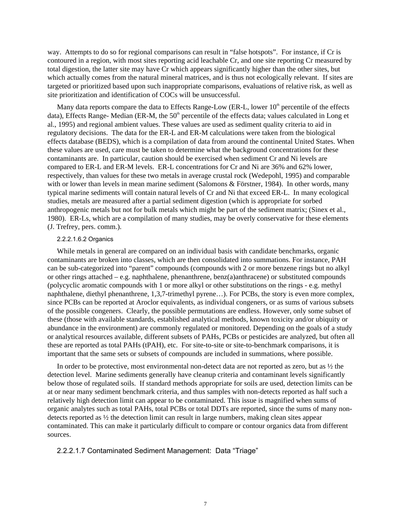<span id="page-18-0"></span>way. Attempts to do so for regional comparisons can result in "false hotspots". For instance, if Cr is contoured in a region, with most sites reporting acid leachable Cr, and one site reporting Cr measured by total digestion, the latter site may have Cr which appears significantly higher than the other sites, but which actually comes from the natural mineral matrices, and is thus not ecologically relevant. If sites are targeted or prioritized based upon such inappropriate comparisons, evaluations of relative risk, as well as site prioritization and identification of COCs will be unsuccessful.

Many data reports compare the data to Effects Range-Low (ER-L, lower  $10<sup>th</sup>$  percentile of the effects data), Effects Range- Median (ER-M, the  $50<sup>th</sup>$  percentile of the effects data; values calculated in Long et al., 1995) and regional ambient values. These values are used as sediment quality criteria to aid in regulatory decisions. The data for the ER-L and ER-M calculations were taken from the biological effects database (BEDS), which is a compilation of data from around the continental United States. When these values are used, care must be taken to determine what the background concentrations for these contaminants are. In particular, caution should be exercised when sediment Cr and Ni levels are compared to ER-L and ER-M levels. ER-L concentrations for Cr and Ni are 36% and 62% lower, respectively, than values for these two metals in average crustal rock (Wedepohl, 1995) and comparable with or lower than levels in mean marine sediment (Salomons & Förstner, 1984). In other words, many typical marine sediments will contain natural levels of Cr and Ni that exceed ER-L. In many ecological studies, metals are measured after a partial sediment digestion (which is appropriate for sorbed anthropogenic metals but not for bulk metals which might be part of the sediment matrix; (Sinex et al., 1980). ER-Ls, which are a compilation of many studies, may be overly conservative for these elements (J. Trefrey, pers. comm.).

### 2.2.2.1.6.2 Organics

While metals in general are compared on an individual basis with candidate benchmarks, organic contaminants are broken into classes, which are then consolidated into summations. For instance, PAH can be sub-categorized into "parent" compounds (compounds with 2 or more benzene rings but no alkyl or other rings attached – e.g. naphthalene, phenanthrene, benz(a)anthracene) or substituted compounds (polycyclic aromatic compounds with 1 or more alkyl or other substitutions on the rings - e.g. methyl naphthalene, diethyl phenanthrene, 1,3,7-trimethyl pyrene…). For PCBs, the story is even more complex, since PCBs can be reported at Aroclor equivalents, as individual congeners, or as sums of various subsets of the possible congeners. Clearly, the possible permutations are endless. However, only some subset of these (those with available standards, established analytical methods, known toxicity and/or ubiquity or abundance in the environment) are commonly regulated or monitored. Depending on the goals of a study or analytical resources available, different subsets of PAHs, PCBs or pesticides are analyzed, but often all these are reported as total PAHs (tPAH), etc. For site-to-site or site-to-benchmark comparisons, it is important that the same sets or subsets of compounds are included in summations, where possible.

In order to be protective, most environmental non-detect data are not reported as zero, but as ½ the detection level. Marine sediments generally have cleanup criteria and contaminant levels significantly below those of regulated soils. If standard methods appropriate for soils are used, detection limits can be at or near many sediment benchmark criteria, and thus samples with non-detects reported as half such a relatively high detection limit can appear to be contaminated. This issue is magnified when sums of organic analytes such as total PAHs, total PCBs or total DDTs are reported, since the sums of many nondetects reported as ½ the detection limit can result in large numbers, making clean sites appear contaminated. This can make it particularly difficult to compare or contour organics data from different sources.

# 2.2.2.1.7 Contaminated Sediment Management: Data "Triage"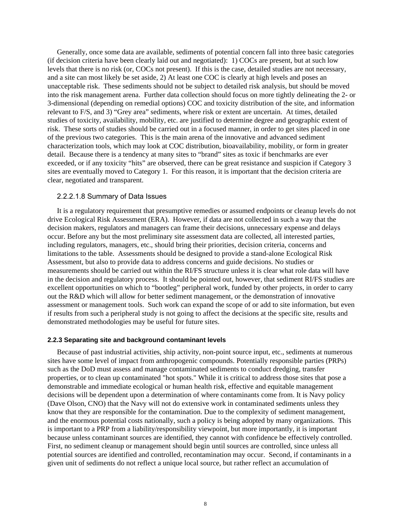<span id="page-19-0"></span>Generally, once some data are available, sediments of potential concern fall into three basic categories (if decision criteria have been clearly laid out and negotiated): 1) COCs are present, but at such low levels that there is no risk (or, COCs not present). If this is the case, detailed studies are not necessary, and a site can most likely be set aside, 2) At least one COC is clearly at high levels and poses an unacceptable risk. These sediments should not be subject to detailed risk analysis, but should be moved into the risk management arena. Further data collection should focus on more tightly delineating the 2- or 3-dimensional (depending on remedial options) COC and toxicity distribution of the site, and information relevant to F/S, and 3) "Grey area" sediments, where risk or extent are uncertain. At times, detailed studies of toxicity, availability, mobility, etc. are justified to determine degree and geographic extent of risk. These sorts of studies should be carried out in a focused manner, in order to get sites placed in one of the previous two categories. This is the main arena of the innovative and advanced sediment characterization tools, which may look at COC distribution, bioavailability, mobility, or form in greater detail. Because there is a tendency at many sites to "brand" sites as toxic if benchmarks are ever exceeded, or if any toxicity "hits" are observed, there can be great resistance and suspicion if Category 3 sites are eventually moved to Category 1. For this reason, it is important that the decision criteria are clear, negotiated and transparent.

## 2.2.2.1.8 Summary of Data Issues

It is a regulatory requirement that presumptive remedies or assumed endpoints or cleanup levels do not drive Ecological Risk Assessment (ERA). However, if data are not collected in such a way that the decision makers, regulators and managers can frame their decisions, unnecessary expense and delays occur. Before any but the most preliminary site assessment data are collected, all interested parties, including regulators, managers, etc., should bring their priorities, decision criteria, concerns and limitations to the table. Assessments should be designed to provide a stand-alone Ecological Risk Assessment, but also to provide data to address concerns and guide decisions. No studies or measurements should be carried out within the RI/FS structure unless it is clear what role data will have in the decision and regulatory process. It should be pointed out, however, that sediment RI/FS studies are excellent opportunities on which to "bootleg" peripheral work, funded by other projects, in order to carry out the R&D which will allow for better sediment management, or the demonstration of innovative assessment or management tools. Such work can expand the scope of or add to site information, but even if results from such a peripheral study is not going to affect the decisions at the specific site, results and demonstrated methodologies may be useful for future sites.

#### **2.2.3 Separating site and background contaminant levels**

Because of past industrial activities, ship activity, non-point source input, etc., sediments at numerous sites have some level of impact from anthropogenic compounds. Potentially responsible parties (PRPs) such as the DoD must assess and manage contaminated sediments to conduct dredging, transfer properties, or to clean up contaminated "hot spots." While it is critical to address those sites that pose a demonstrable and immediate ecological or human health risk, effective and equitable management decisions will be dependent upon a determination of where contaminants come from. It is Navy policy (Dave Olson, CNO) that the Navy will not do extensive work in contaminated sediments unless they know that they are responsible for the contamination. Due to the complexity of sediment management, and the enormous potential costs nationally, such a policy is being adopted by many organizations. This is important to a PRP from a liability/responsibility viewpoint, but more importantly, it is important because unless contaminant sources are identified, they cannot with confidence be effectively controlled. First, no sediment cleanup or management should begin until sources are controlled, since unless all potential sources are identified and controlled, recontamination may occur. Second, if contaminants in a given unit of sediments do not reflect a unique local source, but rather reflect an accumulation of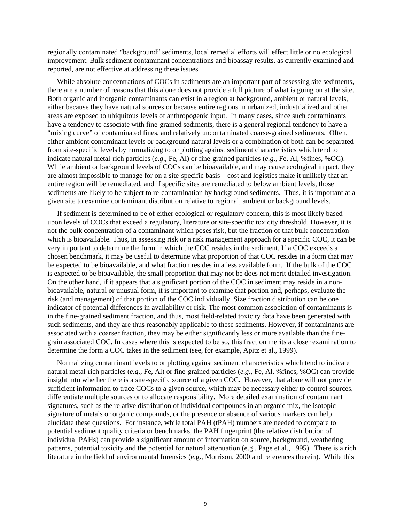regionally contaminated "background" sediments, local remedial efforts will effect little or no ecological improvement. Bulk sediment contaminant concentrations and bioassay results, as currently examined and reported, are not effective at addressing these issues.

While absolute concentrations of COCs in sediments are an important part of assessing site sediments, there are a number of reasons that this alone does not provide a full picture of what is going on at the site. Both organic and inorganic contaminants can exist in a region at background, ambient or natural levels, either because they have natural sources or because entire regions in urbanized, industrialized and other areas are exposed to ubiquitous levels of anthropogenic input. In many cases, since such contaminants have a tendency to associate with fine-grained sediments, there is a general regional tendency to have a "mixing curve" of contaminated fines, and relatively uncontaminated coarse-grained sediments. Often, either ambient contaminant levels or background natural levels or a combination of both can be separated from site-specific levels by normalizing to or plotting against sediment characteristics which tend to indicate natural metal-rich particles (*e.g*., Fe, Al) or fine-grained particles (*e.g*., Fe, Al, %fines, %OC). While ambient or background levels of COCs can be bioavailable, and may cause ecological impact, they are almost impossible to manage for on a site-specific basis – cost and logistics make it unlikely that an entire region will be remediated, and if specific sites are remediated to below ambient levels, those sediments are likely to be subject to re-contamination by background sediments. Thus, it is important at a given site to examine contaminant distribution relative to regional, ambient or background levels.

If sediment is determined to be of either ecological or regulatory concern, this is most likely based upon levels of COCs that exceed a regulatory, literature or site-specific toxicity threshold. However, it is not the bulk concentration of a contaminant which poses risk, but the fraction of that bulk concentration which is bioavailable. Thus, in assessing risk or a risk management approach for a specific COC, it can be very important to determine the form in which the COC resides in the sediment. If a COC exceeds a chosen benchmark, it may be useful to determine what proportion of that COC resides in a form that may be expected to be bioavailable, and what fraction resides in a less available form. If the bulk of the COC is expected to be bioavailable, the small proportion that may not be does not merit detailed investigation. On the other hand, if it appears that a significant portion of the COC in sediment may reside in a nonbioavailable, natural or unusual form, it is important to examine that portion and, perhaps, evaluate the risk (and management) of that portion of the COC individually. Size fraction distribution can be one indicator of potential differences in availability or risk. The most common association of contaminants is in the fine-grained sediment fraction, and thus, most field-related toxicity data have been generated with such sediments, and they are thus reasonably applicable to these sediments. However, if contaminants are associated with a coarser fraction, they may be either significantly less or more available than the finegrain associated COC. In cases where this is expected to be so, this fraction merits a closer examination to determine the form a COC takes in the sediment (see, for example, Apitz et al., 1999).

Normalizing contaminant levels to or plotting against sediment characteristics which tend to indicate natural metal-rich particles (*e.g*., Fe, Al) or fine-grained particles (*e.g*., Fe, Al, %fines, %OC) can provide insight into whether there is a site-specific source of a given COC. However, that alone will not provide sufficient information to trace COCs to a given source, which may be necessary either to control sources, differentiate multiple sources or to allocate responsibility. More detailed examination of contaminant signatures, such as the relative distribution of individual compounds in an organic mix, the isotopic signature of metals or organic compounds, or the presence or absence of various markers can help elucidate these questions. For instance, while total PAH (tPAH) numbers are needed to compare to potential sediment quality criteria or benchmarks, the PAH fingerprint (the relative distribution of individual PAHs) can provide a significant amount of information on source, background, weathering patterns, potential toxicity and the potential for natural attenuation (e.g., Page et al., 1995). There is a rich literature in the field of environmental forensics (e.g., Morrison, 2000 and references therein). While this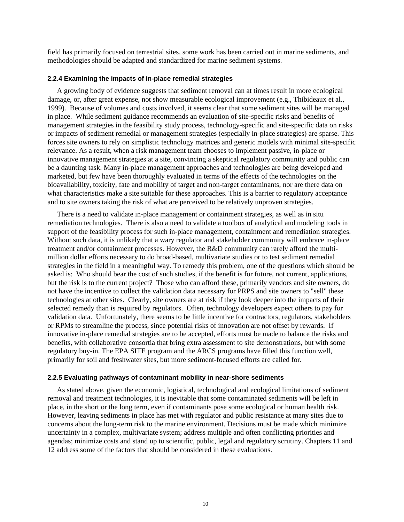<span id="page-21-0"></span>field has primarily focused on terrestrial sites, some work has been carried out in marine sediments, and methodologies should be adapted and standardized for marine sediment systems.

#### **2.2.4 Examining the impacts of in-place remedial strategies**

A growing body of evidence suggests that sediment removal can at times result in more ecological damage, or, after great expense, not show measurable ecological improvement (e.g., Thibideaux et al., 1999). Because of volumes and costs involved, it seems clear that some sediment sites will be managed in place. While sediment guidance recommends an evaluation of site-specific risks and benefits of management strategies in the feasibility study process, technology-specific and site-specific data on risks or impacts of sediment remedial or management strategies (especially in-place strategies) are sparse. This forces site owners to rely on simplistic technology matrices and generic models with minimal site-specific relevance. As a result, when a risk management team chooses to implement passive, in-place or innovative management strategies at a site, convincing a skeptical regulatory community and public can be a daunting task. Many in-place management approaches and technologies are being developed and marketed, but few have been thoroughly evaluated in terms of the effects of the technologies on the bioavailability, toxicity, fate and mobility of target and non-target contaminants, nor are there data on what characteristics make a site suitable for these approaches. This is a barrier to regulatory acceptance and to site owners taking the risk of what are perceived to be relatively unproven strategies.

There is a need to validate in-place management or containment strategies, as well as in situ remediation technologies. There is also a need to validate a toolbox of analytical and modeling tools in support of the feasibility process for such in-place management, containment and remediation strategies. Without such data, it is unlikely that a wary regulator and stakeholder community will embrace in-place treatment and/or containment processes. However, the R&D community can rarely afford the multimillion dollar efforts necessary to do broad-based, multivariate studies or to test sediment remedial strategies in the field in a meaningful way. To remedy this problem, one of the questions which should be asked is: Who should bear the cost of such studies, if the benefit is for future, not current, applications, but the risk is to the current project? Those who can afford these, primarily vendors and site owners, do not have the incentive to collect the validation data necessary for PRPS and site owners to "sell" these technologies at other sites. Clearly, site owners are at risk if they look deeper into the impacts of their selected remedy than is required by regulators. Often, technology developers expect others to pay for validation data. Unfortunately, there seems to be little incentive for contractors, regulators, stakeholders or RPMs to streamline the process, since potential risks of innovation are not offset by rewards. If innovative in-place remedial strategies are to be accepted, efforts must be made to balance the risks and benefits, with collaborative consortia that bring extra assessment to site demonstrations, but with some regulatory buy-in. The EPA SITE program and the ARCS programs have filled this function well, primarily for soil and freshwater sites, but more sediment-focused efforts are called for.

#### **2.2.5 Evaluating pathways of contaminant mobility in near-shore sediments**

As stated above, given the economic, logistical, technological and ecological limitations of sediment removal and treatment technologies, it is inevitable that some contaminated sediments will be left in place, in the short or the long term, even if contaminants pose some ecological or human health risk. However, leaving sediments in place has met with regulator and public resistance at many sites due to concerns about the long-term risk to the marine environment. Decisions must be made which minimize uncertainty in a complex, multivariate system; address multiple and often conflicting priorities and agendas; minimize costs and stand up to scientific, public, legal and regulatory scrutiny. Chapters 11 and 12 address some of the factors that should be considered in these evaluations.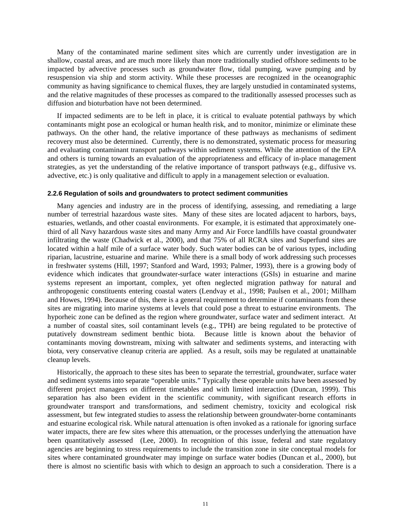<span id="page-22-0"></span>Many of the contaminated marine sediment sites which are currently under investigation are in shallow, coastal areas, and are much more likely than more traditionally studied offshore sediments to be impacted by advective processes such as groundwater flow, tidal pumping, wave pumping and by resuspension via ship and storm activity. While these processes are recognized in the oceanographic community as having significance to chemical fluxes, they are largely unstudied in contaminated systems, and the relative magnitudes of these processes as compared to the traditionally assessed processes such as diffusion and bioturbation have not been determined.

If impacted sediments are to be left in place, it is critical to evaluate potential pathways by which contaminants might pose an ecological or human health risk, and to monitor, minimize or eliminate these pathways. On the other hand, the relative importance of these pathways as mechanisms of sediment recovery must also be determined. Currently, there is no demonstrated, systematic process for measuring and evaluating contaminant transport pathways within sediment systems. While the attention of the EPA and others is turning towards an evaluation of the appropriateness and efficacy of in-place management strategies, as yet the understanding of the relative importance of transport pathways (e.g., diffusive vs. advective, etc.) is only qualitative and difficult to apply in a management selection or evaluation.

#### **2.2.6 Regulation of soils and groundwaters to protect sediment communities**

Many agencies and industry are in the process of identifying, assessing, and remediating a large number of terrestrial hazardous waste sites. Many of these sites are located adjacent to harbors, bays, estuaries, wetlands, and other coastal environments. For example, it is estimated that approximately onethird of all Navy hazardous waste sites and many Army and Air Force landfills have coastal groundwater infiltrating the waste (Chadwick et al., 2000), and that 75% of all RCRA sites and Superfund sites are located within a half mile of a surface water body. Such water bodies can be of various types, including riparian, lacustrine, estuarine and marine. While there is a small body of work addressing such processes in freshwater systems (Hill, 1997; Stanford and Ward, 1993; Palmer, 1993), there is a growing body of evidence which indicates that groundwater-surface water interactions (GSIs) in estuarine and marine systems represent an important, complex, yet often neglected migration pathway for natural and anthropogenic constituents entering coastal waters (Lendvay et al., 1998; Paulsen et al., 2001; Millham and Howes, 1994). Because of this, there is a general requirement to determine if contaminants from these sites are migrating into marine systems at levels that could pose a threat to estuarine environments. The hyporheic zone can be defined as the region where groundwater, surface water and sediment interact. At a number of coastal sites, soil contaminant levels (e.g., TPH) are being regulated to be protective of putatively downstream sediment benthic biota. Because little is known about the behavior of contaminants moving downstream, mixing with saltwater and sediments systems, and interacting with biota, very conservative cleanup criteria are applied. As a result, soils may be regulated at unattainable cleanup levels.

Historically, the approach to these sites has been to separate the terrestrial, groundwater, surface water and sediment systems into separate "operable units." Typically these operable units have been assessed by different project managers on different timetables and with limited interaction (Duncan, 1999). This separation has also been evident in the scientific community, with significant research efforts in groundwater transport and transformations, and sediment chemistry, toxicity and ecological risk assessment, but few integrated studies to assess the relationship between groundwater-borne contaminants and estuarine ecological risk. While natural attenuation is often invoked as a rationale for ignoring surface water impacts, there are few sites where this attenuation, or the processes underlying the attenuation have been quantitatively assessed (Lee, 2000). In recognition of this issue, federal and state regulatory agencies are beginning to stress requirements to include the transition zone in site conceptual models for sites where contaminated groundwater may impinge on surface water bodies (Duncan et al., 2000), but there is almost no scientific basis with which to design an approach to such a consideration. There is a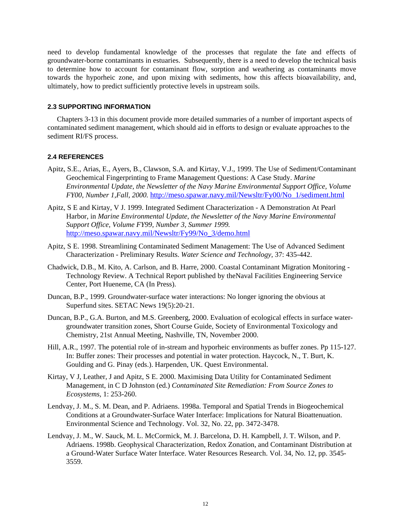<span id="page-23-0"></span>need to develop fundamental knowledge of the processes that regulate the fate and effects of groundwater-borne contaminants in estuaries. Subsequently, there is a need to develop the technical basis to determine how to account for contaminant flow, sorption and weathering as contaminants move towards the hyporheic zone, and upon mixing with sediments, how this affects bioavailability, and, ultimately, how to predict sufficiently protective levels in upstream soils.

#### **2.3 SUPPORTING INFORMATION**

Chapters 3-13 in this document provide more detailed summaries of a number of important aspects of contaminated sediment management, which should aid in efforts to design or evaluate approaches to the sediment RI/FS process.

### **2.4 REFERENCES**

- Apitz, S.E., Arias, E., Ayers, B., Clawson, S.A. and Kirtay, V.J., 1999. The Use of Sediment/Contaminant Geochemical Fingerprinting to Frame Management Questions: A Case Study. *Marine Environmental Update, the Newsletter of the Navy Marine Environmental Support Office, Volume FY00, Number 1,Fall, 2000.* http://meso.spawar.navy.mil/Newsltr/Fy00/No\_1/sediment.html
- Apitz, S E and Kirtay, V J. 1999. Integrated Sediment Characterization A Demonstration At Pearl Harbor, in *Marine Environmental Update, the Newsletter of the Navy Marine Environmental Support Office, Volume FY99, Number 3, Summer 1999.*  http://meso.spawar.navy.mil/Newsltr/Fy99/No\_3/demo.html
- Apitz, S E. 1998. Streamlining Contaminated Sediment Management: The Use of Advanced Sediment Characterization - Preliminary Results. *Water Science and Technology,* 37: 435-442.
- Chadwick, D.B., M. Kito, A. Carlson, and B. Harre, 2000. Coastal Contaminant Migration Monitoring Technology Review. A Technical Report published by theNaval Facilities Engineering Service Center, Port Hueneme, CA (In Press).
- Duncan, B.P., 1999. Groundwater-surface water interactions: No longer ignoring the obvious at Superfund sites. SETAC News 19(5):20-21.
- Duncan, B.P., G.A. Burton, and M.S. Greenberg, 2000. Evaluation of ecological effects in surface watergroundwater transition zones, Short Course Guide, Society of Environmental Toxicology and Chemistry, 21st Annual Meeting, Nashville, TN, November 2000.
- Hill, A.R., 1997. The potential role of in-stream and hyporheic environments as buffer zones. Pp 115-127. In: Buffer zones: Their processes and potential in water protection. Haycock, N., T. Burt, K. Goulding and G. Pinay (eds.). Harpenden, UK. Quest Environmental.
- Kirtay, V J, Leather, J and Apitz, S E. 2000. Maximising Data Utility for Contaminated Sediment Management, in C D Johnston (ed.) *Contaminated Site Remediation: From Source Zones to Ecosystems,* 1: 253-260.
- Lendvay, J. M., S. M. Dean, and P. Adriaens. 1998a. Temporal and Spatial Trends in Biogeochemical Conditions at a Groundwater-Surface Water Interface: Implications for Natural Bioattenuation. Environmental Science and Technology. Vol. 32, No. 22, pp. 3472-3478.
- Lendvay, J. M., W. Sauck, M. L. McCormick, M. J. Barcelona, D. H. Kampbell, J. T. Wilson, and P. Adriaens. 1998b. Geophysical Characterization, Redox Zonation, and Contaminant Distribution at a Ground-Water Surface Water Interface. Water Resources Research. Vol. 34, No. 12, pp. 3545- 3559.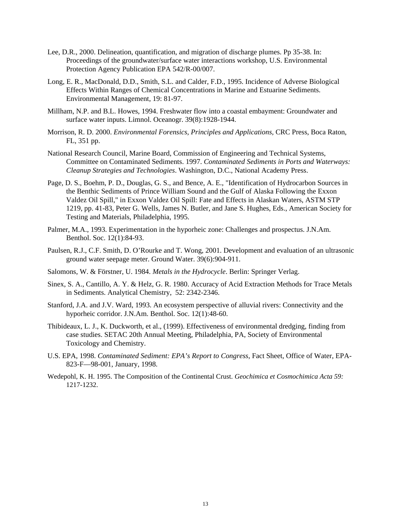- Lee, D.R., 2000. Delineation, quantification, and migration of discharge plumes. Pp 35-38. In: Proceedings of the groundwater/surface water interactions workshop, U.S. Environmental Protection Agency Publication EPA 542/R-00/007.
- Long, E. R., MacDonald, D.D., Smith, S.L. and Calder, F.D., 1995. Incidence of Adverse Biological Effects Within Ranges of Chemical Concentrations in Marine and Estuarine Sediments. Environmental Management, 19: 81-97.
- Millham, N.P. and B.L. Howes, 1994. Freshwater flow into a coastal embayment: Groundwater and surface water inputs. Limnol. Oceanogr. 39(8):1928-1944.
- Morrison, R. D. 2000. *Environmental Forensics, Principles and Applications,* CRC Press, Boca Raton, FL, 351 pp.
- National Research Council, Marine Board, Commission of Engineering and Technical Systems, Committee on Contaminated Sediments. 1997. *Contaminated Sediments in Ports and Waterways: Cleanup Strategies and Technologies*. Washington, D.C., National Academy Press.
- Page, D. S., Boehm, P. D., Douglas, G. S., and Bence, A. E., "Identification of Hydrocarbon Sources in the Benthic Sediments of Prince William Sound and the Gulf of Alaska Following the Exxon Valdez Oil Spill," in Exxon Valdez Oil Spill: Fate and Effects in Alaskan Waters, ASTM STP 1219, pp. 41-83, Peter G. Wells, James N. Butler, and Jane S. Hughes, Eds., American Society for Testing and Materials, Philadelphia, 1995.
- Palmer, M.A., 1993. Experimentation in the hyporheic zone: Challenges and prospectus. J.N.Am. Benthol. Soc. 12(1):84-93.
- Paulsen, R.J., C.F. Smith, D. O'Rourke and T. Wong, 2001. Development and evaluation of an ultrasonic ground water seepage meter. Ground Water. 39(6):904-911.
- Salomons, W. & Förstner, U. 1984. *Metals in the Hydrocycle*. Berlin: Springer Verlag.
- Sinex, S. A., Cantillo, A. Y. & Helz, G. R. 1980. Accuracy of Acid Extraction Methods for Trace Metals in Sediments. Analytical Chemistry, 52: 2342-2346.
- Stanford, J.A. and J.V. Ward, 1993. An ecosystem perspective of alluvial rivers: Connectivity and the hyporheic corridor. J.N.Am. Benthol. Soc. 12(1):48-60.
- Thibideaux, L. J., K. Duckworth, et al., (1999). Effectiveness of environmental dredging, finding from case studies. SETAC 20th Annual Meeting, Philadelphia, PA, Society of Environmental Toxicology and Chemistry.
- U.S. EPA, 1998. *Contaminated Sediment: EPA's Report to Congress*, Fact Sheet, Office of Water, EPA-823-F—98-001, January, 1998.
- Wedepohl, K. H. 1995. The Composition of the Continental Crust. *Geochimica et Cosmochimica Acta 59:*  1217-1232.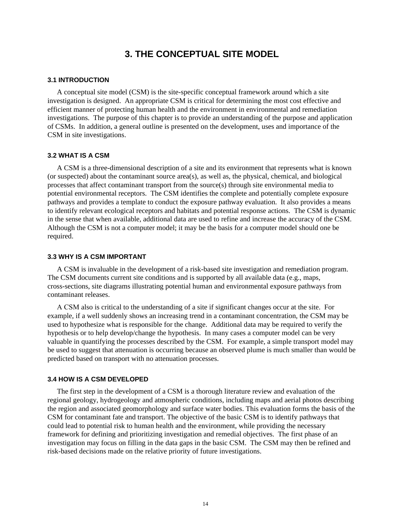# **3. THE CONCEPTUAL SITE MODEL**

#### <span id="page-25-0"></span>**3.1 INTRODUCTION**

A conceptual site model (CSM) is the site-specific conceptual framework around which a site investigation is designed. An appropriate CSM is critical for determining the most cost effective and efficient manner of protecting human health and the environment in environmental and remediation investigations. The purpose of this chapter is to provide an understanding of the purpose and application of CSMs. In addition, a general outline is presented on the development, uses and importance of the CSM in site investigations.

#### **3.2 WHAT IS A CSM**

A CSM is a three-dimensional description of a site and its environment that represents what is known (or suspected) about the contaminant source area(s), as well as, the physical, chemical, and biological processes that affect contaminant transport from the source(s) through site environmental media to potential environmental receptors. The CSM identifies the complete and potentially complete exposure pathways and provides a template to conduct the exposure pathway evaluation. It also provides a means to identify relevant ecological receptors and habitats and potential response actions. The CSM is dynamic in the sense that when available, additional data are used to refine and increase the accuracy of the CSM. Although the CSM is not a computer model; it may be the basis for a computer model should one be required.

#### **3.3 WHY IS A CSM IMPORTANT**

A CSM is invaluable in the development of a risk-based site investigation and remediation program. The CSM documents current site conditions and is supported by all available data (e.g., maps, cross-sections, site diagrams illustrating potential human and environmental exposure pathways from contaminant releases.

A CSM also is critical to the understanding of a site if significant changes occur at the site. For example, if a well suddenly shows an increasing trend in a contaminant concentration, the CSM may be used to hypothesize what is responsible for the change. Additional data may be required to verify the hypothesis or to help develop/change the hypothesis. In many cases a computer model can be very valuable in quantifying the processes described by the CSM. For example, a simple transport model may be used to suggest that attenuation is occurring because an observed plume is much smaller than would be predicted based on transport with no attenuation processes.

#### **3.4 HOW IS A CSM DEVELOPED**

The first step in the development of a CSM is a thorough literature review and evaluation of the regional geology, hydrogeology and atmospheric conditions, including maps and aerial photos describing the region and associated geomorphology and surface water bodies. This evaluation forms the basis of the CSM for contaminant fate and transport. The objective of the basic CSM is to identify pathways that could lead to potential risk to human health and the environment, while providing the necessary framework for defining and prioritizing investigation and remedial objectives. The first phase of an investigation may focus on filling in the data gaps in the basic CSM. The CSM may then be refined and risk-based decisions made on the relative priority of future investigations.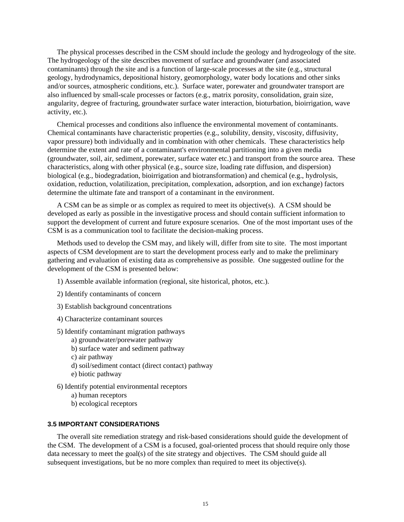<span id="page-26-0"></span>The physical processes described in the CSM should include the geology and hydrogeology of the site. The hydrogeology of the site describes movement of surface and groundwater (and associated contaminants) through the site and is a function of large-scale processes at the site (e.g., structural geology, hydrodynamics, depositional history, geomorphology, water body locations and other sinks and/or sources, atmospheric conditions, etc.). Surface water, porewater and groundwater transport are also influenced by small-scale processes or factors (e.g., matrix porosity, consolidation, grain size, angularity, degree of fracturing, groundwater surface water interaction, bioturbation, bioirrigation, wave activity, etc.).

Chemical processes and conditions also influence the environmental movement of contaminants. Chemical contaminants have characteristic properties (e.g., solubility, density, viscosity, diffusivity, vapor pressure) both individually and in combination with other chemicals. These characteristics help determine the extent and rate of a contaminant's environmental partitioning into a given media (groundwater, soil, air, sediment, porewater, surface water etc.) and transport from the source area. These characteristics, along with other physical (e.g., source size, loading rate diffusion, and dispersion) biological (e.g., biodegradation, bioirrigation and biotransformation) and chemical (e.g., hydrolysis, oxidation, reduction, volatilization, precipitation, complexation, adsorption, and ion exchange) factors determine the ultimate fate and transport of a contaminant in the environment.

A CSM can be as simple or as complex as required to meet its objective(s). A CSM should be developed as early as possible in the investigative process and should contain sufficient information to support the development of current and future exposure scenarios. One of the most important uses of the CSM is as a communication tool to facilitate the decision-making process.

Methods used to develop the CSM may, and likely will, differ from site to site. The most important aspects of CSM development are to start the development process early and to make the preliminary gathering and evaluation of existing data as comprehensive as possible. One suggested outline for the development of the CSM is presented below:

- 1) Assemble available information (regional, site historical, photos, etc.).
- 2) Identify contaminants of concern
- 3) Establish background concentrations
- 4) Characterize contaminant sources
- 5) Identify contaminant migration pathways
	- a) groundwater/porewater pathway
	- b) surface water and sediment pathway
	- c) air pathway
	- d) soil/sediment contact (direct contact) pathway
	- e) biotic pathway
- 6) Identify potential environmental receptors
	- a) human receptors
	- b) ecological receptors

# **3.5 IMPORTANT CONSIDERATIONS**

The overall site remediation strategy and risk-based considerations should guide the development of the CSM. The development of a CSM is a focused, goal-oriented process that should require only those data necessary to meet the goal(s) of the site strategy and objectives. The CSM should guide all subsequent investigations, but be no more complex than required to meet its objective(s).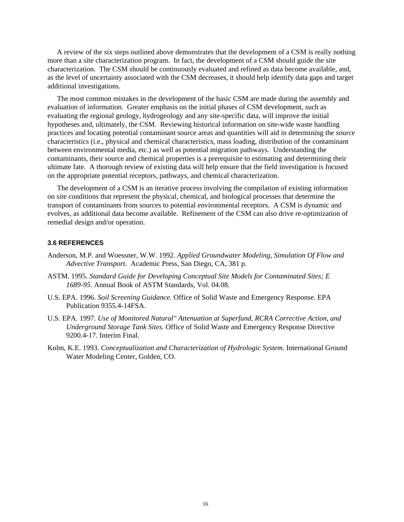<span id="page-27-0"></span>A review of the six steps outlined above demonstrates that the development of a CSM is really nothing more than a site characterization program. In fact, the development of a CSM should guide the site characterization. The CSM should be continuously evaluated and refined as data become available, and, as the level of uncertainty associated with the CSM decreases, it should help identify data gaps and target additional investigations.

The most common mistakes in the development of the basic CSM are made during the assembly and evaluation of information. Greater emphasis on the initial phases of CSM development, such as evaluating the regional geology, hydrogeology and any site-specific data, will improve the initial hypotheses and, ultimately, the CSM. Reviewing historical information on site-wide waste handling practices and locating potential contaminant source areas and quantities will aid in determining the source characteristics (i.e., physical and chemical characteristics, mass loading, distribution of the contaminant between environmental media, etc.) as well as potential migration pathways. Understanding the contaminants, their source and chemical properties is a prerequisite to estimating and determining their ultimate fate. A thorough review of existing data will help ensure that the field investigation is focused on the appropriate potential receptors, pathways, and chemical characterization.

The development of a CSM is an iterative process involving the compilation of existing information on site conditions that represent the physical, chemical, and biological processes that determine the transport of contaminants from sources to potential environmental receptors. A CSM is dynamic and evolves, as additional data become available. Refinement of the CSM can also drive re-optimization of remedial design and/or operation.

# **3.6 REFERENCES**

- Anderson, M.P. and Woessner, W.W. 1992. *Applied Groundwater Modeling, Simulation Of Flow and Advective Transport.* Academic Press, San Diego, CA, 381 p.
- ASTM. 1995. *Standard Guide for Developing Conceptual Site Models for Contaminated Sites; E 1689-95.* Annual Book of ASTM Standards, Vol. 04.08.
- U.S. EPA. 1996. *Soil Screening Guidance.* Office of Solid Waste and Emergency Response. EPA Publication 9355.4-14FSA.
- U.S. EPA. 1997. *Use of Monitored Natural" Attenuation at Superfund, RCRA Corrective Action, and Underground Storage Tank Sites.* Office of Solid Waste and Emergency Response Directive 9200.4-17. Interim Final.
- Kolm, K.E. 1993. *Conceptualization and Characterization of Hydrologic System.* International Ground Water Modeling Center, Golden, CO.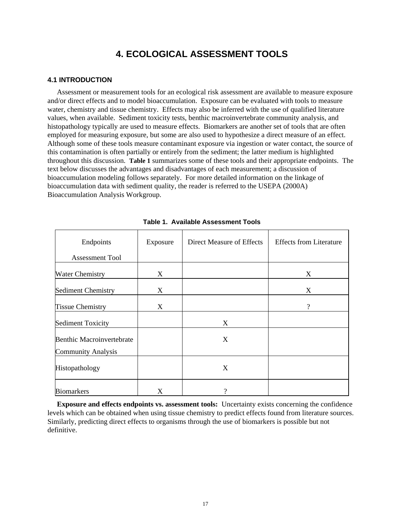# **4. ECOLOGICAL ASSESSMENT TOOLS**

# <span id="page-28-0"></span>**4.1 INTRODUCTION**

Assessment or measurement tools for an ecological risk assessment are available to measure exposure and/or direct effects and to model bioaccumulation. Exposure can be evaluated with tools to measure water, chemistry and tissue chemistry. Effects may also be inferred with the use of qualified literature values, when available. Sediment toxicity tests, benthic macroinvertebrate community analysis, and histopathology typically are used to measure effects. Biomarkers are another set of tools that are often employed for measuring exposure, but some are also used to hypothesize a direct measure of an effect. Although some of these tools measure contaminant exposure via ingestion or water contact, the source of this contamination is often partially or entirely from the sediment; the latter medium is highlighted throughout this discussion. **[Table 1](#page-28-1)** summarizes some of these tools and their appropriate endpoints. The text below discusses the advantages and disadvantages of each measurement; a discussion of bioaccumulation modeling follows separately. For more detailed information on the linkage of bioaccumulation data with sediment quality, the reader is referred to the USEPA (2000A) Bioaccumulation Analysis Workgroup.

| Endpoints                                                     | Exposure | Direct Measure of Effects | <b>Effects from Literature</b> |
|---------------------------------------------------------------|----------|---------------------------|--------------------------------|
| <b>Assessment Tool</b>                                        |          |                           |                                |
| <b>Water Chemistry</b>                                        | X        |                           | X                              |
| <b>Sediment Chemistry</b>                                     | X        |                           | X                              |
| <b>Tissue Chemistry</b>                                       | X        |                           | $\gamma$                       |
| <b>Sediment Toxicity</b>                                      |          | X                         |                                |
| <b>Benthic Macroinvertebrate</b><br><b>Community Analysis</b> |          | X                         |                                |
| Histopathology                                                |          | X                         |                                |
| <b>Biomarkers</b>                                             | X        | 9                         |                                |

<span id="page-28-1"></span>**Table 1. Available Assessment Tools** 

**Exposure and effects endpoints vs. assessment tools:** Uncertainty exists concerning the confidence levels which can be obtained when using tissue chemistry to predict effects found from literature sources. Similarly, predicting direct effects to organisms through the use of biomarkers is possible but not definitive.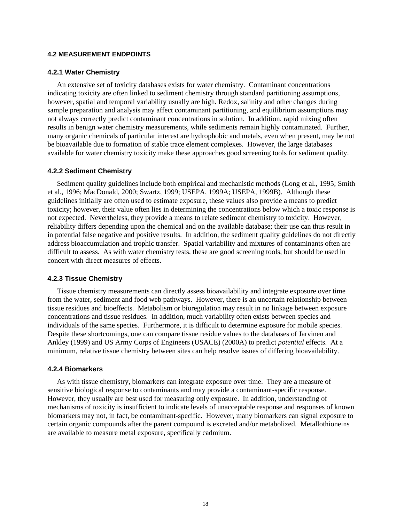#### <span id="page-29-0"></span>**4.2 MEASUREMENT ENDPOINTS**

### **4.2.1 Water Chemistry**

An extensive set of toxicity databases exists for water chemistry. Contaminant concentrations indicating toxicity are often linked to sediment chemistry through standard partitioning assumptions, however, spatial and temporal variability usually are high. Redox, salinity and other changes during sample preparation and analysis may affect contaminant partitioning, and equilibrium assumptions may not always correctly predict contaminant concentrations in solution. In addition, rapid mixing often results in benign water chemistry measurements, while sediments remain highly contaminated. Further, many organic chemicals of particular interest are hydrophobic and metals, even when present, may be not be bioavailable due to formation of stable trace element complexes. However, the large databases available for water chemistry toxicity make these approaches good screening tools for sediment quality.

### **4.2.2 Sediment Chemistry**

Sediment quality guidelines include both empirical and mechanistic methods (Long et al., 1995; Smith et al., 1996; MacDonald, 2000; Swartz, 1999; USEPA, 1999A; USEPA, 1999B). Although these guidelines initially are often used to estimate exposure, these values also provide a means to predict toxicity; however, their value often lies in determining the concentrations below which a toxic response is not expected. Nevertheless, they provide a means to relate sediment chemistry to toxicity. However, reliability differs depending upon the chemical and on the available database; their use can thus result in in potential false negative and positive results. In addition, the sediment quality guidelines do not directly address bioaccumulation and trophic transfer. Spatial variability and mixtures of contaminants often are difficult to assess. As with water chemistry tests, these are good screening tools, but should be used in concert with direct measures of effects.

#### **4.2.3 Tissue Chemistry**

Tissue chemistry measurements can directly assess bioavailability and integrate exposure over time from the water, sediment and food web pathways. However, there is an uncertain relationship between tissue residues and bioeffects. Metabolism or bioregulation may result in no linkage between exposure concentrations and tissue residues. In addition, much variability often exists between species and individuals of the same species. Furthermore, it is difficult to determine exposure for mobile species. Despite these shortcomings, one can compare tissue residue values to the databases of Jarvinen and Ankley (1999) and US Army Corps of Engineers (USACE) (2000A) to predict *potential* effects. At a minimum, relative tissue chemistry between sites can help resolve issues of differing bioavailability.

#### **4.2.4 Biomarkers**

As with tissue chemistry, biomarkers can integrate exposure over time. They are a measure of sensitive biological response to contaminants and may provide a contaminant-specific response. However, they usually are best used for measuring only exposure. In addition, understanding of mechanisms of toxicity is insufficient to indicate levels of unacceptable response and responses of known biomarkers may not, in fact, be contaminant-specific. However, many biomarkers can signal exposure to certain organic compounds after the parent compound is excreted and/or metabolized. Metallothioneins are available to measure metal exposure, specifically cadmium.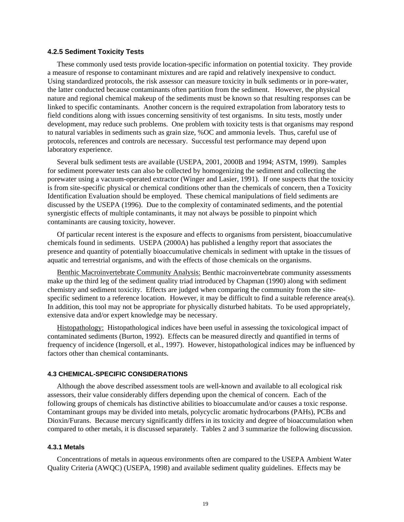#### <span id="page-30-0"></span>**4.2.5 Sediment Toxicity Tests**

These commonly used tests provide location-specific information on potential toxicity. They provide a measure of response to contaminant mixtures and are rapid and relatively inexpensive to conduct. Using standardized protocols, the risk assessor can measure toxicity in bulk sediments or in pore-water, the latter conducted because contaminants often partition from the sediment. However, the physical nature and regional chemical makeup of the sediments must be known so that resulting responses can be linked to specific contaminants. Another concern is the required extrapolation from laboratory tests to field conditions along with issues concerning sensitivity of test organisms. In situ tests, mostly under development, may reduce such problems. One problem with toxicity tests is that organisms may respond to natural variables in sediments such as grain size, %OC and ammonia levels. Thus, careful use of protocols, references and controls are necessary. Successful test performance may depend upon laboratory experience.

Several bulk sediment tests are available (USEPA, 2001, 2000B and 1994; ASTM, 1999). Samples for sediment porewater tests can also be collected by homogenizing the sediment and collecting the porewater using a vacuum-operated extractor (Winger and Lasier, 1991). If one suspects that the toxicity is from site-specific physical or chemical conditions other than the chemicals of concern, then a Toxicity Identification Evaluation should be employed. These chemical manipulations of field sediments are discussed by the USEPA (1996). Due to the complexity of contaminated sediments, and the potential synergistic effects of multiple contaminants, it may not always be possible to pinpoint which contaminants are causing toxicity, however.

Of particular recent interest is the exposure and effects to organisms from persistent, bioaccumulative chemicals found in sediments. USEPA (2000A) has published a lengthy report that associates the presence and quantity of potentially bioaccumulative chemicals in sediment with uptake in the tissues of aquatic and terrestrial organisms, and with the effects of those chemicals on the organisms.

Benthic Macroinvertebrate Community Analysis: Benthic macroinvertebrate community assessments make up the third leg of the sediment quality triad introduced by Chapman (1990) along with sediment chemistry and sediment toxicity. Effects are judged when comparing the community from the sitespecific sediment to a reference location. However, it may be difficult to find a suitable reference area(s). In addition, this tool may not be appropriate for physically disturbed habitats. To be used appropriately, extensive data and/or expert knowledge may be necessary.

Histopathology: Histopathological indices have been useful in assessing the toxicological impact of contaminated sediments (Burton, 1992). Effects can be measured directly and quantified in terms of frequency of incidence (Ingersoll, et al., 1997). However, histopathological indices may be influenced by factors other than chemical contaminants.

## **4.3 CHEMICAL-SPECIFIC CONSIDERATIONS**

Although the above described assessment tools are well-known and available to all ecological risk assessors, their value considerably differs depending upon the chemical of concern. Each of the following groups of chemicals has distinctive abilities to bioaccumulate and/or causes a toxic response. Contaminant groups may be divided into metals, polycyclic aromatic hydrocarbons (PAHs), PCBs and Dioxin/Furans. Because mercury significantly differs in its toxicity and degree of bioaccumulation when compared to other metals, it is discussed separately. Tables 2 and 3 summarize the following discussion.

#### **4.3.1 Metals**

Concentrations of metals in aqueous environments often are compared to the USEPA Ambient Water Quality Criteria (AWQC) (USEPA, 1998) and available sediment quality guidelines. Effects may be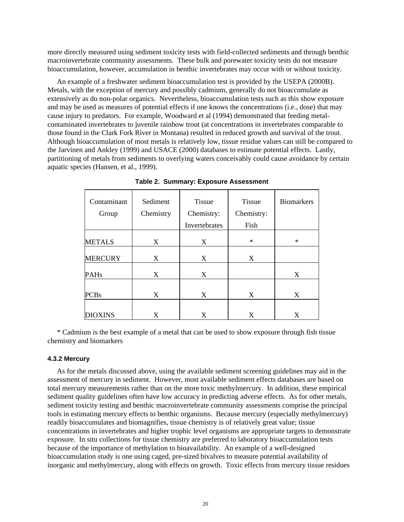<span id="page-31-0"></span>more directly measured using sediment toxicity tests with field-collected sediments and through benthic macroinvertebrate community assessments. These bulk and porewater toxicity tests do not measure bioaccumulation, however, accumulation in benthic invertebrates may occur with or without toxicity.

An example of a freshwater sediment bioaccumulation test is provided by the USEPA (2000B). Metals, with the exception of mercury and possibly cadmium, generally do not bioaccumulate as extensively as do non-polar organics. Nevertheless, bioaccumulation tests such as this show exposure and may be used as measures of potential effects if one knows the concentrations (i.e., dose) that may cause injury to predators. For example, Woodward et al (1994) demonstrated that feeding metalcontaminated invertebrates to juvenile rainbow trout (at concentrations in invertebrates comparable to those found in the Clark Fork River in Montana) resulted in reduced growth and survival of the trout. Although bioaccumulation of most metals is relatively low, tissue residue values can still be compared to the Jarvinen and Ankley (1999) and USACE (2000) databases to estimate potential effects. Lastly, partitioning of metals from sediments to overlying waters conceivably could cause avoidance by certain aquatic species (Hansen, et al., 1999).

| Contaminant    | Sediment  | <b>Tissue</b><br><b>Tissue</b> |            | <b>Biomarkers</b> |
|----------------|-----------|--------------------------------|------------|-------------------|
| Group          | Chemistry | Chemistry:                     | Chemistry: |                   |
|                |           | Invertebrates                  | Fish       |                   |
| <b>METALS</b>  | X         | X                              | $\ast$     | $\ast$            |
| <b>MERCURY</b> | X         | X                              | X          |                   |
| PAHs           | X         | X                              |            | X                 |
| <b>PCBs</b>    | X         | X                              | X          | X                 |
| <b>DIOXINS</b> | X         | X                              | X          | X                 |

**Table 2. Summary: Exposure Assessment** 

\* Cadmium is the best example of a metal that can be used to show exposure through fish tissue chemistry and biomarkers

#### **4.3.2 Mercury**

As for the metals discussed above, using the available sediment screening guidelines may aid in the assessment of mercury in sediment. However, most available sediment effects databases are based on total mercury measurements rather than on the more toxic methylmercury. In addition, these empirical sediment quality guidelines often have low accuracy in predicting adverse effects. As for other metals, sediment toxicity testing and benthic macroinvertebrate community assessments comprise the principal tools in estimating mercury effects to benthic organisms. Because mercury (especially methylmercury) readily bioaccumulates and biomagnifies, tissue chemistry is of relatively great value; tissue concentrations in invertebrates and higher trophic level organisms are appropriate targets to demonstrate exposure. In situ collections for tissue chemistry are preferred to laboratory bioaccumulation tests because of the importance of methylation to bioavailability. An example of a well-designed bioaccumulation study is one using caged, pre-sized bivalves to measure potential availability of inorganic and methylmercury, along with effects on growth. Toxic effects from mercury tissue residues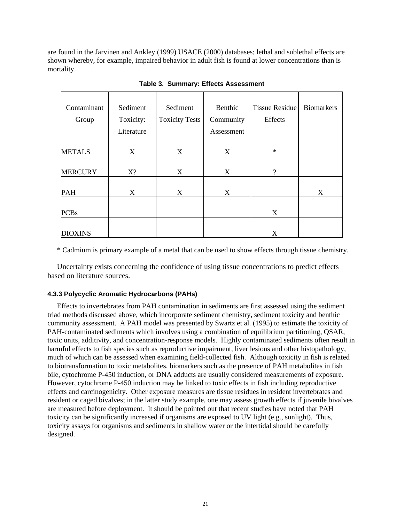<span id="page-32-0"></span>are found in the Jarvinen and Ankley (1999) USACE (2000) databases; lethal and sublethal effects are shown whereby, for example, impaired behavior in adult fish is found at lower concentrations than is mortality.

| Contaminant<br>Group | Sediment<br>Toxicity: | Sediment<br><b>Toxicity Tests</b> | Benthic<br>Community | <b>Tissue Residue</b><br>Effects | <b>Biomarkers</b> |
|----------------------|-----------------------|-----------------------------------|----------------------|----------------------------------|-------------------|
|                      | Literature            |                                   | Assessment           |                                  |                   |
| <b>METALS</b>        | X                     | X                                 | X                    | $\ast$                           |                   |
| <b>MERCURY</b>       | $X$ ?                 | X                                 | X                    | $\gamma$                         |                   |
| <b>PAH</b>           | X                     | X                                 | X                    |                                  | X                 |
| <b>PCBs</b>          |                       |                                   |                      | X                                |                   |
| <b>DIOXINS</b>       |                       |                                   |                      | X                                |                   |

**Table 3. Summary: Effects Assessment** 

\* Cadmium is primary example of a metal that can be used to show effects through tissue chemistry.

Uncertainty exists concerning the confidence of using tissue concentrations to predict effects based on literature sources.

# **4.3.3 Polycyclic Aromatic Hydrocarbons (PAHs)**

Effects to invertebrates from PAH contamination in sediments are first assessed using the sediment triad methods discussed above, which incorporate sediment chemistry, sediment toxicity and benthic community assessment. A PAH model was presented by Swartz et al. (1995) to estimate the toxicity of PAH-contaminated sediments which involves using a combination of equilibrium partitioning, QSAR, toxic units, additivity, and concentration-response models. Highly contaminated sediments often result in harmful effects to fish species such as reproductive impairment, liver lesions and other histopathology, much of which can be assessed when examining field-collected fish. Although toxicity in fish is related to biotransformation to toxic metabolites, biomarkers such as the presence of PAH metabolites in fish bile, cytochrome P-450 induction, or DNA adducts are usually considered measurements of exposure. However, cytochrome P-450 induction may be linked to toxic effects in fish including reproductive effects and carcinogenicity. Other exposure measures are tissue residues in resident invertebrates and resident or caged bivalves; in the latter study example, one may assess growth effects if juvenile bivalves are measured before deployment. It should be pointed out that recent studies have noted that PAH toxicity can be significantly increased if organisms are exposed to UV light (e.g., sunlight). Thus, toxicity assays for organisms and sediments in shallow water or the intertidal should be carefully designed.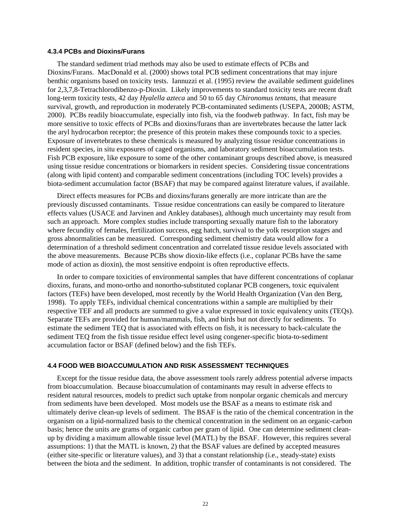#### <span id="page-33-0"></span>**4.3.4 PCBs and Dioxins/Furans**

The standard sediment triad methods may also be used to estimate effects of PCBs and Dioxins/Furans. MacDonald et al. (2000) shows total PCB sediment concentrations that may injure benthic organisms based on toxicity tests. Iannuzzi et al. (1995) review the available sediment guidelines for 2,3,7,8-Tetrachlorodibenzo-p-Dioxin. Likely improvements to standard toxicity tests are recent draft long-term toxicity tests, 42 day *Hyalella azteca* and 50 to 65 day *Chironomus tentans*, that measure survival, growth, and reproduction in moderately PCB-contaminated sediments (USEPA, 2000B; ASTM, 2000). PCBs readily bioaccumulate, especially into fish, via the foodweb pathway. In fact, fish may be more sensitive to toxic effects of PCBs and dioxins/furans than are invertebrates because the latter lack the aryl hydrocarbon receptor; the presence of this protein makes these compounds toxic to a species. Exposure of invertebrates to these chemicals is measured by analyzing tissue residue concentrations in resident species, in situ exposures of caged organisms, and laboratory sediment bioaccumulation tests. Fish PCB exposure, like exposure to some of the other contaminant groups described above, is measured using tissue residue concentrations or biomarkers in resident species. Considering tissue concentrations (along with lipid content) and comparable sediment concentrations (including TOC levels) provides a biota-sediment accumulation factor (BSAF) that may be compared against literature values, if available.

Direct effects measures for PCBs and dioxins/furans generally are more intricate than are the previously discussed contaminants. Tissue residue concentrations can easily be compared to literature effects values (USACE and Jarvinen and Ankley databases), although much uncertainty may result from such an approach. More complex studies include transporting sexually mature fish to the laboratory where fecundity of females, fertilization success, egg hatch, survival to the yolk resorption stages and gross abnormalities can be measured. Corresponding sediment chemistry data would allow for a determination of a threshold sediment concentration and correlated tissue residue levels associated with the above measurements. Because PCBs show dioxin-like effects (i.e., coplanar PCBs have the same mode of action as dioxin), the most sensitive endpoint is often reproductive effects.

In order to compare toxicities of environmental samples that have different concentrations of coplanar dioxins, furans, and mono-ortho and nonortho-substituted coplanar PCB congeners, toxic equivalent factors (TEFs) have been developed, most recently by the World Health Organization (Van den Berg, 1998). To apply TEFs, individual chemical concentrations within a sample are multiplied by their respective TEF and all products are summed to give a value expressed in toxic equivalency units (TEQs). Separate TEFs are provided for human/mammals, fish, and birds but not directly for sediments. To estimate the sediment TEQ that is associated with effects on fish, it is necessary to back-calculate the sediment TEQ from the fish tissue residue effect level using congener-specific biota-to-sediment accumulation factor or BSAF (defined below) and the fish TEFs.

#### **4.4 FOOD WEB BIOACCUMULATION AND RISK ASSESSMENT TECHNIQUES**

Except for the tissue residue data, the above assessment tools rarely address potential adverse impacts from bioaccumulation. Because bioaccumulation of contaminants may result in adverse effects to resident natural resources, models to predict such uptake from nonpolar organic chemicals and mercury from sediments have been developed. Most models use the BSAF as a means to estimate risk and ultimately derive clean-up levels of sediment. The BSAF is the ratio of the chemical concentration in the organism on a lipid-normalized basis to the chemical concentration in the sediment on an organic-carbon basis; hence the units are grams of organic carbon per gram of lipid. One can determine sediment cleanup by dividing a maximum allowable tissue level (MATL) by the BSAF. However, this requires several assumptions: 1) that the MATL is known, 2) that the BSAF values are defined by accepted measures (either site-specific or literature values), and 3) that a constant relationship (i.e., steady-state) exists between the biota and the sediment. In addition, trophic transfer of contaminants is not considered. The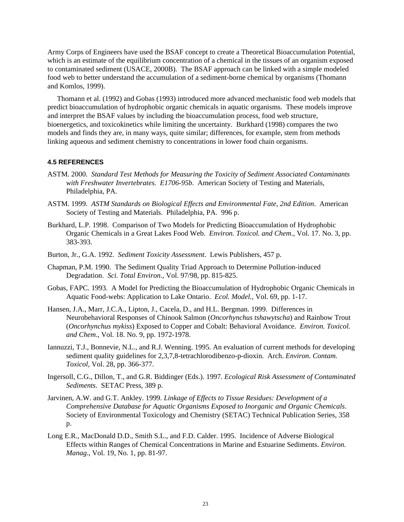<span id="page-34-0"></span>Army Corps of Engineers have used the BSAF concept to create a Theoretical Bioaccumulation Potential, which is an estimate of the equilibrium concentration of a chemical in the tissues of an organism exposed to contaminated sediment (USACE, 2000B). The BSAF approach can be linked with a simple modeled food web to better understand the accumulation of a sediment-borne chemical by organisms (Thomann and Komlos, 1999).

Thomann et al. (1992) and Gobas (1993) introduced more advanced mechanistic food web models that predict bioaccumulation of hydrophobic organic chemicals in aquatic organisms. These models improve and interpret the BSAF values by including the bioaccumulation process, food web structure, bioenergetics, and toxicokinetics while limiting the uncertainty. Burkhard (1998) compares the two models and finds they are, in many ways, quite similar; differences, for example, stem from methods linking aqueous and sediment chemistry to concentrations in lower food chain organisms.

#### **4.5 REFERENCES**

- ASTM. 2000. *Standard Test Methods for Measuring the Toxicity of Sediment Associated Contaminants with Freshwater Invertebrates. E1706-95b*. American Society of Testing and Materials, Philadelphia, PA.
- ASTM. 1999. *ASTM Standards on Biological Effects and Environmental Fate, 2nd Edition*. American Society of Testing and Materials. Philadelphia, PA. 996 p.
- Burkhard, L.P. 1998. Comparison of Two Models for Predicting Bioaccumulation of Hydrophobic Organic Chemicals in a Great Lakes Food Web. *Environ. Toxicol. and Chem*., Vol. 17. No. 3, pp. 383-393.
- Burton, Jr., G.A. 1992. *Sediment Toxicity Assessment*. Lewis Publishers, 457 p.
- Chapman, P.M. 1990. The Sediment Quality Triad Approach to Determine Pollution-induced Degradation. *Sci. Total Environ*., Vol. 97/98, pp. 815-825.
- Gobas, FAPC. 1993. A Model for Predicting the Bioaccumulation of Hydrophobic Organic Chemicals in Aquatic Food-webs: Application to Lake Ontario. *Ecol. Model.,* Vol. 69, pp. 1-17.
- Hansen, J.A., Marr, J.C.A., Lipton, J., Cacela, D., and H.L. Bergman. 1999. Differences in Neurobehavioral Responses of Chinook Salmon (*Oncorhynchus tshawytscha*) and Rainbow Trout (*Oncorhynchus mykiss*) Exposed to Copper and Cobalt: Behavioral Avoidance. *Environ. Toxicol. and Chem*., Vol. 18. No. 9, pp. 1972-1978.
- Iannuzzi, T.J., Bonnevie, N.L., and R.J. Wenning. 1995. An evaluation of current methods for developing sediment quality guidelines for 2,3,7,8-tetrachlorodibenzo-p-dioxin. Arch. *Environ. Contam. Toxicol*, Vol. 28, pp. 366-377.
- Ingersoll, C.G., Dillon, T., and G.R. Biddinger (Eds.). 1997*. Ecological Risk Assessment of Contaminated Sediments*. SETAC Press, 389 p.
- Jarvinen, A.W. and G.T. Ankley. 1999. *Linkage of Effects to Tissue Residues: Development of a Comprehensive Database for Aquatic Organisms Exposed to Inorganic and Organic Chemicals*. Society of Environmental Toxicology and Chemistry (SETAC) Technical Publication Series, 358 p.
- Long E.R., MacDonald D.D., Smith S.L., and F.D. Calder. 1995. Incidence of Adverse Biological Effects within Ranges of Chemical Concentrations in Marine and Estuarine Sediments. *Environ. Manag*., Vol. 19, No. 1, pp. 81-97.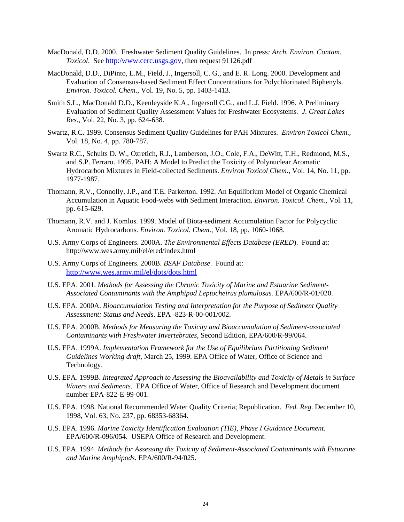- MacDonald, D.D. 2000. Freshwater Sediment Quality Guidelines. In press*: Arch. Environ. Contam. Toxicol*. See [http:/www.cerc.usgs.gov](http://www.cerc.usgs.gov/), then request 91126.pdf
- MacDonald, D.D., DiPinto, L.M., Field, J., Ingersoll, C. G., and E. R. Long. 2000. Development and Evaluation of Consensus-based Sediment Effect Concentrations for Polychlorinated Biphenyls. *Environ. Toxicol. Chem*., Vol. 19, No. 5, pp. 1403-1413.
- Smith S.L., MacDonald D.D., Keenleyside K.A., Ingersoll C.G., and L.J. Field. 1996. A Preliminary Evaluation of Sediment Quality Assessment Values for Freshwater Ecosystems*. J. Great Lakes Res*., Vol. 22, No. 3, pp. 624-638.
- Swartz, R.C. 1999. Consensus Sediment Quality Guidelines for PAH Mixtures. *Environ Toxicol Chem.*, Vol. 18, No. 4, pp. 780-787.
- Swartz R.C., Schults D. W., Ozretich, R.J., Lamberson, J.O., Cole, F.A., DeWitt, T.H., Redmond, M.S., and S.P. Ferraro. 1995. PAH: A Model to Predict the Toxicity of Polynuclear Aromatic Hydrocarbon Mixtures in Field-collected Sediments. *Environ Toxicol Chem*., Vol. 14, No. 11, pp. 1977-1987.
- Thomann, R.V., Connolly, J.P., and T.E. Parkerton. 1992. An Equilibrium Model of Organic Chemical Accumulation in Aquatic Food-webs with Sediment Interaction*. Environ. Toxicol. Chem*., Vol. 11, pp. 615-629.
- Thomann, R.V. and J. Komlos. 1999. Model of Biota-sediment Accumulation Factor for Polycyclic Aromatic Hydrocarbons. *Environ. Toxicol. Chem*., Vol. 18, pp. 1060-1068.
- U.S. Army Corps of Engineers. 2000A. *The Environmental Effects Database (ERED*). Found at: http://www.wes.army.mil/el/ered/index.html
- U.S. Army Corps of Engineers. 2000B. *BSAF Database*. Found at: <http://www.wes.army.mil/el/dots/dots.html>
- U.S. EPA. 2001. *Methods for Assessing the Chronic Toxicity of Marine and Estuarine Sediment-Associated Contaminants with the Amphipod Leptocheirus plumulosus.* EPA/600/R-01/020.
- U.S. EPA. 2000A. *Bioaccumulation Testing and Interpretation for the Purpose of Sediment Quality Assessment: Status and Needs*. EPA -823-R-00-001/002.
- U.S. EPA. 2000B. *Methods for Measuring the Toxicity and Bioaccumulation of Sediment-associated Contaminants with Freshwater Invertebrates*, Second Edition, EPA/600/R-99/064.
- U.S. EPA. 1999A. *Implementation Framework for the Use of Equilibrium Partitioning Sediment Guidelines Working draft*, March 25, 1999. EPA Office of Water, Office of Science and Technology.
- U.S. EPA. 1999B. *Integrated Approach to Assessing the Bioavailability and Toxicity of Metals in Surface Waters and Sediments*. EPA Office of Water, Office of Research and Development document number EPA-822-E-99-001.
- U.S. EPA. 1998. National Recommended Water Quality Criteria; Republication. *Fed. Reg*. December 10, 1998, Vol. 63, No. 237, pp. 68353-68364.
- U.S. EPA. 1996. *Marine Toxicity Identification Evaluation (TIE), Phase I Guidance Document*. EPA/600/R-096/054. USEPA Office of Research and Development.
- U.S. EPA. 1994. *Methods for Assessing the Toxicity of Sediment-Associated Contaminants with Estuarine and Marine Amphipods.* EPA/600/R-94/025.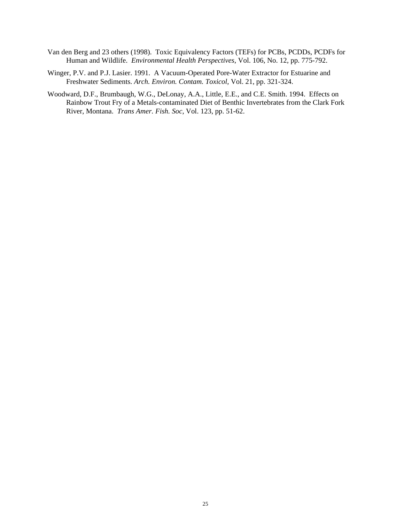- Van den Berg and 23 others (1998). Toxic Equivalency Factors (TEFs) for PCBs, PCDDs, PCDFs for Human and Wildlife. *Environmental Health Perspectives*, Vol. 106, No. 12, pp. 775-792.
- Winger, P.V. and P.J. Lasier. 1991. A Vacuum-Operated Pore-Water Extractor for Estuarine and Freshwater Sediments. *Arch. Environ. Contam. Toxicol*, Vol. 21, pp. 321-324.
- Woodward, D.F., Brumbaugh, W.G., DeLonay, A.A., Little, E.E., and C.E. Smith. 1994. Effects on Rainbow Trout Fry of a Metals-contaminated Diet of Benthic Invertebrates from the Clark Fork River, Montana. *Trans Amer. Fish. Soc*, Vol. 123, pp. 51-62.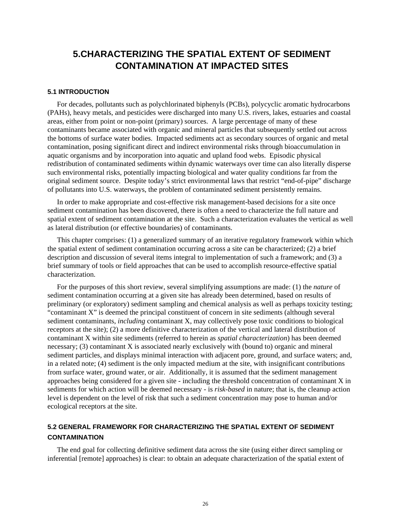# **5.CHARACTERIZING THE SPATIAL EXTENT OF SEDIMENT CONTAMINATION AT IMPACTED SITES**

## **5.1 INTRODUCTION**

For decades, pollutants such as polychlorinated biphenyls (PCBs), polycyclic aromatic hydrocarbons (PAHs), heavy metals, and pesticides were discharged into many U.S. rivers, lakes, estuaries and coastal areas, either from point or non-point (primary) sources. A large percentage of many of these contaminants became associated with organic and mineral particles that subsequently settled out across the bottoms of surface water bodies. Impacted sediments act as secondary sources of organic and metal contamination, posing significant direct and indirect environmental risks through bioaccumulation in aquatic organisms and by incorporation into aquatic and upland food webs. Episodic physical redistribution of contaminated sediments within dynamic waterways over time can also literally disperse such environmental risks, potentially impacting biological and water quality conditions far from the original sediment source. Despite today's strict environmental laws that restrict "end-of-pipe" discharge of pollutants into U.S. waterways, the problem of contaminated sediment persistently remains.

In order to make appropriate and cost-effective risk management-based decisions for a site once sediment contamination has been discovered, there is often a need to characterize the full nature and spatial extent of sediment contamination at the site. Such a characterization evaluates the vertical as well as lateral distribution (or effective boundaries) of contaminants.

This chapter comprises: (1) a generalized summary of an iterative regulatory framework within which the spatial extent of sediment contamination occurring across a site can be characterized; (2) a brief description and discussion of several items integral to implementation of such a framework; and (3) a brief summary of tools or field approaches that can be used to accomplish resource-effective spatial characterization.

For the purposes of this short review, several simplifying assumptions are made: (1) the *nature* of sediment contamination occurring at a given site has already been determined, based on results of preliminary (or exploratory) sediment sampling and chemical analysis as well as perhaps toxicity testing; "contaminant X" is deemed the principal constituent of concern in site sediments (although several sediment contaminants, *including* contaminant X, may collectively pose toxic conditions to biological receptors at the site); (2) a more definitive characterization of the vertical and lateral distribution of contaminant X within site sediments (referred to herein as *spatial characterization*) has been deemed necessary; (3) contaminant X is associated nearly exclusively with (bound to) organic and mineral sediment particles, and displays minimal interaction with adjacent pore, ground, and surface waters; and, in a related note; (4) sediment is the only impacted medium at the site, with insignificant contributions from surface water, ground water, or air. Additionally, it is assumed that the sediment management approaches being considered for a given site - including the threshold concentration of contaminant X in sediments for which action will be deemed necessary - is *risk-based* in nature; that is, the cleanup action level is dependent on the level of risk that such a sediment concentration may pose to human and/or ecological receptors at the site.

## **5.2 GENERAL FRAMEWORK FOR CHARACTERIZING THE SPATIAL EXTENT OF SEDIMENT CONTAMINATION**

The end goal for collecting definitive sediment data across the site (using either direct sampling or inferential [remote] approaches) is clear: to obtain an adequate characterization of the spatial extent of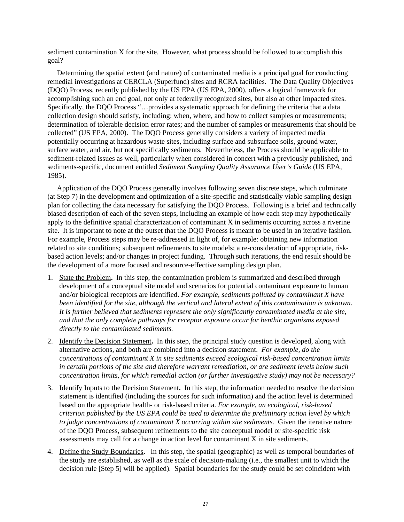sediment contamination X for the site. However, what process should be followed to accomplish this goal?

Determining the spatial extent (and nature) of contaminated media is a principal goal for conducting remedial investigations at CERCLA (Superfund) sites and RCRA facilities. The Data Quality Objectives (DQO) Process, recently published by the US EPA (US EPA, 2000), offers a logical framework for accomplishing such an end goal, not only at federally recognized sites, but also at other impacted sites. Specifically, the DQO Process "…provides a systematic approach for defining the criteria that a data collection design should satisfy, including: when, where, and how to collect samples or measurements; determination of tolerable decision error rates; and the number of samples or measurements that should be collected" (US EPA, 2000). The DQO Process generally considers a variety of impacted media potentially occurring at hazardous waste sites, including surface and subsurface soils, ground water, surface water, and air, but not specifically sediments. Nevertheless, the Process should be applicable to sediment-related issues as well, particularly when considered in concert with a previously published, and sediments-specific, document entitled *Sediment Sampling Quality Assurance User's Guide* (US EPA, 1985).

Application of the DQO Process generally involves following seven discrete steps, which culminate (at Step 7) in the development and optimization of a site-specific and statistically viable sampling design plan for collecting the data necessary for satisfying the DQO Process. Following is a brief and technically biased description of each of the seven steps, including an example of how each step may hypothetically apply to the definitive spatial characterization of contaminant X in sediments occurring across a riverine site. It is important to note at the outset that the DQO Process is meant to be used in an iterative fashion. For example, Process steps may be re-addressed in light of, for example: obtaining new information related to site conditions; subsequent refinements to site models; a re-consideration of appropriate, riskbased action levels; and/or changes in project funding. Through such iterations, the end result should be the development of a more focused and resource-effective sampling design plan.

- 1. State the Problem**.** In this step, the contamination problem is summarized and described through development of a conceptual site model and scenarios for potential contaminant exposure to human and/or biological receptors are identified. *For example, sediments polluted by contaminant X have been identified for the site, although the vertical and lateral extent of this contamination is unknown. It is further believed that sediments represent the only significantly contaminated media at the site, and that the only complete pathways for receptor exposure occur for benthic organisms exposed directly to the contaminated sediments.*
- 2. Identify the Decision Statement**.** In this step, the principal study question is developed, along with alternative actions, and both are combined into a decision statement. *For example, do the concentrations of contaminant X in site sediments exceed ecological risk-based concentration limits in certain portions of the site and therefore warrant remediation, or are sediment levels below such concentration limits, for which remedial action (or further investigative study) may not be necessary?*
- 3. Identify Inputs to the Decision Statement**.** In this step, the information needed to resolve the decision statement is identified (including the sources for such information) and the action level is determined based on the appropriate health- or risk-based criteria. *For example, an ecological, risk-based criterion published by the US EPA could be used to determine the preliminary action level by which to judge concentrations of contaminant X occurring within site sediments.* Given the iterative nature of the DQO Process, subsequent refinements to the site conceptual model or site-specific risk assessments may call for a change in action level for contaminant X in site sediments.
- 4. Define the Study Boundaries**.** In this step, the spatial (geographic) as well as temporal boundaries of the study are established, as well as the scale of decision-making (i.e., the smallest unit to which the decision rule [Step 5] will be applied). Spatial boundaries for the study could be set coincident with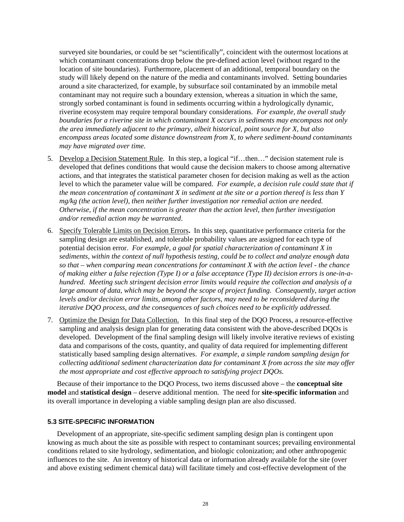surveyed site boundaries, or could be set "scientifically", coincident with the outermost locations at which contaminant concentrations drop below the pre-defined action level (without regard to the location of site boundaries). Furthermore, placement of an additional, temporal boundary on the study will likely depend on the nature of the media and contaminants involved. Setting boundaries around a site characterized, for example, by subsurface soil contaminated by an immobile metal contaminant may not require such a boundary extension, whereas a situation in which the same, strongly sorbed contaminant is found in sediments occurring within a hydrologically dynamic, riverine ecosystem may require temporal boundary considerations. *For example, the overall study boundaries for a riverine site in which contaminant X occurs in sediments may encompass not only the area immediately adjacent to the primary, albeit historical, point source for X, but also encompass areas located some distance downstream from X, to where sediment-bound contaminants may have migrated over time.*

- 5. Develop a Decision Statement Rule. In this step, a logical "if…then…" decision statement rule is developed that defines conditions that would cause the decision makers to choose among alternative actions, and that integrates the statistical parameter chosen for decision making as well as the action level to which the parameter value will be compared. *For example, a decision rule could state that if the mean concentration of contaminant X in sediment at the site or a portion thereof is less than Y mg/kg (the action level), then neither further investigation nor remedial action are needed. Otherwise, if the mean concentration is greater than the action level, then further investigation and/or remedial action may be warranted*.
- 6. Specify Tolerable Limits on Decision Errors**.** In this step, quantitative performance criteria for the sampling design are established, and tolerable probability values are assigned for each type of potential decision error. *For example, a goal for spatial characterization of contaminant X in sediments, within the context of null hypothesis testing, could be to collect and analyze enough data so that – when comparing mean concentrations for contaminant X with the action level - the chance of making either a false rejection (Type I) or a false acceptance (Type II) decision errors is one-in-ahundred. Meeting such stringent decision error limits would require the collection and analysis of a*  large amount of data, which may be beyond the scope of project funding. Consequently, target action *levels and/or decision error limits, among other factors, may need to be reconsidered during the iterative DQO process, and the consequences of such choices need to be explicitly addressed.*
- 7. Optimize the Design for Data Collection. In this final step of the DQO Process, a resource-effective sampling and analysis design plan for generating data consistent with the above-described DQOs is developed. Development of the final sampling design will likely involve iterative reviews of existing data and comparisons of the costs, quantity, and quality of data required for implementing different statistically based sampling design alternatives. *For example, a simple random sampling design for collecting additional sediment characterization data for contaminant X from across the site may offer the most appropriate and cost effective approach to satisfying project DQOs.*

Because of their importance to the DQO Process, two items discussed above – the **conceptual site model** and **statistical design** – deserve additional mention. The need for **site-specific information** and its overall importance in developing a viable sampling design plan are also discussed.

### **5.3 SITE-SPECIFIC INFORMATION**

Development of an appropriate, site-specific sediment sampling design plan is contingent upon knowing as much about the site as possible with respect to contaminant sources; prevailing environmental conditions related to site hydrology, sedimentation, and biologic colonization; and other anthropogenic influences to the site. An inventory of historical data or information already available for the site (over and above existing sediment chemical data) will facilitate timely and cost-effective development of the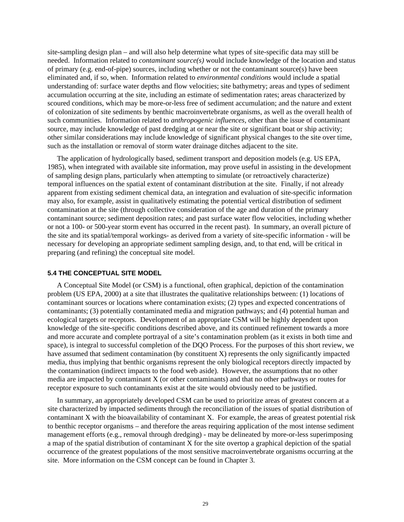site-sampling design plan – and will also help determine what types of site-specific data may still be needed. Information related to *contaminant source(s)* would include knowledge of the location and status of primary (e.g. end-of-pipe) sources, including whether or not the contaminant source(s) have been eliminated and, if so, when. Information related to *environmental conditions* would include a spatial understanding of: surface water depths and flow velocities; site bathymetry; areas and types of sediment accumulation occurring at the site, including an estimate of sedimentation rates; areas characterized by scoured conditions, which may be more-or-less free of sediment accumulation; and the nature and extent of colonization of site sediments by benthic macroinvertebrate organisms, as well as the overall health of such communities. Information related to *anthropogenic influences,* other than the issue of contaminant source, may include knowledge of past dredging at or near the site or significant boat or ship activity; other similar considerations may include knowledge of significant physical changes to the site over time, such as the installation or removal of storm water drainage ditches adjacent to the site.

The application of hydrologically based, sediment transport and deposition models (e.g. US EPA, 1985), when integrated with available site information, may prove useful in assisting in the development of sampling design plans, particularly when attempting to simulate (or retroactively characterize) temporal influences on the spatial extent of contaminant distribution at the site. Finally, if not already apparent from existing sediment chemical data, an integration and evaluation of site-specific information may also, for example, assist in qualitatively estimating the potential vertical distribution of sediment contamination at the site (through collective consideration of the age and duration of the primary contaminant source; sediment deposition rates; and past surface water flow velocities, including whether or not a 100- or 500-year storm event has occurred in the recent past). In summary, an overall picture of the site and its spatial/temporal workings- as derived from a variety of site-specific information - will be necessary for developing an appropriate sediment sampling design, and, to that end, will be critical in preparing (and refining) the conceptual site model.

#### **5.4 THE CONCEPTUAL SITE MODEL**

A Conceptual Site Model (or CSM) is a functional, often graphical, depiction of the contamination problem (US EPA, 2000) at a site that illustrates the qualitative relationships between: (1) locations of contaminant sources or locations where contamination exists; (2) types and expected concentrations of contaminants; (3) potentially contaminated media and migration pathways; and (4) potential human and ecological targets or receptors. Development of an appropriate CSM will be highly dependent upon knowledge of the site-specific conditions described above, and its continued refinement towards a more and more accurate and complete portrayal of a site's contamination problem (as it exists in both time and space), is integral to successful completion of the DQO Process. For the purposes of this short review, we have assumed that sediment contamination (by constituent X) represents the only significantly impacted media, thus implying that benthic organisms represent the only biological receptors directly impacted by the contamination (indirect impacts to the food web aside). However, the assumptions that no other media are impacted by contaminant X (or other contaminants) and that no other pathways or routes for receptor exposure to such contaminants exist at the site would obviously need to be justified.

In summary, an appropriately developed CSM can be used to prioritize areas of greatest concern at a site characterized by impacted sediments through the reconciliation of the issues of spatial distribution of contaminant X with the bioavailability of contaminant X. For example, the areas of greatest potential risk to benthic receptor organisms – and therefore the areas requiring application of the most intense sediment management efforts (e.g., removal through dredging) - may be delineated by more-or-less superimposing a map of the spatial distribution of contaminant X for the site overtop a graphical depiction of the spatial occurrence of the greatest populations of the most sensitive macroinvertebrate organisms occurring at the site. More information on the CSM concept can be found in Chapter 3.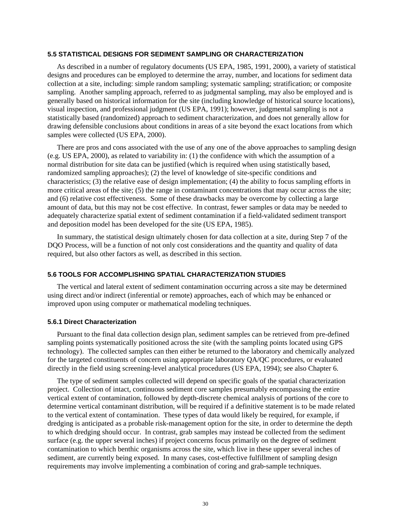### **5.5 STATISTICAL DESIGNS FOR SEDIMENT SAMPLING OR CHARACTERIZATION**

As described in a number of regulatory documents (US EPA, 1985, 1991, 2000), a variety of statistical designs and procedures can be employed to determine the array, number, and locations for sediment data collection at a site, including: simple random sampling; systematic sampling; stratification; or composite sampling. Another sampling approach, referred to as judgmental sampling, may also be employed and is generally based on historical information for the site (including knowledge of historical source locations), visual inspection, and professional judgment (US EPA, 1991); however, judgmental sampling is not a statistically based (randomized) approach to sediment characterization, and does not generally allow for drawing defensible conclusions about conditions in areas of a site beyond the exact locations from which samples were collected (US EPA, 2000).

There are pros and cons associated with the use of any one of the above approaches to sampling design (e.g. US EPA, 2000), as related to variability in: (1) the confidence with which the assumption of a normal distribution for site data can be justified (which is required when using statistically based, randomized sampling approaches); (2) the level of knowledge of site-specific conditions and characteristics; (3) the relative ease of design implementation; (4) the ability to focus sampling efforts in more critical areas of the site; (5) the range in contaminant concentrations that may occur across the site; and (6) relative cost effectiveness. Some of these drawbacks may be overcome by collecting a large amount of data, but this may not be cost effective. In contrast, fewer samples or data may be needed to adequately characterize spatial extent of sediment contamination if a field-validated sediment transport and deposition model has been developed for the site (US EPA, 1985).

In summary, the statistical design ultimately chosen for data collection at a site, during Step 7 of the DQO Process, will be a function of not only cost considerations and the quantity and quality of data required, but also other factors as well, as described in this section.

## **5.6 TOOLS FOR ACCOMPLISHING SPATIAL CHARACTERIZATION STUDIES**

The vertical and lateral extent of sediment contamination occurring across a site may be determined using direct and/or indirect (inferential or remote) approaches, each of which may be enhanced or improved upon using computer or mathematical modeling techniques.

### **5.6.1 Direct Characterization**

Pursuant to the final data collection design plan, sediment samples can be retrieved from pre-defined sampling points systematically positioned across the site (with the sampling points located using GPS technology). The collected samples can then either be returned to the laboratory and chemically analyzed for the targeted constituents of concern using appropriate laboratory QA/QC procedures, or evaluated directly in the field using screening-level analytical procedures (US EPA, 1994); see also Chapter 6.

The type of sediment samples collected will depend on specific goals of the spatial characterization project. Collection of intact, continuous sediment core samples presumably encompassing the entire vertical extent of contamination, followed by depth-discrete chemical analysis of portions of the core to determine vertical contaminant distribution, will be required if a definitive statement is to be made related to the vertical extent of contamination. These types of data would likely be required, for example, if dredging is anticipated as a probable risk-management option for the site, in order to determine the depth to which dredging should occur. In contrast, grab samples may instead be collected from the sediment surface (e.g. the upper several inches) if project concerns focus primarily on the degree of sediment contamination to which benthic organisms across the site, which live in these upper several inches of sediment, are currently being exposed. In many cases, cost-effective fulfillment of sampling design requirements may involve implementing a combination of coring and grab-sample techniques.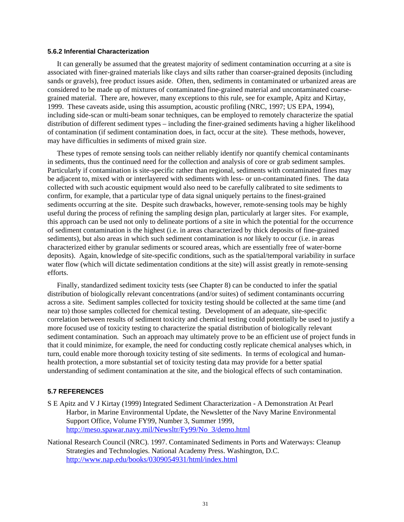### **5.6.2 Inferential Characterization**

It can generally be assumed that the greatest majority of sediment contamination occurring at a site is associated with finer-grained materials like clays and silts rather than coarser-grained deposits (including sands or gravels), free product issues aside. Often, then, sediments in contaminated or urbanized areas are considered to be made up of mixtures of contaminated fine-grained material and uncontaminated coarsegrained material. There are, however, many exceptions to this rule, see for example, Apitz and Kirtay, 1999. These caveats aside, using this assumption, acoustic profiling (NRC, 1997; US EPA, 1994), including side-scan or multi-beam sonar techniques, can be employed to remotely characterize the spatial distribution of different sediment types – including the finer-grained sediments having a higher likelihood of contamination (if sediment contamination does, in fact, occur at the site). These methods, however, may have difficulties in sediments of mixed grain size.

These types of remote sensing tools can neither reliably identify nor quantify chemical contaminants in sediments, thus the continued need for the collection and analysis of core or grab sediment samples. Particularly if contamination is site-specific rather than regional, sediments with contaminated fines may be adjacent to, mixed with or interlayered with sediments with less- or un-contaminated fines. The data collected with such acoustic equipment would also need to be carefully calibrated to site sediments to confirm, for example, that a particular type of data signal uniquely pertains to the finest-grained sediments occurring at the site. Despite such drawbacks, however, remote-sensing tools may be highly useful during the process of refining the sampling design plan, particularly at larger sites. For example, this approach can be used not only to delineate portions of a site in which the potential for the occurrence of sediment contamination is the highest (i.e. in areas characterized by thick deposits of fine-grained sediments), but also areas in which such sediment contamination is *not* likely to occur (i.e. in areas characterized either by granular sediments or scoured areas, which are essentially free of water-borne deposits). Again, knowledge of site-specific conditions, such as the spatial/temporal variability in surface water flow (which will dictate sedimentation conditions at the site) will assist greatly in remote-sensing efforts.

Finally, standardized sediment toxicity tests (see Chapter 8) can be conducted to infer the spatial distribution of biologically relevant concentrations (and/or suites) of sediment contaminants occurring across a site. Sediment samples collected for toxicity testing should be collected at the same time (and near to) those samples collected for chemical testing. Development of an adequate, site-specific correlation between results of sediment toxicity and chemical testing could potentially be used to justify a more focused use of toxicity testing to characterize the spatial distribution of biologically relevant sediment contamination. Such an approach may ultimately prove to be an efficient use of project funds in that it could minimize, for example, the need for conducting costly replicate chemical analyses which, in turn, could enable more thorough toxicity testing of site sediments. In terms of ecological and humanhealth protection, a more substantial set of toxicity testing data may provide for a better spatial understanding of sediment contamination at the site, and the biological effects of such contamination.

### **5.7 REFERENCES**

- S E Apitz and V J Kirtay (1999) Integrated Sediment Characterization A Demonstration At Pearl Harbor, in Marine Environmental Update, the Newsletter of the Navy Marine Environmental Support Office, Volume FY99, Number 3, Summer 1999, http://meso.spawar.navy.mil/Newsltr/Fy99/No\_3/demo.html
- National Research Council (NRC). 1997. Contaminated Sediments in Ports and Waterways: Cleanup Strategies and Technologies. National Academy Press. Washington, D.C. <http://www.nap.edu/books/0309054931/html/index.html>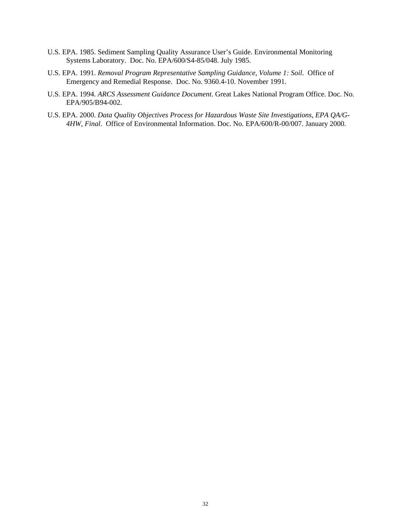- U.S. EPA. 1985. Sediment Sampling Quality Assurance User's Guide. Environmental Monitoring Systems Laboratory. Doc. No. EPA/600/S4-85/048. July 1985.
- U.S. EPA. 1991. *Removal Program Representative Sampling Guidance, Volume 1: Soil*. Office of Emergency and Remedial Response. Doc. No. 9360.4-10. November 1991.
- U.S. EPA. 1994. *ARCS Assessment Guidance Document*. Great Lakes National Program Office. Doc. No. EPA/905/B94-002.
- U.S. EPA. 2000. *Data Quality Objectives Process for Hazardous Waste Site Investigations, EPA QA/G-4HW, Final*. Office of Environmental Information. Doc. No. EPA/600/R-00/007. January 2000.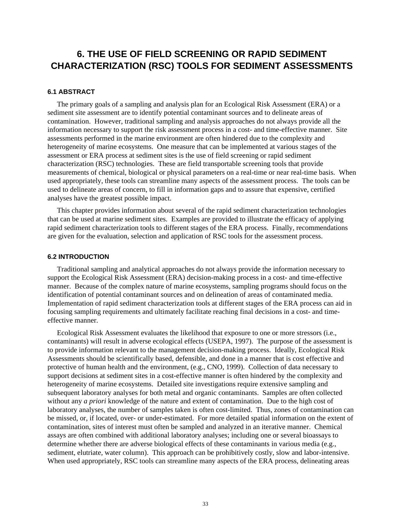# **6. THE USE OF FIELD SCREENING OR RAPID SEDIMENT CHARACTERIZATION (RSC) TOOLS FOR SEDIMENT ASSESSMENTS**

## **6.1 ABSTRACT**

The primary goals of a sampling and analysis plan for an Ecological Risk Assessment (ERA) or a sediment site assessment are to identify potential contaminant sources and to delineate areas of contamination. However, traditional sampling and analysis approaches do not always provide all the information necessary to support the risk assessment process in a cost- and time-effective manner. Site assessments performed in the marine environment are often hindered due to the complexity and heterogeneity of marine ecosystems. One measure that can be implemented at various stages of the assessment or ERA process at sediment sites is the use of field screening or rapid sediment characterization (RSC) technologies. These are field transportable screening tools that provide measurements of chemical, biological or physical parameters on a real-time or near real-time basis. When used appropriately, these tools can streamline many aspects of the assessment process. The tools can be used to delineate areas of concern, to fill in information gaps and to assure that expensive, certified analyses have the greatest possible impact.

This chapter provides information about several of the rapid sediment characterization technologies that can be used at marine sediment sites. Examples are provided to illustrate the efficacy of applying rapid sediment characterization tools to different stages of the ERA process. Finally, recommendations are given for the evaluation, selection and application of RSC tools for the assessment process.

### **6.2 INTRODUCTION**

Traditional sampling and analytical approaches do not always provide the information necessary to support the Ecological Risk Assessment (ERA) decision-making process in a cost- and time-effective manner. Because of the complex nature of marine ecosystems, sampling programs should focus on the identification of potential contaminant sources and on delineation of areas of contaminated media. Implementation of rapid sediment characterization tools at different stages of the ERA process can aid in focusing sampling requirements and ultimately facilitate reaching final decisions in a cost- and timeeffective manner.

Ecological Risk Assessment evaluates the likelihood that exposure to one or more stressors (i.e., contaminants) will result in adverse ecological effects (USEPA, 1997). The purpose of the assessment is to provide information relevant to the management decision-making process. Ideally, Ecological Risk Assessments should be scientifically based, defensible, and done in a manner that is cost effective and protective of human health and the environment, (e.g., CNO, 1999). Collection of data necessary to support decisions at sediment sites in a cost-effective manner is often hindered by the complexity and heterogeneity of marine ecosystems. Detailed site investigations require extensive sampling and subsequent laboratory analyses for both metal and organic contaminants. Samples are often collected without any *a priori* knowledge of the nature and extent of contamination. Due to the high cost of laboratory analyses, the number of samples taken is often cost-limited. Thus, zones of contamination can be missed, or, if located, over- or under-estimated. For more detailed spatial information on the extent of contamination, sites of interest must often be sampled and analyzed in an iterative manner. Chemical assays are often combined with additional laboratory analyses; including one or several bioassays to determine whether there are adverse biological effects of these contaminants in various media (e.g., sediment, elutriate, water column). This approach can be prohibitively costly, slow and labor-intensive. When used appropriately, RSC tools can streamline many aspects of the ERA process, delineating areas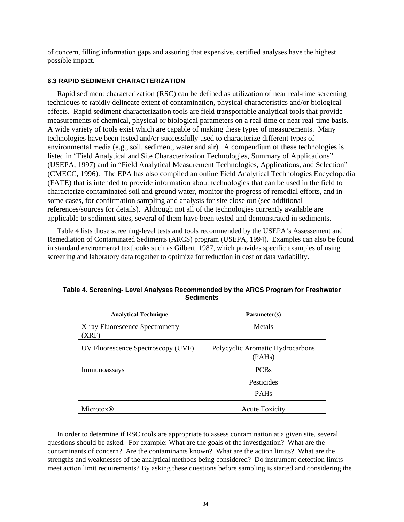of concern, filling information gaps and assuring that expensive, certified analyses have the highest possible impact.

## **6.3 RAPID SEDIMENT CHARACTERIZATION**

Rapid sediment characterization (RSC) can be defined as utilization of near real-time screening techniques to rapidly delineate extent of contamination, physical characteristics and/or biological effects. Rapid sediment characterization tools are field transportable analytical tools that provide measurements of chemical, physical or biological parameters on a real-time or near real-time basis. A wide variety of tools exist which are capable of making these types of measurements. Many technologies have been tested and/or successfully used to characterize different types of environmental media (e.g., soil, sediment, water and air). A compendium of these technologies is listed in "Field Analytical and Site Characterization Technologies, Summary of Applications" (USEPA, 1997) and in "Field Analytical Measurement Technologies, Applications, and Selection" (CMECC, 1996). The EPA has also compiled an online Field Analytical Technologies Encyclopedia (FATE) that is intended to provide information about technologies that can be used in the field to characterize contaminated soil and ground water, monitor the progress of remedial efforts, and in some cases, for confirmation sampling and analysis for site close out (see additional references/sources for details). Although not all of the technologies currently available are applicable to sediment sites, several of them have been tested and demonstrated in sediments.

Table 4 lists those screening-level tests and tools recommended by the USEPA's Assessement and Remediation of Contaminated Sediments (ARCS) program (USEPA, 1994). Examples can also be found in standard environmental textbooks such as Gilbert, 1987, which provides specific examples of using screening and laboratory data together to optimize for reduction in cost or data variability.

| <b>Analytical Technique</b>              | Parameter(s)                               |
|------------------------------------------|--------------------------------------------|
| X-ray Fluorescence Spectrometry<br>(XRF) | Metals                                     |
| UV Fluorescence Spectroscopy (UVF)       | Polycyclic Aromatic Hydrocarbons<br>(PAHs) |
| Immunoassays                             | <b>PCBs</b>                                |
|                                          | Pesticides                                 |
|                                          | <b>PAHs</b>                                |
| Microtox <sup>®</sup>                    | <b>Acute Toxicity</b>                      |

## **Table 4. Screening- Level Analyses Recommended by the ARCS Program for Freshwater Sediments**

In order to determine if RSC tools are appropriate to assess contamination at a given site, several questions should be asked. For example: What are the goals of the investigation? What are the contaminants of concern? Are the contaminants known? What are the action limits? What are the strengths and weaknesses of the analytical methods being considered? Do instrument detection limits meet action limit requirements? By asking these questions before sampling is started and considering the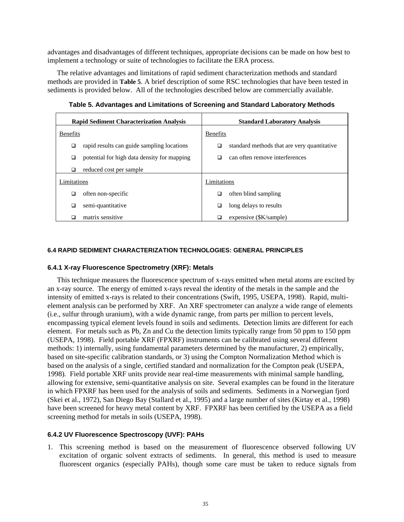advantages and disadvantages of different techniques, appropriate decisions can be made on how best to implement a technology or suite of technologies to facilitate the ERA process.

The relative advantages and limitations of rapid sediment characterization methods and standard methods are provided in **[Table 5](#page-46-0)**. A brief description of some RSC technologies that have been tested in sediments is provided below. All of the technologies described below are commercially available.

| <b>Rapid Sediment Characterization Analysis</b> |                                             | <b>Standard Laboratory Analysis</b> |                                             |  |
|-------------------------------------------------|---------------------------------------------|-------------------------------------|---------------------------------------------|--|
| <b>Benefits</b>                                 |                                             | <b>Benefits</b>                     |                                             |  |
| ❏                                               | rapid results can guide sampling locations  | ❏                                   | standard methods that are very quantitative |  |
| □                                               | potential for high data density for mapping | ◻                                   | can often remove interferences              |  |
| ◻                                               | reduced cost per sample                     |                                     |                                             |  |
| Limitations                                     |                                             | Limitations                         |                                             |  |
| ◻                                               | often non-specific                          | □                                   | often blind sampling                        |  |
| ◻                                               | semi-quantitative                           | ◻                                   | long delays to results                      |  |
| □                                               | matrix sensitive                            |                                     | expensive (\$K/sample)                      |  |

<span id="page-46-0"></span>**Table 5. Advantages and Limitations of Screening and Standard Laboratory Methods** 

## **6.4 RAPID SEDIMENT CHARACTERIZATION TECHNOLOGIES: GENERAL PRINCIPLES**

## **6.4.1 X-ray Fluorescence Spectrometry (XRF): Metals**

This technique measures the fluorescence spectrum of x-rays emitted when metal atoms are excited by an x-ray source. The energy of emitted x-rays reveal the identity of the metals in the sample and the intensity of emitted x-rays is related to their concentrations (Swift, 1995, USEPA, 1998). Rapid, multielement analysis can be performed by XRF. An XRF spectrometer can analyze a wide range of elements (i.e., sulfur through uranium), with a wide dynamic range, from parts per million to percent levels, encompassing typical element levels found in soils and sediments. Detection limits are different for each element. For metals such as Pb, Zn and Cu the detection limits typically range from 50 ppm to 150 ppm (USEPA, 1998). Field portable XRF (FPXRF) instruments can be calibrated using several different methods: 1) internally, using fundamental parameters determined by the manufacturer, 2) empirically, based on site-specific calibration standards, or 3) using the Compton Normalization Method which is based on the analysis of a single, certified standard and normalization for the Compton peak (USEPA, 1998). Field portable XRF units provide near real-time measurements with minimal sample handling, allowing for extensive, semi-quantitative analysis on site. Several examples can be found in the literature in which FPXRF has been used for the analysis of soils and sediments. Sediments in a Norwegian fjord (Skei et al., 1972), San Diego Bay (Stallard et al., 1995) and a large number of sites (Kirtay et al., 1998) have been screened for heavy metal content by XRF. FPXRF has been certified by the USEPA as a field screening method for metals in soils (USEPA, 1998).

## **6.4.2 UV Fluorescence Spectroscopy (UVF): PAHs**

1. This screening method is based on the measurement of fluorescence observed following UV excitation of organic solvent extracts of sediments. In general, this method is used to measure fluorescent organics (especially PAHs), though some care must be taken to reduce signals from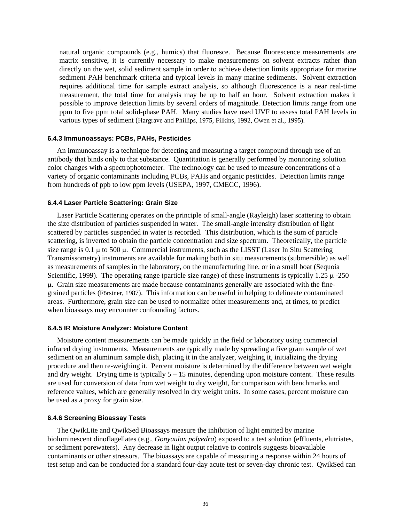natural organic compounds (e.g., humics) that fluoresce. Because fluorescence measurements are matrix sensitive, it is currently necessary to make measurements on solvent extracts rather than directly on the wet, solid sediment sample in order to achieve detection limits appropriate for marine sediment PAH benchmark criteria and typical levels in many marine sediments. Solvent extraction requires additional time for sample extract analysis, so although fluorescence is a near real-time measurement, the total time for analysis may be up to half an hour. Solvent extraction makes it possible to improve detection limits by several orders of magnitude. Detection limits range from one ppm to five ppm total solid-phase PAH. Many studies have used UVF to assess total PAH levels in various types of sediment (Hargrave and Phillips, 1975, Filkins, 1992, Owen et al., 1995).

## **6.4.3 Immunoassays: PCBs, PAHs, Pesticides**

An immunoassay is a technique for detecting and measuring a target compound through use of an antibody that binds only to that substance. Quantitation is generally performed by monitoring solution color changes with a spectrophotometer. The technology can be used to measure concentrations of a variety of organic contaminants including PCBs, PAHs and organic pesticides. Detection limits range from hundreds of ppb to low ppm levels (USEPA, 1997, CMECC, 1996).

## **6.4.4 Laser Particle Scattering: Grain Size**

Laser Particle Scattering operates on the principle of small-angle (Rayleigh) laser scattering to obtain the size distribution of particles suspended in water. The small-angle intensity distribution of light scattered by particles suspended in water is recorded. This distribution, which is the sum of particle scattering, is inverted to obtain the particle concentration and size spectrum. Theoretically, the particle size range is  $0.1 \mu$  to  $500 \mu$ . Commercial instruments, such as the LISST (Laser In Situ Scattering Transmissometry) instruments are available for making both in situ measurements (submersible) as well as measurements of samples in the laboratory, on the manufacturing line, or in a small boat (Sequoia Scientific, 1999). The operating range (particle size range) of these instruments is typically 1.25  $\mu$  -250 µ. Grain size measurements are made because contaminants generally are associated with the finegrained particles (Förstner, 1987). This information can be useful in helping to delineate contaminated areas. Furthermore, grain size can be used to normalize other measurements and, at times, to predict when bioassays may encounter confounding factors.

### **6.4.5 IR Moisture Analyzer: Moisture Content**

Moisture content measurements can be made quickly in the field or laboratory using commercial infrared drying instruments. Measurements are typically made by spreading a five gram sample of wet sediment on an aluminum sample dish, placing it in the analyzer, weighing it, initializing the drying procedure and then re-weighing it. Percent moisture is determined by the difference between wet weight and dry weight. Drying time is typically  $5 - 15$  minutes, depending upon moisture content. These results are used for conversion of data from wet weight to dry weight, for comparison with benchmarks and reference values, which are generally resolved in dry weight units. In some cases, percent moisture can be used as a proxy for grain size.

### **6.4.6 Screening Bioassay Tests**

The QwikLite and QwikSed Bioassays measure the inhibition of light emitted by marine bioluminescent dinoflagellates (e.g., *Gonyaulax polyedra*) exposed to a test solution (effluents, elutriates, or sediment porewaters). Any decrease in light output relative to controls suggests bioavailable contaminants or other stressors. The bioassays are capable of measuring a response within 24 hours of test setup and can be conducted for a standard four-day acute test or seven-day chronic test. QwikSed can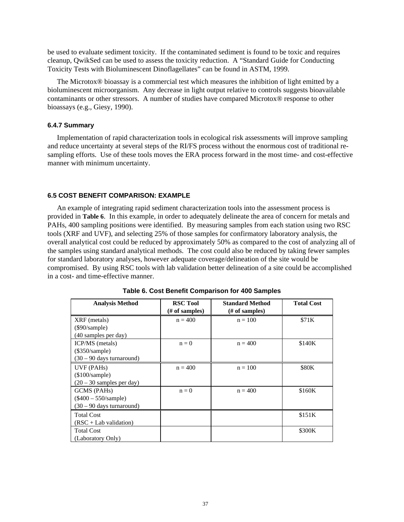be used to evaluate sediment toxicity. If the contaminated sediment is found to be toxic and requires cleanup, QwikSed can be used to assess the toxicity reduction. A "Standard Guide for Conducting Toxicity Tests with Bioluminescent Dinoflagellates" can be found in ASTM, 1999.

The Microtox® bioassay is a commercial test which measures the inhibition of light emitted by a bioluminescent microorganism. Any decrease in light output relative to controls suggests bioavailable contaminants or other stressors. A number of studies have compared Microtox® response to other bioassays (e.g., Giesy, 1990).

### **6.4.7 Summary**

Implementation of rapid characterization tools in ecological risk assessments will improve sampling and reduce uncertainty at several steps of the RI/FS process without the enormous cost of traditional resampling efforts. Use of these tools moves the ERA process forward in the most time- and cost-effective manner with minimum uncertainty.

## **6.5 COST BENEFIT COMPARISON: EXAMPLE**

An example of integrating rapid sediment characterization tools into the assessment process is provided in **[Table 6](#page-48-0)**. In this example, in order to adequately delineate the area of concern for metals and PAHs, 400 sampling positions were identified. By measuring samples from each station using two RSC tools (XRF and UVF), and selecting 25% of those samples for confirmatory laboratory analysis, the overall analytical cost could be reduced by approximately 50% as compared to the cost of analyzing all of the samples using standard analytical methods. The cost could also be reduced by taking fewer samples for standard laboratory analyses, however adequate coverage/delineation of the site would be compromised. By using RSC tools with lab validation better delineation of a site could be accomplished in a cost- and time-effective manner.

| <b>Analysis Method</b>      | <b>RSC Tool</b> | <b>Standard Method</b> | <b>Total Cost</b> |
|-----------------------------|-----------------|------------------------|-------------------|
|                             | (# of samples)  | $#$ of samples)        |                   |
|                             |                 |                        |                   |
| XRF (metals)                | $n = 400$       | $n = 100$              | \$71K             |
| $(\$90/sample)$             |                 |                        |                   |
| (40 samples per day)        |                 |                        |                   |
| ICP/MS (metals)             | $n = 0$         | $n = 400$              | \$140K            |
| $(\$350/sample)$            |                 |                        |                   |
| $(30 - 90$ days turnaround) |                 |                        |                   |
| UVF (PAHs)                  | $n = 400$       | $n = 100$              | <b>\$80K</b>      |
| $(\$100/sample)$            |                 |                        |                   |
| $(20 - 30$ samples per day) |                 |                        |                   |
| GCMS (PAHs)                 | $n = 0$         | $n = 400$              | \$160K            |
| $(\$400 - 550/sample)$      |                 |                        |                   |
| (30 – 90 days turnaround)   |                 |                        |                   |
| <b>Total Cost</b>           |                 |                        | \$151K            |
| $(RSC + Lab$ validation)    |                 |                        |                   |
| <b>Total Cost</b>           |                 |                        | \$300K            |
| (Laboratory Only)           |                 |                        |                   |

<span id="page-48-0"></span>**Table 6. Cost Benefit Comparison for 400 Samples**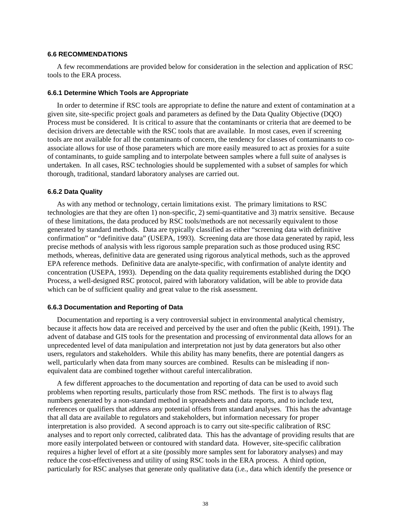### **6.6 RECOMMENDATIONS**

A few recommendations are provided below for consideration in the selection and application of RSC tools to the ERA process.

### **6.6.1 Determine Which Tools are Appropriate**

In order to determine if RSC tools are appropriate to define the nature and extent of contamination at a given site, site-specific project goals and parameters as defined by the Data Quality Objective (DQO) Process must be considered. It is critical to assure that the contaminants or criteria that are deemed to be decision drivers are detectable with the RSC tools that are available. In most cases, even if screening tools are not available for all the contaminants of concern, the tendency for classes of contaminants to coassociate allows for use of those parameters which are more easily measured to act as proxies for a suite of contaminants, to guide sampling and to interpolate between samples where a full suite of analyses is undertaken. In all cases, RSC technologies should be supplemented with a subset of samples for which thorough, traditional, standard laboratory analyses are carried out.

### **6.6.2 Data Quality**

As with any method or technology, certain limitations exist. The primary limitations to RSC technologies are that they are often 1) non-specific, 2) semi-quantitative and 3) matrix sensitive. Because of these limitations, the data produced by RSC tools/methods are not necessarily equivalent to those generated by standard methods. Data are typically classified as either "screening data with definitive confirmation" or "definitive data" (USEPA, 1993). Screening data are those data generated by rapid, less precise methods of analysis with less rigorous sample preparation such as those produced using RSC methods, whereas, definitive data are generated using rigorous analytical methods, such as the approved EPA reference methods. Definitive data are analyte-specific, with confirmation of analyte identity and concentration (USEPA, 1993). Depending on the data quality requirements established during the DQO Process, a well-designed RSC protocol, paired with laboratory validation, will be able to provide data which can be of sufficient quality and great value to the risk assessment.

### **6.6.3 Documentation and Reporting of Data**

Documentation and reporting is a very controversial subject in environmental analytical chemistry, because it affects how data are received and perceived by the user and often the public (Keith, 1991). The advent of database and GIS tools for the presentation and processing of environmental data allows for an unprecedented level of data manipulation and interpretation not just by data generators but also other users, regulators and stakeholders. While this ability has many benefits, there are potential dangers as well, particularly when data from many sources are combined. Results can be misleading if nonequivalent data are combined together without careful intercalibration.

A few different approaches to the documentation and reporting of data can be used to avoid such problems when reporting results, particularly those from RSC methods. The first is to always flag numbers generated by a non-standard method in spreadsheets and data reports, and to include text, references or qualifiers that address any potential offsets from standard analyses. This has the advantage that all data are available to regulators and stakeholders, but information necessary for proper interpretation is also provided. A second approach is to carry out site-specific calibration of RSC analyses and to report only corrected, calibrated data. This has the advantage of providing results that are more easily interpolated between or contoured with standard data. However, site-specific calibration requires a higher level of effort at a site (possibly more samples sent for laboratory analyses) and may reduce the cost-effectiveness and utility of using RSC tools in the ERA process. A third option, particularly for RSC analyses that generate only qualitative data (i.e*.*, data which identify the presence or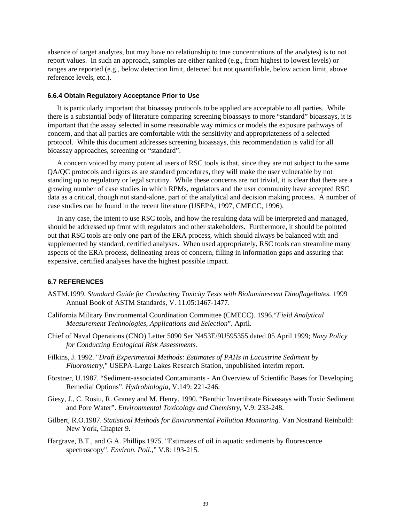absence of target analytes, but may have no relationship to true concentrations of the analytes) is to not report values. In such an approach, samples are either ranked (e.g., from highest to lowest levels) or ranges are reported (e.g., below detection limit, detected but not quantifiable, below action limit, above reference levels, etc.).

### **6.6.4 Obtain Regulatory Acceptance Prior to Use**

It is particularly important that bioassay protocols to be applied are acceptable to all parties. While there is a substantial body of literature comparing screening bioassays to more "standard" bioassays, it is important that the assay selected in some reasonable way mimics or models the exposure pathways of concern, and that all parties are comfortable with the sensitivity and appropriateness of a selected protocol. While this document addresses screening bioassays, this recommendation is valid for all bioassay approaches, screening or "standard".

A concern voiced by many potential users of RSC tools is that, since they are not subject to the same QA/QC protocols and rigors as are standard procedures, they will make the user vulnerable by not standing up to regulatory or legal scrutiny. While these concerns are not trivial, it is clear that there are a growing number of case studies in which RPMs, regulators and the user community have accepted RSC data as a critical, though not stand-alone, part of the analytical and decision making process. A number of case studies can be found in the recent literature (USEPA, 1997, CMECC, 1996).

In any case, the intent to use RSC tools, and how the resulting data will be interpreted and managed, should be addressed up front with regulators and other stakeholders. Furthermore, it should be pointed out that RSC tools are only one part of the ERA process, which should always be balanced with and supplemented by standard, certified analyses. When used appropriately, RSC tools can streamline many aspects of the ERA process, delineating areas of concern, filling in information gaps and assuring that expensive, certified analyses have the highest possible impact.

#### **6.7 REFERENCES**

- ASTM.1999. *Standard Guide for Conducting Toxicity Tests with Bioluminescent Dinoflagellates.* 1999 Annual Book of ASTM Standards, V. 11.05:1467-1477.
- California Military Environmental Coordination Committee (CMECC). 1996."*Field Analytical Measurement Technologies, Applications and Selection*". April.
- Chief of Naval Operations (CNO) Letter 5090 Ser N453E/9U595355 dated 05 April 1999; *Navy Policy for Conducting Ecological Risk Assessments.*
- Filkins, J. 1992. "*Draft Experimental Methods: Estimates of PAHs in Lacustrine Sediment by Fluorometry*," USEPA-Large Lakes Research Station, unpublished interim report.
- Förstner, U.1987. "Sediment-associated Contaminants An Overview of Scientific Bases for Developing Remedial Options". *Hydrobiologia*, V.149: 221-246.
- Giesy, J., C. Rosiu, R. Graney and M. Henry. 1990. "Benthic Invertibrate Bioassays with Toxic Sediment and Pore Water". *Environmental Toxicology and Chemistry*, V.9: 233-248.
- Gilbert, R.O.1987. *Statistical Methods for Environmental Pollution Monitoring.* Van Nostrand Reinhold: New York, Chapter 9.
- Hargrave, B.T., and G.A. Phillips.1975. "Estimates of oil in aquatic sediments by fluorescence spectroscopy". *Environ. Poll*.," V.8: 193-215.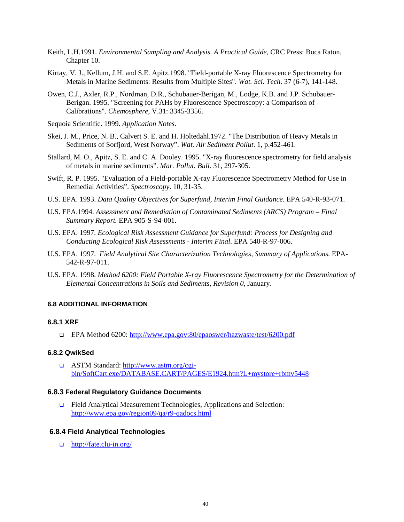- Keith, L.H.1991. *Environmental Sampling and Analysis. A Practical Guide,* CRC Press: Boca Raton, Chapter 10.
- Kirtay, V. J., Kellum, J.H. and S.E. Apitz.1998. "Field-portable X-ray Fluorescence Spectrometry for Metals in Marine Sediments: Results from Multiple Sites". *Wat. Sci. Tech*. 37 (6-7), 141-148.
- Owen, C.J., Axler, R.P., Nordman, D.R., Schubauer-Berigan, M., Lodge, K.B. and J.P. Schubauer-Berigan. 1995. "Screening for PAHs by Fluorescence Spectroscopy: a Comparison of Calibrations". *Chemosphere*, V.31: 3345-3356.
- Sequoia Scientific. 1999. *Application Notes*.
- Skei, J. M., Price, N. B., Calvert S. E. and H. Holtedahl.1972. "The Distribution of Heavy Metals in Sediments of Sorfjord, West Norway". *Wat. Air Sediment Pollut*. 1, p.452-461.
- Stallard, M. O., Apitz, S. E. and C. A. Dooley. 1995. "X-ray fluorescence spectrometry for field analysis of metals in marine sediments". *Mar. Pollut. Bull*. 31, 297-305.
- Swift, R. P. 1995. "Evaluation of a Field-portable X-ray Fluorescence Spectrometry Method for Use in Remedial Activities". *Spectroscopy*. 10, 31-35.
- U.S. EPA. 1993. *Data Quality Objectives for Superfund, Interim Final Guidance.* EPA 540-R-93-071.
- U.S. EPA.1994. *Assessment and Remediation of Contaminated Sediments (ARCS) Program Final Summary Report.* EPA 905-S-94-001.
- U.S. EPA. 1997. *Ecological Risk Assessment Guidance for Superfund: Process for Designing and Conducting Ecological Risk Assessments - Interim Final*. EPA 540-R-97-006.
- U.S. EPA. 1997. *Field Analytical Site Characterization Technologies, Summary of Applications.* EPA-542-R-97-011.
- U.S. EPA. 1998. *Method 6200: Field Portable X-ray Fluorescence Spectrometry for the Determination of Elemental Concentrations in Soils and Sediments, Revision 0*, January.

## **6.8 ADDITIONAL INFORMATION**

### **6.8.1 XRF**

□ EPA Method 6200: [http://www.epa.gov:80/epaoswer/hazwaste/test/6200.pdf](http://www.epa.gov/epaoswer/hazwaste/test/6200.pdf)

## **6.8.2 QwikSed**

 [ASTM Standard: http://www.astm.org/cgi](http://www.astm.org/cgi-bin/SoftCart.exe/DATABASE.CART/PAGES/E1924.htm?L+mystore+rbmv5448)[bin/SoftCart.exe/DATABASE.CART/PAGES/E1924.htm?L+mystore+rbmv5448](http://www.astm.org/cgi-bin/SoftCart.exe/DATABASE.CART/PAGES/E1924.htm?L+mystore+rbmv5448)

## **6.8.3 Federal Regulatory Guidance Documents**

□ [Field Analytical Measurement Technologies, App](http://www.epa.gov/region09/qa/r9-qadocs.html)lications and Selection: http://www.epa.gov/region09/qa/r9-qadocs.html

### **6.8.4 Field Analytical Technologies**

http://fate.clu-in.org/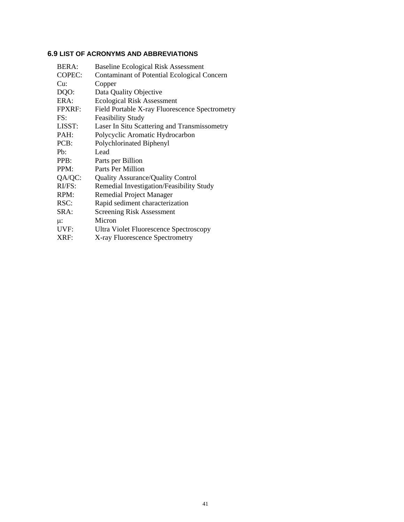## **6.9 LIST OF ACRONYMS AND ABBREVIATIONS**

| BERA:            | <b>Baseline Ecological Risk Assessment</b>     |
|------------------|------------------------------------------------|
| COPEC:           | Contaminant of Potential Ecological Concern    |
| Cu:              | Copper                                         |
| DQO:             | Data Quality Objective                         |
| ERA:             | <b>Ecological Risk Assessment</b>              |
| <b>FPXRF:</b>    | Field Portable X-ray Fluorescence Spectrometry |
| FS:              | <b>Feasibility Study</b>                       |
| LISST:           | Laser In Situ Scattering and Transmissometry   |
| PAH:             | Polycyclic Aromatic Hydrocarbon                |
| PCB:             | Polychlorinated Biphenyl                       |
| P <sub>b</sub> : | Lead                                           |
| PPB:             | Parts per Billion                              |
| PPM:             | Parts Per Million                              |
| QA/QC:           | <b>Quality Assurance/Quality Control</b>       |
| RI/FS:           | Remedial Investigation/Feasibility Study       |
| RPM:             | Remedial Project Manager                       |
| RSC:             | Rapid sediment characterization                |
| SRA:             | <b>Screening Risk Assessment</b>               |
| $\mu$ :          | Micron                                         |
| UVF:             | Ultra Violet Fluorescence Spectroscopy         |
| XRF:             | X-ray Fluorescence Spectrometry                |
|                  |                                                |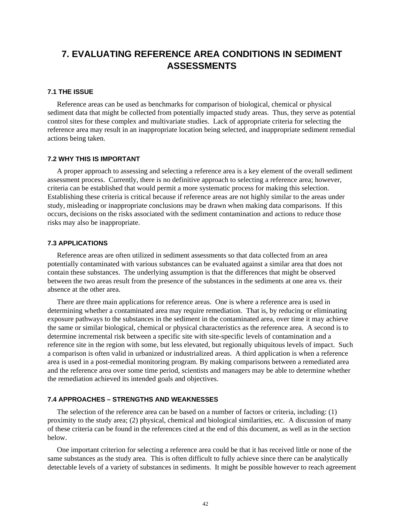# **7. EVALUATING REFERENCE AREA CONDITIONS IN SEDIMENT ASSESSMENTS**

## **7.1 THE ISSUE**

Reference areas can be used as benchmarks for comparison of biological, chemical or physical sediment data that might be collected from potentially impacted study areas. Thus, they serve as potential control sites for these complex and multivariate studies. Lack of appropriate criteria for selecting the reference area may result in an inappropriate location being selected, and inappropriate sediment remedial actions being taken.

### **7.2 WHY THIS IS IMPORTANT**

A proper approach to assessing and selecting a reference area is a key element of the overall sediment assessment process. Currently, there is no definitive approach to selecting a reference area; however, criteria can be established that would permit a more systematic process for making this selection. Establishing these criteria is critical because if reference areas are not highly similar to the areas under study, misleading or inappropriate conclusions may be drawn when making data comparisons. If this occurs, decisions on the risks associated with the sediment contamination and actions to reduce those risks may also be inappropriate.

## **7.3 APPLICATIONS**

Reference areas are often utilized in sediment assessments so that data collected from an area potentially contaminated with various substances can be evaluated against a similar area that does not contain these substances. The underlying assumption is that the differences that might be observed between the two areas result from the presence of the substances in the sediments at one area vs. their absence at the other area.

There are three main applications for reference areas. One is where a reference area is used in determining whether a contaminated area may require remediation. That is, by reducing or eliminating exposure pathways to the substances in the sediment in the contaminated area, over time it may achieve the same or similar biological, chemical or physical characteristics as the reference area. A second is to determine incremental risk between a specific site with site-specific levels of contamination and a reference site in the region with some, but less elevated, but regionally ubiquitous levels of impact. Such a comparison is often valid in urbanized or industrialized areas. A third application is when a reference area is used in a post-remedial monitoring program. By making comparisons between a remediated area and the reference area over some time period, scientists and managers may be able to determine whether the remediation achieved its intended goals and objectives.

## **7.4 APPROACHES – STRENGTHS AND WEAKNESSES**

The selection of the reference area can be based on a number of factors or criteria, including: (1) proximity to the study area; (2) physical, chemical and biological similarities, etc. A discussion of many of these criteria can be found in the references cited at the end of this document, as well as in the section below.

One important criterion for selecting a reference area could be that it has received little or none of the same substances as the study area. This is often difficult to fully achieve since there can be analytically detectable levels of a variety of substances in sediments. It might be possible however to reach agreement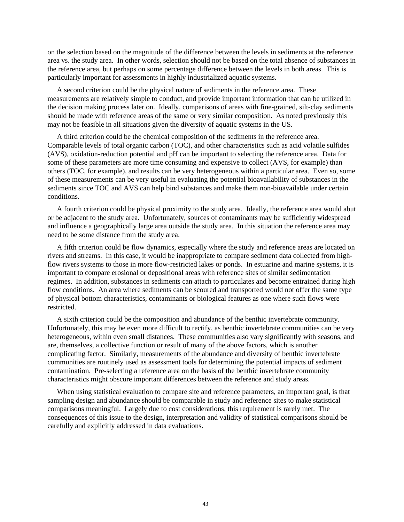on the selection based on the magnitude of the difference between the levels in sediments at the reference area vs. the study area. In other words, selection should not be based on the total absence of substances in the reference area, but perhaps on some percentage difference between the levels in both areas. This is particularly important for assessments in highly industrialized aquatic systems.

A second criterion could be the physical nature of sediments in the reference area. These measurements are relatively simple to conduct, and provide important information that can be utilized in the decision making process later on. Ideally, comparisons of areas with fine-grained, silt-clay sediments should be made with reference areas of the same or very similar composition. As noted previously this may not be feasible in all situations given the diversity of aquatic systems in the US.

A third criterion could be the chemical composition of the sediments in the reference area. Comparable levels of total organic carbon (TOC), and other characteristics such as acid volatile sulfides (AVS), oxidation-reduction potential and pH can be important to selecting the reference area. Data for some of these parameters are more time consuming and expensive to collect (AVS, for example) than others (TOC, for example), and results can be very heterogeneous within a particular area. Even so, some of these measurements can be very useful in evaluating the potential bioavailability of substances in the sediments since TOC and AVS can help bind substances and make them non-bioavailable under certain conditions.

A fourth criterion could be physical proximity to the study area. Ideally, the reference area would abut or be adjacent to the study area. Unfortunately, sources of contaminants may be sufficiently widespread and influence a geographically large area outside the study area. In this situation the reference area may need to be some distance from the study area.

A fifth criterion could be flow dynamics, especially where the study and reference areas are located on rivers and streams. In this case, it would be inappropriate to compare sediment data collected from highflow rivers systems to those in more flow-restricted lakes or ponds. In estuarine and marine systems, it is important to compare erosional or depositional areas with reference sites of similar sedimentation regimes. In addition, substances in sediments can attach to particulates and become entrained during high flow conditions. An area where sediments can be scoured and transported would not offer the same type of physical bottom characteristics, contaminants or biological features as one where such flows were restricted.

A sixth criterion could be the composition and abundance of the benthic invertebrate community. Unfortunately, this may be even more difficult to rectify, as benthic invertebrate communities can be very heterogeneous, within even small distances. These communities also vary significantly with seasons, and are, themselves, a collective function or result of many of the above factors, which is another complicating factor. Similarly, measurements of the abundance and diversity of benthic invertebrate communities are routinely used as assessment tools for determining the potential impacts of sediment contamination. Pre-selecting a reference area on the basis of the benthic invertebrate community characteristics might obscure important differences between the reference and study areas.

When using statistical evaluation to compare site and reference parameters, an important goal, is that sampling design and abundance should be comparable in study and reference sites to make statistical comparisons meaningful. Largely due to cost considerations, this requirement is rarely met. The consequences of this issue to the design, interpretation and validity of statistical comparisons should be carefully and explicitly addressed in data evaluations.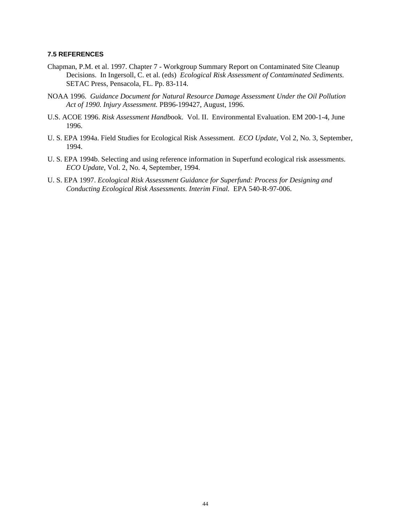## **7.5 REFERENCES**

- Chapman, P.M. et al. 1997. Chapter 7 Workgroup Summary Report on Contaminated Site Cleanup Decisions. In Ingersoll, C. et al. (eds) *Ecological Risk Assessment of Contaminated Sediments.* SETAC Press, Pensacola, FL. Pp. 83-114.
- NOAA 1996. *Guidance Document for Natural Resource Damage Assessment Under the Oil Pollution Act of 1990. Injury Assessment.* PB96-199427, August, 1996.
- U.S. ACOE 1996. *Risk Assessment Handb*ook. Vol. II. Environmental Evaluation. EM 200-1-4, June 1996.
- U. S. EPA 1994a. Field Studies for Ecological Risk Assessment. *ECO Update*, Vol 2, No. 3, September, 1994.
- U. S. EPA 1994b. Selecting and using reference information in Superfund ecological risk assessments. *ECO Update*, Vol. 2, No. 4, September, 1994.
- U. S. EPA 1997. *Ecological Risk Assessment Guidance for Superfund: Process for Designing and Conducting Ecological Risk Assessments. Interim Final.* EPA 540-R-97-006.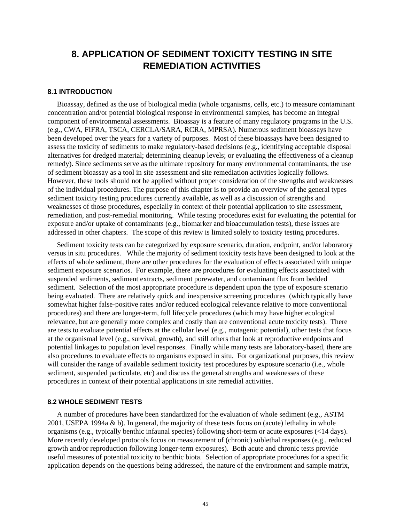# **8. APPLICATION OF SEDIMENT TOXICITY TESTING IN SITE REMEDIATION ACTIVITIES**

## **8.1 INTRODUCTION**

Bioassay, defined as the use of biological media (whole organisms, cells, etc.) to measure contaminant concentration and/or potential biological response in environmental samples, has become an integral component of environmental assessments. Bioassay is a feature of many regulatory programs in the U.S. (e.g., CWA, FIFRA, TSCA, CERCLA/SARA, RCRA, MPRSA). Numerous sediment bioassays have been developed over the years for a variety of purposes. Most of these bioassays have been designed to assess the toxicity of sediments to make regulatory-based decisions (e.g., identifying acceptable disposal alternatives for dredged material; determining cleanup levels; or evaluating the effectiveness of a cleanup remedy). Since sediments serve as the ultimate repository for many environmental contaminants, the use of sediment bioassay as a tool in site assessment and site remediation activities logically follows. However, these tools should not be applied without proper consideration of the strengths and weaknesses of the individual procedures. The purpose of this chapter is to provide an overview of the general types sediment toxicity testing procedures currently available, as well as a discussion of strengths and weaknesses of those procedures, especially in context of their potential application to site assessment, remediation, and post-remedial monitoring. While testing procedures exist for evaluating the potential for exposure and/or uptake of contaminants (e.g., biomarker and bioaccumulation tests), these issues are addressed in other chapters. The scope of this review is limited solely to toxicity testing procedures.

Sediment toxicity tests can be categorized by exposure scenario, duration, endpoint, and/or laboratory versus in situ procedures. While the majority of sediment toxicity tests have been designed to look at the effects of whole sediment, there are other procedures for the evaluation of effects associated with unique sediment exposure scenarios. For example, there are procedures for evaluating effects associated with suspended sediments, sediment extracts, sediment porewater, and contaminant flux from bedded sediment. Selection of the most appropriate procedure is dependent upon the type of exposure scenario being evaluated. There are relatively quick and inexpensive screening procedures (which typically have somewhat higher false-positive rates and/or reduced ecological relevance relative to more conventional procedures) and there are longer-term, full lifecycle procedures (which may have higher ecological relevance, but are generally more complex and costly than are conventional acute toxicity tests). There are tests to evaluate potential effects at the cellular level (e.g., mutagenic potential), other tests that focus at the organismal level (e.g., survival, growth), and still others that look at reproductive endpoints and potential linkages to population level responses. Finally while many tests are laboratory-based, there are also procedures to evaluate effects to organisms exposed in situ. For organizational purposes, this review will consider the range of available sediment toxicity test procedures by exposure scenario (i.e., whole sediment, suspended particulate, etc) and discuss the general strengths and weaknesses of these procedures in context of their potential applications in site remedial activities.

## **8.2 WHOLE SEDIMENT TESTS**

A number of procedures have been standardized for the evaluation of whole sediment (e.g., ASTM 2001, USEPA 1994a & b). In general, the majority of these tests focus on (acute) lethality in whole organisms (e.g., typically benthic infaunal species) following short-term or acute exposures (<14 days). More recently developed protocols focus on measurement of (chronic) sublethal responses (e.g., reduced growth and/or reproduction following longer-term exposures). Both acute and chronic tests provide useful measures of potential toxicity to benthic biota. Selection of appropriate procedures for a specific application depends on the questions being addressed, the nature of the environment and sample matrix,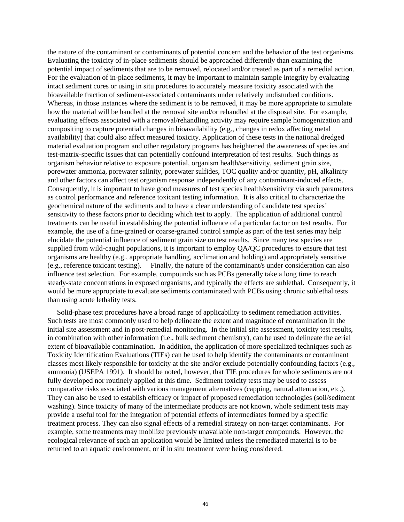the nature of the contaminant or contaminants of potential concern and the behavior of the test organisms. Evaluating the toxicity of in-place sediments should be approached differently than examining the potential impact of sediments that are to be removed, relocated and/or treated as part of a remedial action. For the evaluation of in-place sediments, it may be important to maintain sample integrity by evaluating intact sediment cores or using in situ procedures to accurately measure toxicity associated with the bioavailable fraction of sediment-associated contaminants under relatively undisturbed conditions. Whereas, in those instances where the sediment is to be removed, it may be more appropriate to simulate how the material will be handled at the removal site and/or rehandled at the disposal site. For example, evaluating effects associated with a removal/rehandling activity may require sample homogenization and compositing to capture potential changes in bioavailability (e.g., changes in redox affecting metal availability) that could also affect measured toxicity. Application of these tests in the national dredged material evaluation program and other regulatory programs has heightened the awareness of species and test-matrix-specific issues that can potentially confound interpretation of test results. Such things as organism behavior relative to exposure potential, organism health/sensitivity, sediment grain size, porewater ammonia, porewater salinity, porewater sulfides, TOC quality and/or quantity, pH, alkalinity and other factors can affect test organism response independently of any contaminant-induced effects. Consequently, it is important to have good measures of test species health/sensitivity via such parameters as control performance and reference toxicant testing information. It is also critical to characterize the geochemical nature of the sediments and to have a clear understanding of candidate test species' sensitivity to these factors prior to deciding which test to apply. The application of additional control treatments can be useful in establishing the potential influence of a particular factor on test results. For example, the use of a fine-grained or coarse-grained control sample as part of the test series may help elucidate the potential influence of sediment grain size on test results. Since many test species are supplied from wild-caught populations, it is important to employ QA/QC procedures to ensure that test organisms are healthy (e.g., appropriate handling, acclimation and holding) and appropriately sensitive (e.g., reference toxicant testing). Finally, the nature of the contaminant/s under consideration can also influence test selection. For example, compounds such as PCBs generally take a long time to reach steady-state concentrations in exposed organisms, and typically the effects are sublethal. Consequently, it would be more appropriate to evaluate sediments contaminated with PCBs using chronic sublethal tests than using acute lethality tests.

Solid-phase test procedures have a broad range of applicability to sediment remediation activities. Such tests are most commonly used to help delineate the extent and magnitude of contamination in the initial site assessment and in post-remedial monitoring. In the initial site assessment, toxicity test results, in combination with other information (i.e., bulk sediment chemistry), can be used to delineate the aerial extent of bioavailable contamination. In addition, the application of more specialized techniques such as Toxicity Identification Evaluations (TIEs) can be used to help identify the contaminants or contaminant classes most likely responsible for toxicity at the site and/or exclude potentially confounding factors (e.g., ammonia) (USEPA 1991). It should be noted, however, that TIE procedures for whole sediments are not fully developed nor routinely applied at this time. Sediment toxicity tests may be used to assess comparative risks associated with various management alternatives (capping, natural attenuation, etc.). They can also be used to establish efficacy or impact of proposed remediation technologies (soil/sediment washing). Since toxicity of many of the intermediate products are not known, whole sediment tests may provide a useful tool for the integration of potential effects of intermediates formed by a specific treatment process. They can also signal effects of a remedial strategy on non-target contaminants. For example, some treatments may mobilize previously unavailable non-target compounds. However, the ecological relevance of such an application would be limited unless the remediated material is to be returned to an aquatic environment, or if in situ treatment were being considered.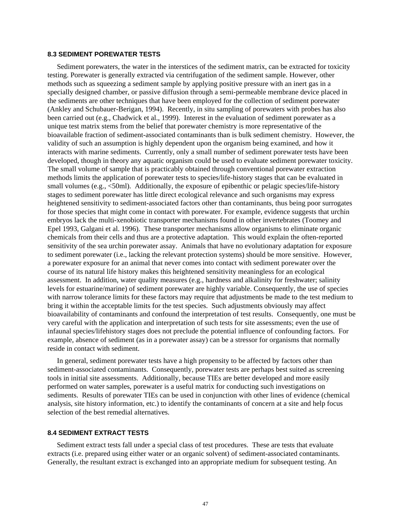### **8.3 SEDIMENT POREWATER TESTS**

Sediment porewaters, the water in the interstices of the sediment matrix, can be extracted for toxicity testing. Porewater is generally extracted via centrifugation of the sediment sample. However, other methods such as squeezing a sediment sample by applying positive pressure with an inert gas in a specially designed chamber, or passive diffusion through a semi-permeable membrane device placed in the sediments are other techniques that have been employed for the collection of sediment porewater (Ankley and Schubauer-Berigan, 1994). Recently, in situ sampling of porewaters with probes has also been carried out (e.g., Chadwick et al., 1999). Interest in the evaluation of sediment porewater as a unique test matrix stems from the belief that porewater chemistry is more representative of the bioavailable fraction of sediment-associated contaminants than is bulk sediment chemistry. However, the validity of such an assumption is highly dependent upon the organism being examined, and how it interacts with marine sediments. Currently, only a small number of sediment porewater tests have been developed, though in theory any aquatic organism could be used to evaluate sediment porewater toxicity. The small volume of sample that is practicably obtained through conventional porewater extraction methods limits the application of porewater tests to species/life-history stages that can be evaluated in small volumes (e.g.,  $\leq 50$ ml). Additionally, the exposure of epibenthic or pelagic species/life-history stages to sediment porewater has little direct ecological relevance and such organisms may express heightened sensitivity to sediment-associated factors other than contaminants, thus being poor surrogates for those species that might come in contact with porewater. For example, evidence suggests that urchin embryos lack the multi-xenobiotic transporter mechanisms found in other invertebrates (Toomey and Epel 1993, Galgani et al. 1996). These transporter mechanisms allow organisms to eliminate organic chemicals from their cells and thus are a protective adaptation. This would explain the often-reported sensitivity of the sea urchin porewater assay. Animals that have no evolutionary adaptation for exposure to sediment porewater (i.e., lacking the relevant protection systems) should be more sensitive. However, a porewater exposure for an animal that never comes into contact with sediment porewater over the course of its natural life history makes this heightened sensitivity meaningless for an ecological assessment. In addition, water quality measures (e.g., hardness and alkalinity for freshwater; salinity levels for estuarine/marine) of sediment porewater are highly variable. Consequently, the use of species with narrow tolerance limits for these factors may require that adjustments be made to the test medium to bring it within the acceptable limits for the test species. Such adjustments obviously may affect bioavailability of contaminants and confound the interpretation of test results. Consequently, one must be very careful with the application and interpretation of such tests for site assessments; even the use of infaunal species/lifehistory stages does not preclude the potential influence of confounding factors. For example, absence of sediment (as in a porewater assay) can be a stressor for organisms that normally reside in contact with sediment.

In general, sediment porewater tests have a high propensity to be affected by factors other than sediment-associated contaminants. Consequently, porewater tests are perhaps best suited as screening tools in initial site assessments. Additionally, because TIEs are better developed and more easily performed on water samples, porewater is a useful matrix for conducting such investigations on sediments. Results of porewater TIEs can be used in conjunction with other lines of evidence (chemical analysis, site history information, etc.) to identify the contaminants of concern at a site and help focus selection of the best remedial alternatives.

## **8.4 SEDIMENT EXTRACT TESTS**

Sediment extract tests fall under a special class of test procedures. These are tests that evaluate extracts (i.e. prepared using either water or an organic solvent) of sediment-associated contaminants. Generally, the resultant extract is exchanged into an appropriate medium for subsequent testing. An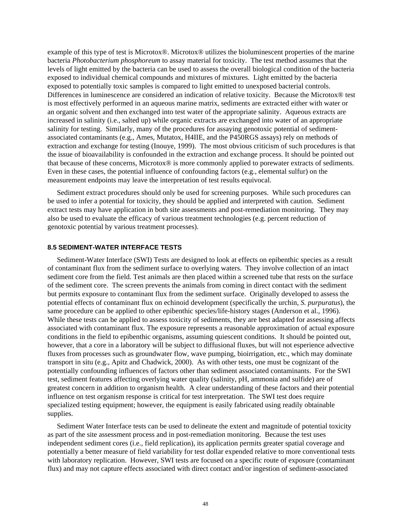example of this type of test is Microtox®. Microtox® utilizes the bioluminescent properties of the marine bacteria *Photobacterium phosphoreum* to assay material for toxicity. The test method assumes that the levels of light emitted by the bacteria can be used to assess the overall biological condition of the bacteria exposed to individual chemical compounds and mixtures of mixtures. Light emitted by the bacteria exposed to potentially toxic samples is compared to light emitted to unexposed bacterial controls. Differences in luminescence are considered an indication of relative toxicity. Because the Microtox® test is most effectively performed in an aqueous marine matrix, sediments are extracted either with water or an organic solvent and then exchanged into test water of the appropriate salinity. Aqueous extracts are increased in salinity (i.e., salted up) while organic extracts are exchanged into water of an appropriate salinity for testing. Similarly, many of the procedures for assaying genotoxic potential of sedimentassociated contaminants (e.g., Ames, Mutatox, H4IIE, and the P450RGS assays) rely on methods of extraction and exchange for testing (Inouye, 1999). The most obvious criticism of such procedures is that the issue of bioavailability is confounded in the extraction and exchange process. It should be pointed out that because of these concerns, Microtox® is more commonly applied to porewater extracts of sediments. Even in these cases, the potential influence of confounding factors (e.g., elemental sulfur) on the measurement endpoints may leave the interpretation of test results equivocal.

Sediment extract procedures should only be used for screening purposes. While such procedures can be used to infer a potential for toxicity, they should be applied and interpreted with caution. Sediment extract tests may have application in both site assessments and post-remediation monitoring. They may also be used to evaluate the efficacy of various treatment technologies (e.g. percent reduction of genotoxic potential by various treatment processes).

## **8.5 SEDIMENT-WATER INTERFACE TESTS**

Sediment-Water Interface (SWI) Tests are designed to look at effects on epibenthic species as a result of contaminant flux from the sediment surface to overlying waters. They involve collection of an intact sediment core from the field. Test animals are then placed within a screened tube that rests on the surface of the sediment core. The screen prevents the animals from coming in direct contact with the sediment but permits exposure to contaminant flux from the sediment surface. Originally developed to assess the potential effects of contaminant flux on echinoid development (specifically the urchin, *S. purpuratus*), the same procedure can be applied to other epibenthic species/life-history stages (Anderson et al., 1996). While these tests can be applied to assess toxicity of sediments, they are best adapted for assessing affects associated with contaminant flux. The exposure represents a reasonable approximation of actual exposure conditions in the field to epibenthic organisms, assuming quiescent conditions. It should be pointed out, however, that a core in a laboratory will be subject to diffusional fluxes, but will not esperience advective fluxes from processes such as groundwater flow, wave pumping, bioirrigation, etc., which may dominate transport in situ (e.g., Apitz and Chadwick, 2000). As with other tests, one must be cognizant of the potentially confounding influences of factors other than sediment associated contaminants. For the SWI test, sediment features affecting overlying water quality (salinity, pH, ammonia and sulfide) are of greatest concern in addition to organism health. A clear understanding of these factors and their potential influence on test organism response is critical for test interpretation. The SWI test does require specialized testing equipment; however, the equipment is easily fabricated using readily obtainable supplies.

Sediment Water Interface tests can be used to delineate the extent and magnitude of potential toxicity as part of the site assessment process and in post-remediation monitoring. Because the test uses independent sediment cores (i.e., field replication), its application permits greater spatial coverage and potentially a better measure of field variability for test dollar expended relative to more conventional tests with laboratory replication. However, SWI tests are focused on a specific route of exposure (contaminant flux) and may not capture effects associated with direct contact and/or ingestion of sediment-associated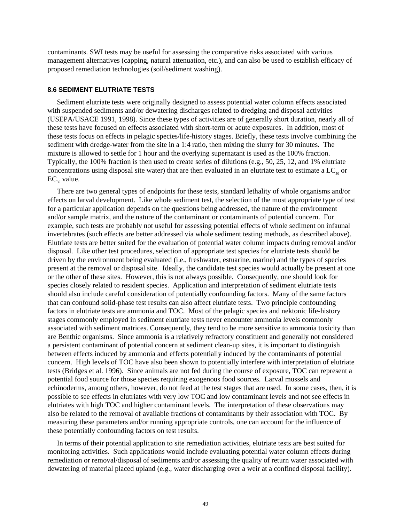contaminants. SWI tests may be useful for assessing the comparative risks associated with various management alternatives (capping, natural attenuation, etc.), and can also be used to establish efficacy of proposed remediation technologies (soil/sediment washing).

### **8.6 SEDIMENT ELUTRIATE TESTS**

Sediment elutriate tests were originally designed to assess potential water column effects associated with suspended sediments and/or dewatering discharges related to dredging and disposal activities (USEPA/USACE 1991, 1998). Since these types of activities are of generally short duration, nearly all of these tests have focused on effects associated with short-term or acute exposures. In addition, most of these tests focus on effects in pelagic species/life-history stages. Briefly, these tests involve combining the sediment with dredge-water from the site in a 1:4 ratio, then mixing the slurry for 30 minutes. The mixture is allowed to settle for 1 hour and the overlying supernatant is used as the 100% fraction. Typically, the 100% fraction is then used to create series of dilutions (e.g., 50, 25, 12, and 1% elutriate concentrations using disposal site water) that are then evaluated in an elutriate test to estimate a  $LC_{50}$  or  $EC_{50}$  value.

There are two general types of endpoints for these tests, standard lethality of whole organisms and/or effects on larval development. Like whole sediment test, the selection of the most appropriate type of test for a particular application depends on the questions being addressed, the nature of the environment and/or sample matrix, and the nature of the contaminant or contaminants of potential concern. For example, such tests are probably not useful for assessing potential effects of whole sediment on infaunal invertebrates (such effects are better addressed via whole sediment testing methods, as described above). Elutriate tests are better suited for the evaluation of potential water column impacts during removal and/or disposal. Like other test procedures, selection of appropriate test species for elutriate tests should be driven by the environment being evaluated (i.e., freshwater, estuarine, marine) and the types of species present at the removal or disposal site. Ideally, the candidate test species would actually be present at one or the other of these sites. However, this is not always possible. Consequently, one should look for species closely related to resident species. Application and interpretation of sediment elutriate tests should also include careful consideration of potentially confounding factors. Many of the same factors that can confound solid-phase test results can also affect elutriate tests. Two principle confounding factors in elutriate tests are ammonia and TOC. Most of the pelagic species and nektonic life-history stages commonly employed in sediment elutriate tests never encounter ammonia levels commonly associated with sediment matrices. Consequently, they tend to be more sensitive to ammonia toxicity than are Benthic organisms. Since ammonia is a relatively refractory constituent and generally not considered a persistent contaminant of potential concern at sediment clean-up sites, it is important to distinguish between effects induced by ammonia and effects potentially induced by the contaminants of potential concern. High levels of TOC have also been shown to potentially interfere with interpretation of elutriate tests (Bridges et al. 1996). Since animals are not fed during the course of exposure, TOC can represent a potential food source for those species requiring exogenous food sources. Larval mussels and echinoderms, among others, however, do not feed at the test stages that are used. In some cases, then, it is possible to see effects in elutriates with very low TOC and low contaminant levels and not see effects in elutriates with high TOC and higher contaminant levels. The interpretation of these observations may also be related to the removal of available fractions of contaminants by their association with TOC. By measuring these parameters and/or running appropriate controls, one can account for the influence of these potentially confounding factors on test results.

In terms of their potential application to site remediation activities, elutriate tests are best suited for monitoring activities. Such applications would include evaluating potential water column effects during remediation or removal/disposal of sediments and/or assessing the quality of return water associated with dewatering of material placed upland (e.g., water discharging over a weir at a confined disposal facility).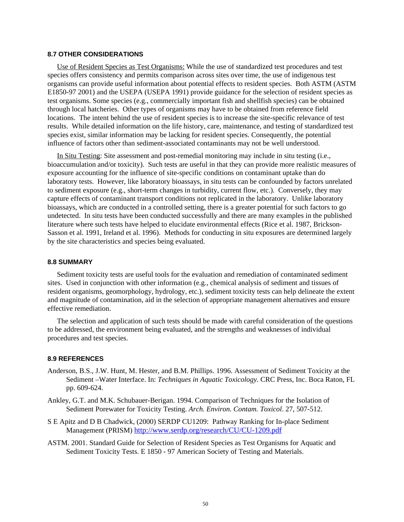### **8.7 OTHER CONSIDERATIONS**

Use of Resident Species as Test Organisms: While the use of standardized test procedures and test species offers consistency and permits comparison across sites over time, the use of indigenous test organisms can provide useful information about potential effects to resident species. Both ASTM (ASTM E1850-97 2001) and the USEPA (USEPA 1991) provide guidance for the selection of resident species as test organisms. Some species (e.g., commercially important fish and shellfish species) can be obtained through local hatcheries. Other types of organisms may have to be obtained from reference field locations. The intent behind the use of resident species is to increase the site-specific relevance of test results. While detailed information on the life history, care, maintenance, and testing of standardized test species exist, similar information may be lacking for resident species. Consequently, the potential influence of factors other than sediment-associated contaminants may not be well understood.

In Situ Testing: Site assessment and post-remedial monitoring may include in situ testing (i.e., bioaccumulation and/or toxicity). Such tests are useful in that they can provide more realistic measures of exposure accounting for the influence of site-specific conditions on contaminant uptake than do laboratory tests. However, like laboratory bioassays, in situ tests can be confounded by factors unrelated to sediment exposure (e.g., short-term changes in turbidity, current flow, etc.). Conversely, they may capture effects of contaminant transport conditions not replicated in the laboratory. Unlike laboratory bioassays, which are conducted in a controlled setting, there is a greater potential for such factors to go undetected. In situ tests have been conducted successfully and there are many examples in the published literature where such tests have helped to elucidate environmental effects (Rice et al. 1987, Brickson-Sasson et al. 1991, Ireland et al. 1996). Methods for conducting in situ exposures are determined largely by the site characteristics and species being evaluated.

### **8.8 SUMMARY**

Sediment toxicity tests are useful tools for the evaluation and remediation of contaminated sediment sites. Used in conjunction with other information (e.g., chemical analysis of sediment and tissues of resident organisms, geomorphology, hydrology, etc.), sediment toxicity tests can help delineate the extent and magnitude of contamination, aid in the selection of appropriate management alternatives and ensure effective remediation.

The selection and application of such tests should be made with careful consideration of the questions to be addressed, the environment being evaluated, and the strengths and weaknesses of individual procedures and test species.

### **8.9 REFERENCES**

- Anderson, B.S., J.W. Hunt, M. Hester, and B.M. Phillips. 1996. Assessment of Sediment Toxicity at the Sediment –Water Interface. In: *Techniques in Aquatic Toxicology*. CRC Press, Inc. Boca Raton, FL pp. 609-624.
- Ankley, G.T. and M.K. Schubauer-Berigan. 1994. Comparison of Techniques for the Isolation of Sediment Porewater for Toxicity Testing. *Arch. Environ. Contam. Toxicol*. 27, 507-512.
- S E Apitz and D B Chadwick, (2000) SERDP CU1209: Pathway Ranking for In-place Sediment Management (PRISM) <http://www.serdp.org/research/CU/CU-1209.pdf>
- ASTM. 2001. Standard Guide for Selection of Resident Species as Test Organisms for Aquatic and Sediment Toxicity Tests. E 1850 - 97 American Society of Testing and Materials.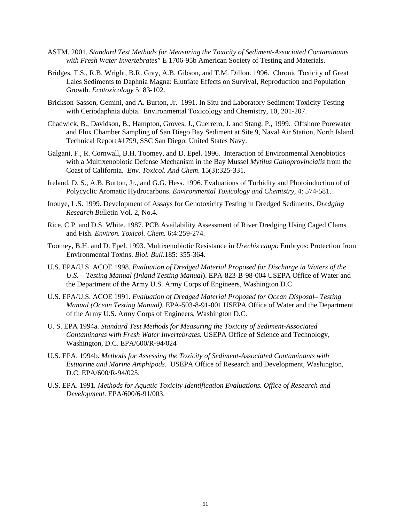- ASTM. 2001. *Standard Test Methods for Measuring the Toxicity of Sediment-Associated Contaminants with Fresh Water Invertebrates*" E 1706-95b American Society of Testing and Materials.
- Bridges, T.S., R.B. Wright, B.R. Gray, A.B. Gibson, and T.M. Dillon. 1996. Chronic Toxicity of Great Lales Sediments to Daphnia Magna: Elutriate Effects on Survival, Reproduction and Population Growth. *Ecotoxicology* 5: 83-102.
- Brickson-Sasson, Gemini, and A. Burton, Jr. 1991. In Situ and Laboratory Sediment Toxicity Testing with Ceriodaphnia dubia. Environmental Toxicology and Chemistry, 10, 201-207.
- Chadwick, B., Davidson, B., Hampton, Groves, J., Guerrero, J. and Stang, P., 1999. Offshore Porewater and Flux Chamber Sampling of San Diego Bay Sediment at Site 9, Naval Air Station, North Island. Technical Report #1799, SSC San Diego, United States Navy.
- Galgani, F., R. Cornwall, B.H. Toomey, and D. Epel. 1996. Interaction of Environmental Xenobiotics with a Multixenobiotic Defense Mechanism in the Bay Mussel *Mytilus Galloprovincialis* from the Coast of California. *Env. Toxicol. And Chem*. 15(3):325-331.
- Ireland, D. S., A.B. Burton, Jr., and G.G. Hess. 1996. Evaluations of Turbidity and Photoinduction of of Polycyclic Aromatic Hydrocarbons. *Environmental Toxicology and Chemistry,* 4: 574-581.
- Inouye, L.S. 1999. Development of Assays for Genotoxicity Testing in Dredged Sediments. *Dredging Research Bu*lletin Vol. 2, No.4.
- Rice, C.P. and D.S. White. 1987. PCB Availability Assessment of River Dredging Using Caged Clams and Fish. *Environ. Toxicol. Chem.* 6:4:259-274.
- Toomey, B.H. and D. Epel. 1993. Multixenobiotic Resistance in *Urechis caupo* Embryos: Protection from Environmental Toxins. *Biol. Bull*.185: 355-364.
- U.S. EPA/U.S. ACOE 1998. *Evaluation of Dredged Material Proposed for Discharge in Waters of the U.S. – Testing Manual (Inland Testing Manual*). EPA-823-B-98-004 USEPA Office of Water and the Department of the Army U.S. Army Corps of Engineers, Washington D.C.
- U.S. EPA/U.S. ACOE 1991*. Evaluation of Dredged Material Proposed for Ocean Disposal– Testing Manual (Ocean Testing Manual).* EPA-503-8-91-001 USEPA Office of Water and the Department of the Army U.S. Army Corps of Engineers, Washington D.C.
- U. S. EPA 1994a. *Standard Test Methods for Measuring the Toxicity of Sediment-Associated Contaminants with Fresh Water Invertebrates.* USEPA Office of Science and Technology, Washington, D.C. EPA/600/R-94/024
- U.S. EPA. 1994b. *Methods for Assessing the Toxicity of Sediment-Associated Contaminants with Estuarine and Marine Amphipods*. USEPA Office of Research and Development, Washington, D.C. EPA/600/R-94/025.
- U.S. EPA. 1991*. Methods for Aquatic Toxicity Identification Evaluations. Office of Research and Development.* EPA/600/6-91/003.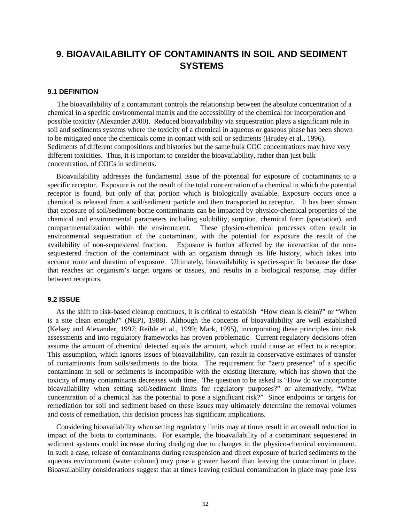# **9. BIOAVAILABILITY OF CONTAMINANTS IN SOIL AND SEDIMENT SYSTEMS**

## **9.1 DEFINITION**

The bioavailability of a contaminant controls the relationship between the absolute concentration of a chemical in a specific environmental matrix and the accessibility of the chemical for incorporation and possible toxicity (Alexander 2000). Reduced bioavailability via sequestration plays a significant role in soil and sediments systems where the toxicity of a chemical in aqueous or gaseous phase has been shown to be mitigated once the chemicals come in contact with soil or sediments (Hrudey et al., 1996). Sediments of different compositions and histories but the same bulk COC concentrations may have very different toxicities. Thus, it is important to consider the bioavailability, rather than just bulk concentration, of COCs in sediments.

Bioavailability addresses the fundamental issue of the potential for exposure of contaminants to a specific receptor. Exposure is not the result of the total concentration of a chemical in which the potential receptor is found, but only of that portion which is biologically available. Exposure occurs once a chemical is released from a soil/sediment particle and then transported to receptor. It has been shown that exposure of soil/sediment-borne contaminants can be impacted by physico-chemical properties of the chemical and environmental parameters including solubility, sorption, chemical form (speciation), and compartmentalization within the environment. These physico-chemical processes often result in environmental sequestration of the contaminant, with the potential for exposure the result of the availability of non-sequestered fraction. Exposure is further affected by the interaction of the nonsequestered fraction of the contaminant with an organism through its life history, which takes into account route and duration of exposure. Ultimately, bioavailability is species-specific because the dose that reaches an organism's target organs or tissues, and results in a biological response, may differ between receptors.

### **9.2 ISSUE**

As the shift to risk-based cleanup continues, it is critical to establish "How clean is clean?" or "When is a site clean enough?" (NEPI, 1988). Although the concepts of bioavailability are well established (Kelsey and Alexander, 1997; Reible et al., 1999; Mark, 1995), incorporating these principles into risk assessments and into regulatory frameworks has proven problematic. Current regulatory decisions often assume the amount of chemical detected equals the amount, which could cause an effect to a receptor. This assumption, which ignores issues of bioavailability, can result in conservative estimates of transfer of contaminants from soils/sediments to the biota. The requirement for "zero presence" of a specific contaminant in soil or sediments is incompatible with the existing literature, which has shown that the toxicity of many contaminants decreases with time. The question to be asked is "How do we incorporate bioavailability when setting soil/sediment limits for regulatory purposes?" or alternatively, "What concentration of a chemical has the potential to pose a significant risk?" Since endpoints or targets for remediation for soil and sediment based on these issues may ultimately determine the removal volumes and costs of remediation, this decision process has significant implications.

Considering bioavailability when setting regulatory limits may at times result in an overall reduction in impact of the biota to contaminants. For example, the bioavailability of a contaminant sequestered in sediment systems could increase during dredging due to changes in the physico-chemical environment. In such a case, release of contaminants during resuspension and direct exposure of buried sediments to the aqueous environment (water column) may pose a greater hazard than leaving the contaminant in place. Bioavailability considerations suggest that at times leaving residual contamination in place may pose less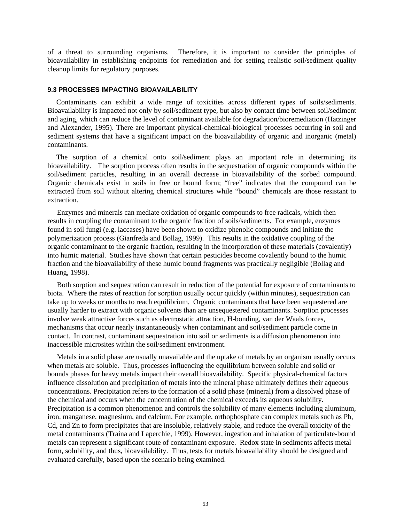of a threat to surrounding organisms. Therefore, it is important to consider the principles of bioavailability in establishing endpoints for remediation and for setting realistic soil/sediment quality cleanup limits for regulatory purposes.

### **9.3 PROCESSES IMPACTING BIOAVAILABILITY**

Contaminants can exhibit a wide range of toxicities across different types of soils/sediments. Bioavailability is impacted not only by soil/sediment type, but also by contact time between soil/sediment and aging, which can reduce the level of contaminant available for degradation/bioremediation (Hatzinger and Alexander, 1995). There are important physical-chemical-biological processes occurring in soil and sediment systems that have a significant impact on the bioavailability of organic and inorganic (metal) contaminants.

The sorption of a chemical onto soil/sediment plays an important role in determining its bioavailability. The sorption process often results in the sequestration of organic compounds within the soil/sediment particles, resulting in an overall decrease in bioavailability of the sorbed compound. Organic chemicals exist in soils in free or bound form; "free" indicates that the compound can be extracted from soil without altering chemical structures while "bound" chemicals are those resistant to extraction.

Enzymes and minerals can mediate oxidation of organic compounds to free radicals, which then results in coupling the contaminant to the organic fraction of soils/sediments. For example, enzymes found in soil fungi (e.g. laccases) have been shown to oxidize phenolic compounds and initiate the polymerization process (Gianfreda and Bollag, 1999). This results in the oxidative coupling of the organic contaminant to the organic fraction, resulting in the incorporation of these materials (covalently) into humic material. Studies have shown that certain pesticides become covalently bound to the humic fraction and the bioavailability of these humic bound fragments was practically negligible (Bollag and Huang, 1998).

Both sorption and sequestration can result in reduction of the potential for exposure of contaminants to biota. Where the rates of reaction for sorption usually occur quickly (within minutes), sequestration can take up to weeks or months to reach equilibrium. Organic contaminants that have been sequestered are usually harder to extract with organic solvents than are unsequestered contaminants. Sorption processes involve weak attractive forces such as electrostatic attraction, H-bonding, van der Waals forces, mechanisms that occur nearly instantaneously when contaminant and soil/sediment particle come in contact. In contrast, contaminant sequestration into soil or sediments is a diffusion phenomenon into inaccessible microsites within the soil/sediment environment.

Metals in a solid phase are usually unavailable and the uptake of metals by an organism usually occurs when metals are soluble. Thus, processes influencing the equilibrium between soluble and solid or bounds phases for heavy metals impact their overall bioavailability. Specific physical-chemical factors influence dissolution and precipitation of metals into the mineral phase ultimately defines their aqueous concentrations. Precipitation refers to the formation of a solid phase (mineral) from a dissolved phase of the chemical and occurs when the concentration of the chemical exceeds its aqueous solubility. Precipitation is a common phenomenon and controls the solubility of many elements including aluminum, iron, manganese, magnesium, and calcium. For example, orthophosphate can complex metals such as Pb, Cd, and Zn to form precipitates that are insoluble, relatively stable, and reduce the overall toxicity of the metal contaminants (Traina and Laperchie, 1999). However, ingestion and inhalation of particulate-bound metals can represent a significant route of contaminant exposure. Redox state in sediments affects metal form, solubility, and thus, bioavailability. Thus, tests for metals bioavailability should be designed and evaluated carefully, based upon the scenario being examined.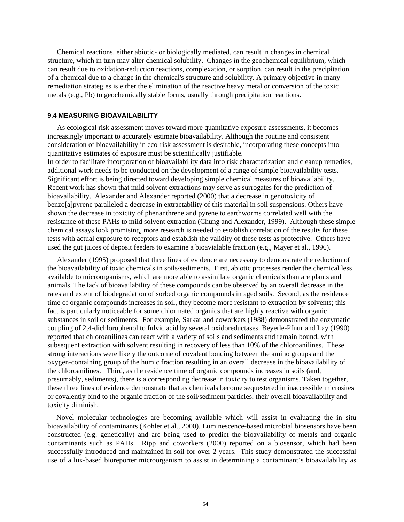Chemical reactions, either abiotic- or biologically mediated, can result in changes in chemical structure, which in turn may alter chemical solubility. Changes in the geochemical equilibrium, which can result due to oxidation-reduction reactions, complexation, or sorption, can result in the precipitation of a chemical due to a change in the chemical's structure and solubility. A primary objective in many remediation strategies is either the elimination of the reactive heavy metal or conversion of the toxic metals (e.g., Pb) to geochemically stable forms, usually through precipitation reactions.

### **9.4 MEASURING BIOAVAILABILITY**

As ecological risk assessment moves toward more quantitative exposure assessments, it becomes increasingly important to accurately estimate bioavailability. Although the routine and consistent consideration of bioavailability in eco-risk assessment is desirable, incorporating these concepts into quantitative estimates of exposure must be scientifically justifiable.

In order to facilitate incorporation of bioavailability data into risk characterization and cleanup remedies, additional work needs to be conducted on the development of a range of simple bioavailability tests. Significant effort is being directed toward developing simple chemical measures of bioavailability. Recent work has shown that mild solvent extractions may serve as surrogates for the prediction of bioavailability. Alexander and Alexander reported (2000) that a decrease in genotoxicity of benzo[a]pyrene paralleled a decrease in extractability of this material in soil suspensions. Others have shown the decrease in toxicity of phenanthrene and pyrene to earthworms correlated well with the resistance of these PAHs to mild solvent extraction (Chung and Alexander, 1999). Although these simple chemical assays look promising, more research is needed to establish correlation of the results for these tests with actual exposure to receptors and establish the validity of these tests as protective. Others have used the gut juices of deposit feeders to examine a bioavialable fraction (e.g., Mayer et al., 1996).

Alexander (1995) proposed that three lines of evidence are necessary to demonstrate the reduction of the bioavailability of toxic chemicals in soils/sediments. First, abiotic processes render the chemical less available to microorganisms, which are more able to assimilate organic chemicals than are plants and animals. The lack of bioavailability of these compounds can be observed by an overall decrease in the rates and extent of biodegradation of sorbed organic compounds in aged soils. Second, as the residence time of organic compounds increases in soil, they become more resistant to extraction by solvents; this fact is particularly noticeable for some chlorinated organics that are highly reactive with organic substances in soil or sediments. For example, Sarkar and coworkers (1988) demonstrated the enzymatic coupling of 2,4-dichlorophenol to fulvic acid by several oxidoreductases. Beyerle-Pfnur and Lay (1990) reported that chloroanilines can react with a variety of soils and sediments and remain bound, with subsequent extraction with solvent resulting in recovery of less than 10% of the chloroanilines. These strong interactions were likely the outcome of covalent bonding between the amino groups and the oxygen-containing group of the humic fraction resulting in an overall decrease in the bioavailability of the chloroanilines. Third, as the residence time of organic compounds increases in soils (and, presumably, sediments), there is a corresponding decrease in toxicity to test organisms. Taken together, these three lines of evidence demonstrate that as chemicals become sequestered in inaccessible microsites or covalently bind to the organic fraction of the soil/sediment particles, their overall bioavailability and toxicity diminish.

Novel molecular technologies are becoming available which will assist in evaluating the in situ bioavailability of contaminants (Kohler et al., 2000). Luminescence-based microbial biosensors have been constructed (e.g. genetically) and are being used to predict the bioavailability of metals and organic contaminants such as PAHs. Ripp and coworkers (2000) reported on a biosensor, which had been successfully introduced and maintained in soil for over 2 years. This study demonstrated the successful use of a lux-based bioreporter microorganism to assist in determining a contaminant's bioavailability as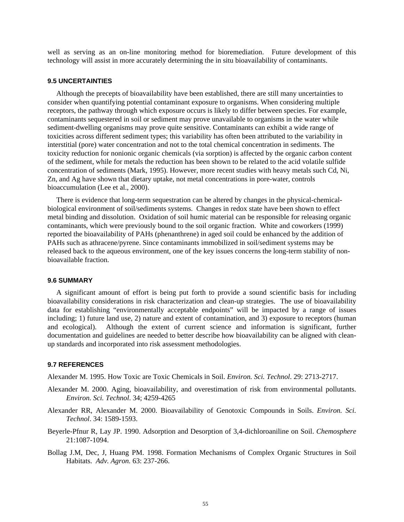well as serving as an on-line monitoring method for bioremediation. Future development of this technology will assist in more accurately determining the in situ bioavailability of contaminants.

## **9.5 UNCERTAINTIES**

Although the precepts of bioavailability have been established, there are still many uncertainties to consider when quantifying potential contaminant exposure to organisms. When considering multiple receptors, the pathway through which exposure occurs is likely to differ between species. For example, contaminants sequestered in soil or sediment may prove unavailable to organisms in the water while sediment-dwelling organisms may prove quite sensitive. Contaminants can exhibit a wide range of toxicities across different sediment types; this variability has often been attributed to the variability in interstitial (pore) water concentration and not to the total chemical concentration in sediments. The toxicity reduction for nonionic organic chemicals (via sorption) is affected by the organic carbon content of the sediment, while for metals the reduction has been shown to be related to the acid volatile sulfide concentration of sediments (Mark, 1995). However, more recent studies with heavy metals such Cd, Ni, Zn, and Ag have shown that dietary uptake, not metal concentrations in pore-water, controls bioaccumulation (Lee et al., 2000).

There is evidence that long-term sequestration can be altered by changes in the physical-chemicalbiological environment of soil/sediments systems. Changes in redox state have been shown to effect metal binding and dissolution. Oxidation of soil humic material can be responsible for releasing organic contaminants, which were previously bound to the soil organic fraction. White and coworkers (1999) reported the bioavailability of PAHs (phenanthrene) in aged soil could be enhanced by the addition of PAHs such as athracene/pyrene. Since contaminants immobilized in soil/sediment systems may be released back to the aqueous environment, one of the key issues concerns the long-term stability of nonbioavailable fraction.

### **9.6 SUMMARY**

A significant amount of effort is being put forth to provide a sound scientific basis for including bioavailability considerations in risk characterization and clean-up strategies. The use of bioavailability data for establishing "environmentally acceptable endpoints" will be impacted by a range of issues including; 1) future land use, 2) nature and extent of contamination, and 3) exposure to receptors (human and ecological). Although the extent of current science and information is significant, further documentation and guidelines are needed to better describe how bioavailability can be aligned with cleanup standards and incorporated into risk assessment methodologies.

#### **9.7 REFERENCES**

Alexander M. 1995. How Toxic are Toxic Chemicals in Soil. *Environ. Sci. Technol*. 29: 2713-2717.

- Alexander M. 2000. Aging, bioavailability, and overestimation of risk from environmental pollutants. *Environ. Sci. Technol*. 34; 4259-4265
- Alexander RR, Alexander M. 2000. Bioavailability of Genotoxic Compounds in Soils. *Environ. Sci. Technol*. 34: 1589-1593.
- Beyerle-Pfnur R, Lay JP. 1990. Adsorption and Desorption of 3,4-dichloroaniline on Soil. *Chemosphere* 21:1087-1094.
- Bollag J.M, Dec, J, Huang PM. 1998. Formation Mechanisms of Complex Organic Structures in Soil Habitats. *Adv. Agron.* 63: 237-266.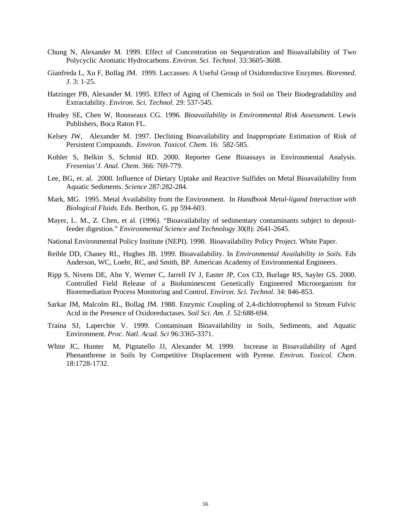- Chung N, Alexander M. 1999. Effect of Concentration on Sequestration and Bioavailability of Two Polycyclic Aromatic Hydrocarbons. *Environ. Sci. Technol*. 33:3605-3608.
- Gianfreda L, Xu F, Bollag JM. 1999. Laccasses: A Useful Group of Oxidoreductive Enzymes. *Bioremed. J*. 3: 1-25.
- Hatzinger PB, Alexander M. 1995. Effect of Aging of Chemicals in Soil on Their Biodegradability and Extractability. *Environ. Sci. Technol*. 29: 537-545.
- Hrudey SE, Chen W, Rousseaux CG. 1996*. Bioavailability in Environmental Risk Assessmen*t. Lewis Publishers, Boca Raton FL.
- Kelsey JW, Alexander M. 1997. Declining Bioavailability and Inappropriate Estimation of Risk of Persistent Compounds. *Environ. Toxicol. Chem*. 16: 582-585.
- Kohler S, Belkin S, Schmid RD. 2000. Reporter Gene Bioassays in Environmental Analysis. *Fresenius'J. Anal. Chem*. 366: 769-779.
- Lee, BG, et. al. 2000. Influence of Dietary Uptake and Reactive Sulfides on Metal Bioavailability from Aquatic Sediments. *Science* 287:282-284.
- Mark, MG. 1995. Metal Availability from the Environment. In *Handbook Metal-ligand Interaction with Biological Fluids*. Eds. Berthon, G. pp 594-603.
- Mayer, L. M., Z. Chen, et al. (1996). "Bioavailability of sedimentary contaminants subject to depositfeeder digestion." *Environmental Science and Technology* 30(8): 2641-2645.
- National Environmental Policy Institute (NEPI). 1998. Bioavailability Policy Project. White Paper.
- Reible DD, Chaney RL, Hughes JB. 1999. Bioavailability. In *Environmental Availability in Soils*. Eds Anderson, WC, Loehr, RC, and Smith, BP. American Academy of Environmental Engineers.
- Ripp S, Nivens DE, Ahn Y, Werner C, Jarrell IV J, Easter JP, Cox CD, Burlage RS, Sayler GS. 2000. Controlled Field Release of a Bioluminescent Genetically Engineered Microorganism for Bioremediation Process Monitoring and Control. *Environ. Sci. Technol*. 34: 846-853.
- Sarkar JM, Malcolm RL, Bollag JM. 1988. Enzymic Coupling of 2,4-dichlotrophenol to Stream Fulvic Acid in the Presence of Oxidoreductases. *Soil Sci. Am. J*. 52:688-694.
- Traina SJ, Laperchie V. 1999. Contaminant Bioavailability in Soils, Sediments, and Aquatic Environment. *Proc. Natl. Acad. Sci* 96:3365-3371.
- White JC, Hunter M, Pignatello JJ, Alexander M. 1999. Increase in Bioavailability of Aged Phenanthrene in Soils by Competitive Displacement with Pyrene. *Environ. Toxicol. Chem*. 18:1728-1732.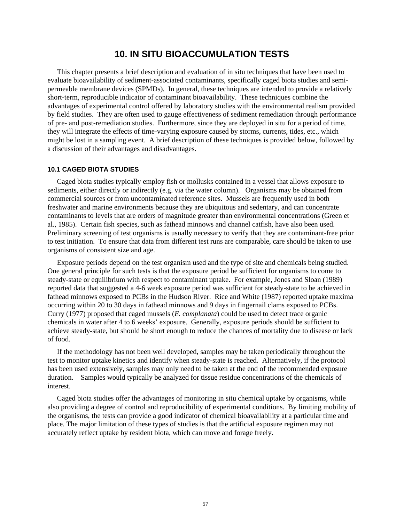# **10. IN SITU BIOACCUMULATION TESTS**

This chapter presents a brief description and evaluation of in situ techniques that have been used to evaluate bioavailability of sediment-associated contaminants, specifically caged biota studies and semipermeable membrane devices (SPMDs). In general, these techniques are intended to provide a relatively short-term, reproducible indicator of contaminant bioavailability. These techniques combine the advantages of experimental control offered by laboratory studies with the environmental realism provided by field studies. They are often used to gauge effectiveness of sediment remediation through performance of pre- and post-remediation studies. Furthermore, since they are deployed in situ for a period of time, they will integrate the effects of time-varying exposure caused by storms, currents, tides, etc., which might be lost in a sampling event. A brief description of these techniques is provided below, followed by a discussion of their advantages and disadvantages.

### **10.1 CAGED BIOTA STUDIES**

Caged biota studies typically employ fish or mollusks contained in a vessel that allows exposure to sediments, either directly or indirectly (e.g. via the water column). Organisms may be obtained from commercial sources or from uncontaminated reference sites. Mussels are frequently used in both freshwater and marine environments because they are ubiquitous and sedentary, and can concentrate contaminants to levels that are orders of magnitude greater than environmental concentrations (Green et al., 1985). Certain fish species, such as fathead minnows and channel catfish, have also been used. Preliminary screening of test organisms is usually necessary to verify that they are contaminant-free prior to test initiation. To ensure that data from different test runs are comparable, care should be taken to use organisms of consistent size and age.

Exposure periods depend on the test organism used and the type of site and chemicals being studied. One general principle for such tests is that the exposure period be sufficient for organisms to come to steady-state or equilibrium with respect to contaminant uptake. For example, Jones and Sloan (1989) reported data that suggested a 4-6 week exposure period was sufficient for steady-state to be achieved in fathead minnows exposed to PCBs in the Hudson River. Rice and White (1987) reported uptake maxima occurring within 20 to 30 days in fathead minnows and 9 days in fingernail clams exposed to PCBs. Curry (1977) proposed that caged mussels (*E. complanata*) could be used to detect trace organic chemicals in water after 4 to 6 weeks' exposure. Generally, exposure periods should be sufficient to achieve steady-state, but should be short enough to reduce the chances of mortality due to disease or lack of food.

If the methodology has not been well developed, samples may be taken periodically throughout the test to monitor uptake kinetics and identify when steady-state is reached. Alternatively, if the protocol has been used extensively, samples may only need to be taken at the end of the recommended exposure duration. Samples would typically be analyzed for tissue residue concentrations of the chemicals of interest.

Caged biota studies offer the advantages of monitoring in situ chemical uptake by organisms, while also providing a degree of control and reproducibility of experimental conditions. By limiting mobility of the organisms, the tests can provide a good indicator of chemical bioavailability at a particular time and place. The major limitation of these types of studies is that the artificial exposure regimen may not accurately reflect uptake by resident biota, which can move and forage freely.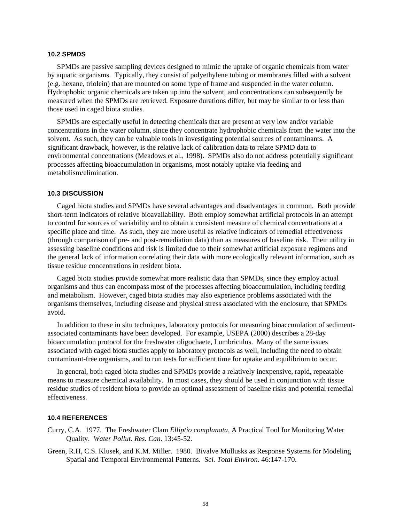### **10.2 SPMDS**

SPMDs are passive sampling devices designed to mimic the uptake of organic chemicals from water by aquatic organisms. Typically, they consist of polyethylene tubing or membranes filled with a solvent (e.g. hexane, triolein) that are mounted on some type of frame and suspended in the water column. Hydrophobic organic chemicals are taken up into the solvent, and concentrations can subsequently be measured when the SPMDs are retrieved. Exposure durations differ, but may be similar to or less than those used in caged biota studies.

SPMDs are especially useful in detecting chemicals that are present at very low and/or variable concentrations in the water column, since they concentrate hydrophobic chemicals from the water into the solvent. As such, they can be valuable tools in investigating potential sources of contaminants. A significant drawback, however, is the relative lack of calibration data to relate SPMD data to environmental concentrations (Meadows et al., 1998). SPMDs also do not address potentially significant processes affecting bioaccumulation in organisms, most notably uptake via feeding and metabolism/elimination.

### **10.3 DISCUSSION**

Caged biota studies and SPMDs have several advantages and disadvantages in common. Both provide short-term indicators of relative bioavailability. Both employ somewhat artificial protocols in an attempt to control for sources of variability and to obtain a consistent measure of chemical concentrations at a specific place and time. As such, they are more useful as relative indicators of remedial effectiveness (through comparison of pre- and post-remediation data) than as measures of baseline risk. Their utility in assessing baseline conditions and risk is limited due to their somewhat artificial exposure regimens and the general lack of information correlating their data with more ecologically relevant information, such as tissue residue concentrations in resident biota.

Caged biota studies provide somewhat more realistic data than SPMDs, since they employ actual organisms and thus can encompass most of the processes affecting bioaccumulation, including feeding and metabolism. However, caged biota studies may also experience problems associated with the organisms themselves, including disease and physical stress associated with the enclosure, that SPMDs avoid.

In addition to these in situ techniques, laboratory protocols for measuring bioaccumlation of sedimentassociated contaminants have been developed. For example, USEPA (2000) describes a 28-day bioaccumulation protocol for the freshwater oligochaete, Lumbriculus. Many of the same issues associated with caged biota studies apply to laboratory protocols as well, including the need to obtain contaminant-free organisms, and to run tests for sufficient time for uptake and equilibrium to occur.

In general, both caged biota studies and SPMDs provide a relatively inexpensive, rapid, repeatable means to measure chemical availability. In most cases, they should be used in conjunction with tissue residue studies of resident biota to provide an optimal assessment of baseline risks and potential remedial effectiveness.

### **10.4 REFERENCES**

- Curry, C.A. 1977. The Freshwater Clam *Elliptio complanata*, A Practical Tool for Monitoring Water Quality. *Water Pollut. Res. Can*. 13:45-52.
- Green, R.H, C.S. Klusek, and K.M. Miller. 1980. Bivalve Mollusks as Response Systems for Modeling Spatial and Temporal Environmental Patterns. S*ci. Total Environ*. 46:147-170.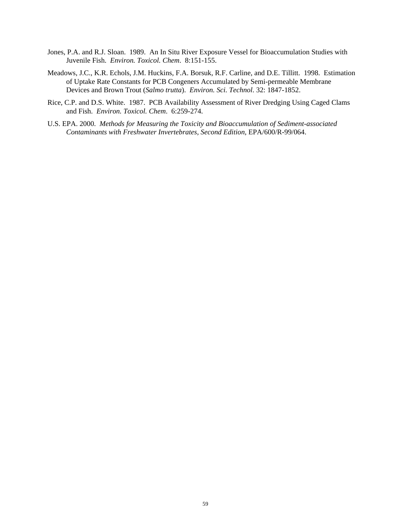- Jones, P.A. and R.J. Sloan. 1989. An In Situ River Exposure Vessel for Bioaccumulation Studies with Juvenile Fish. *Environ. Toxicol. Chem*. 8:151-155.
- Meadows, J.C., K.R. Echols, J.M. Huckins, F.A. Borsuk, R.F. Carline, and D.E. Tillitt. 1998. Estimation of Uptake Rate Constants for PCB Congeners Accumulated by Semi-permeable Membrane Devices and Brown Trout (*Salmo trutta*). *Environ. Sci. Technol*. 32: 1847-1852.
- Rice, C.P. and D.S. White. 1987. PCB Availability Assessment of River Dredging Using Caged Clams and Fish. *Environ. Toxicol. Chem*. 6:259-274.
- U.S. EPA. 2000. *Methods for Measuring the Toxicity and Bioaccumulation of Sediment-associated Contaminants with Freshwater Invertebrates, Second Edition*, EPA/600/R-99/064.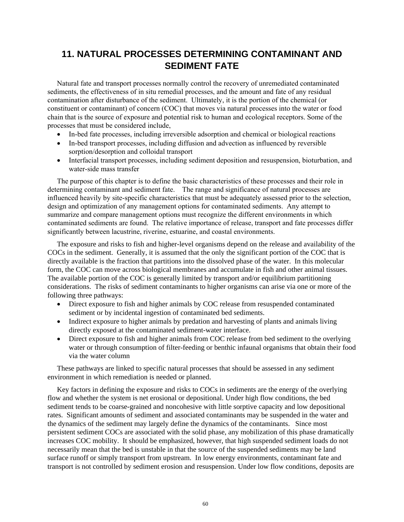# **11. NATURAL PROCESSES DETERMINING CONTAMINANT AND SEDIMENT FATE**

Natural fate and transport processes normally control the recovery of unremediated contaminated sediments, the effectiveness of in situ remedial processes, and the amount and fate of any residual contamination after disturbance of the sediment. Ultimately, it is the portion of the chemical (or constituent or contaminant) of concern (COC) that moves via natural processes into the water or food chain that is the source of exposure and potential risk to human and ecological receptors. Some of the processes that must be considered include,

- In-bed fate processes, including irreversible adsorption and chemical or biological reactions
- In-bed transport processes, including diffusion and advection as influenced by reversible sorption/desorption and colloidal transport
- Interfacial transport processes, including sediment deposition and resuspension, bioturbation, and water-side mass transfer

The purpose of this chapter is to define the basic characteristics of these processes and their role in determining contaminant and sediment fate. The range and significance of natural processes are influenced heavily by site-specific characteristics that must be adequately assessed prior to the selection, design and optimization of any management options for contaminated sediments. Any attempt to summarize and compare management options must recognize the different environments in which contaminated sediments are found. The relative importance of release, transport and fate processes differ significantly between lacustrine, riverine, estuarine, and coastal environments.

The exposure and risks to fish and higher-level organisms depend on the release and availability of the COCs in the sediment. Generally, it is assumed that the only the significant portion of the COC that is directly available is the fraction that partitions into the dissolved phase of the water. In this molecular form, the COC can move across biological membranes and accumulate in fish and other animal tissues. The available portion of the COC is generally limited by transport and/or equilibrium partitioning considerations. The risks of sediment contaminants to higher organisms can arise via one or more of the following three pathways:

- Direct exposure to fish and higher animals by COC release from resuspended contaminated sediment or by incidental ingestion of contaminated bed sediments.
- Indirect exposure to higher animals by predation and harvesting of plants and animals living directly exposed at the contaminated sediment-water interface.
- Direct exposure to fish and higher animals from COC release from bed sediment to the overlying water or through consumption of filter-feeding or benthic infaunal organisms that obtain their food via the water column

These pathways are linked to specific natural processes that should be assessed in any sediment environment in which remediation is needed or planned.

Key factors in defining the exposure and risks to COCs in sediments are the energy of the overlying flow and whether the system is net erosional or depositional. Under high flow conditions, the bed sediment tends to be coarse-grained and noncohesive with little sorptive capacity and low depositional rates. Significant amounts of sediment and associated contaminants may be suspended in the water and the dynamics of the sediment may largely define the dynamics of the contaminants. Since most persistent sediment COCs are associated with the solid phase, any mobilization of this phase dramatically increases COC mobility. It should be emphasized, however, that high suspended sediment loads do not necessarily mean that the bed is unstable in that the source of the suspended sediments may be land surface runoff or simply transport from upstream. In low energy environments, contaminant fate and transport is not controlled by sediment erosion and resuspension. Under low flow conditions, deposits are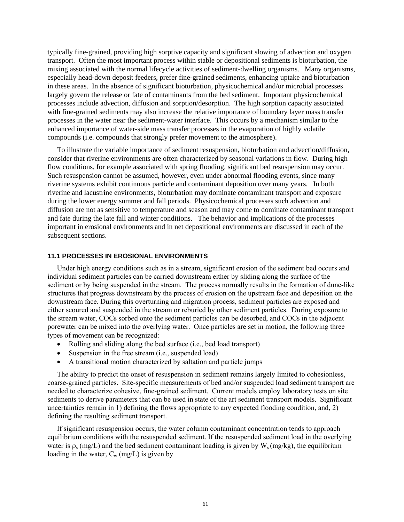typically fine-grained, providing high sorptive capacity and significant slowing of advection and oxygen transport. Often the most important process within stable or depositional sediments is bioturbation, the mixing associated with the normal lifecycle activities of sediment-dwelling organisms. Many organisms, especially head-down deposit feeders, prefer fine-grained sediments, enhancing uptake and bioturbation in these areas. In the absence of significant bioturbation, physicochemical and/or microbial processes largely govern the release or fate of contaminants from the bed sediment. Important physicochemical processes include advection, diffusion and sorption/desorption. The high sorption capacity associated with fine-grained sediments may also increase the relative importance of boundary layer mass transfer processes in the water near the sediment-water interface. This occurs by a mechanism similar to the enhanced importance of water-side mass transfer processes in the evaporation of highly volatile compounds (i.e. compounds that strongly prefer movement to the atmosphere).

To illustrate the variable importance of sediment resuspension, bioturbation and advection/diffusion, consider that riverine environments are often characterized by seasonal variations in flow. During high flow conditions, for example associated with spring flooding, significant bed resuspension may occur. Such resuspension cannot be assumed, however, even under abnormal flooding events, since many riverine systems exhibit continuous particle and contaminant deposition over many years. In both riverine and lacustrine environments, bioturbation may dominate contaminant transport and exposure during the lower energy summer and fall periods. Physicochemical processes such advection and diffusion are not as sensitive to temperature and season and may come to dominate contaminant transport and fate during the late fall and winter conditions. The behavior and implications of the processes important in erosional environments and in net depositional environments are discussed in each of the subsequent sections.

#### **11.1 PROCESSES IN EROSIONAL ENVIRONMENTS**

Under high energy conditions such as in a stream, significant erosion of the sediment bed occurs and individual sediment particles can be carried downstream either by sliding along the surface of the sediment or by being suspended in the stream. The process normally results in the formation of dune-like structures that progress downstream by the process of erosion on the upstream face and deposition on the downstream face. During this overturning and migration process, sediment particles are exposed and either scoured and suspended in the stream or reburied by other sediment particles. During exposure to the stream water, COCs sorbed onto the sediment particles can be desorbed, and COCs in the adjacent porewater can be mixed into the overlying water. Once particles are set in motion, the following three types of movement can be recognized:

- Rolling and sliding along the bed surface (i.e., bed load transport)
- Suspension in the free stream (i.e., suspended load)
- A transitional motion characterized by saltation and particle jumps

The ability to predict the onset of resuspension in sediment remains largely limited to cohesionless, coarse-grained particles. Site-specific measurements of bed and/or suspended load sediment transport are needed to characterize cohesive, fine-grained sediment. Current models employ laboratory tests on site sediments to derive parameters that can be used in state of the art sediment transport models. Significant uncertainties remain in 1) defining the flows appropriate to any expected flooding condition, and, 2) defining the resulting sediment transport.

If significant resuspension occurs, the water column contaminant concentration tends to approach equilibrium conditions with the resuspended sediment. If the resuspended sediment load in the overlying water is  $\rho_s$  (mg/L) and the bed sediment contaminant loading is given by W<sub>s</sub> (mg/kg), the equilibrium loading in the water,  $C_w$  (mg/L) is given by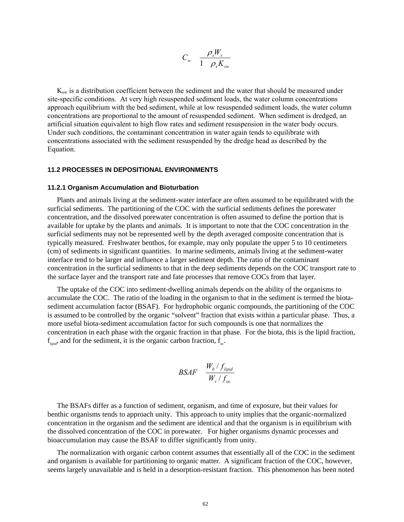$$
C_w \quad \frac{\rho_s W_s}{1 - \rho_s K_{sw}}
$$

 $K<sub>sw</sub>$  is a distribution coefficient between the sediment and the water that should be measured under site-specific conditions. At very high resuspended sediment loads, the water column concentrations approach equilibrium with the bed sediment, while at low resuspended sediment loads, the water column concentrations are proportional to the amount of resuspended sediment. When sediment is dredged, an artificial situation equivalent to high flow rates and sediment resuspension in the water body occurs. Under such conditions, the contaminant concentration in water again tends to equilibrate with concentrations associated with the sediment resuspended by the dredge head as described by the Equation.

#### **11.2 PROCESSES IN DEPOSITIONAL ENVIRONMENTS**

#### **11.2.1 Organism Accumulation and Bioturbation**

Plants and animals living at the sediment-water interface are often assumed to be equilibrated with the surficial sediments. The partitioning of the COC with the surficial sediments defines the porewater concentration, and the dissolved porewater concentration is often assumed to define the portion that is available for uptake by the plants and animals. It is important to note that the COC concentration in the surficial sediments may not be represented well by the depth averaged composite concentration that is typically measured. Freshwater benthos, for example, may only populate the upper 5 to 10 centimeters (cm) of sediments in significant quantities. In marine sediments, animals living at the sediment-water interface tend to be larger and influence a larger sediment depth. The ratio of the contaminant concentration in the surficial sediments to that in the deep sediments depends on the COC transport rate to the surface layer and the transport rate and fate processes that remove COCs from that layer.

The uptake of the COC into sediment-dwelling animals depends on the ability of the organisms to accumulate the COC. The ratio of the loading in the organism to that in the sediment is termed the biotasediment accumulation factor (BSAF). For hydrophobic organic compounds, the partitioning of the COC is assumed to be controlled by the organic "solvent" fraction that exists within a particular phase. Thus, a more useful biota-sediment accumulation factor for such compounds is one that normalizes the concentration in each phase with the organic fraction in that phase. For the biota, this is the lipid fraction,  $f_{\text{limit}}$ , and for the sediment, it is the organic carbon fraction,  $f_{\text{out}}$ .

$$
\mathit{BSAF} \quad \frac{W_b \, / \, f_{lipid}}{W_s \, / \, f_{oc}}
$$

The BSAFs differ as a function of sediment, organism, and time of exposure, but their values for benthic organisms tends to approach unity. This approach to unity implies that the organic-normalized concentration in the organism and the sediment are identical and that the organism is in equilibrium with the dissolved concentration of the COC in porewater. For higher organisms dynamic processes and bioaccumulation may cause the BSAF to differ significantly from unity.

The normalization with organic carbon content assumes that essentially all of the COC in the sediment and organism is available for partitioning to organic matter. A significant fraction of the COC, however, seems largely unavailable and is held in a desorption-resistant fraction. This phenomenon has been noted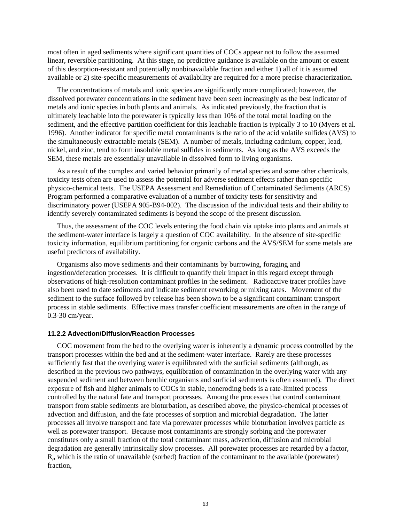most often in aged sediments where significant quantities of COCs appear not to follow the assumed linear, reversible partitioning. At this stage, no predictive guidance is available on the amount or extent of this desorption-resistant and potentially nonbioavailable fraction and either 1) all of it is assumed available or 2) site-specific measurements of availability are required for a more precise characterization.

The concentrations of metals and ionic species are significantly more complicated; however, the dissolved porewater concentrations in the sediment have been seen increasingly as the best indicator of metals and ionic species in both plants and animals. As indicated previously, the fraction that is ultimately leachable into the porewater is typically less than 10% of the total metal loading on the sediment, and the effective partition coefficient for this leachable fraction is typically 3 to 10 (Myers et al. 1996). Another indicator for specific metal contaminants is the ratio of the acid volatile sulfides (AVS) to the simultaneously extractable metals (SEM). A number of metals, including cadmium, copper, lead, nickel, and zinc, tend to form insoluble metal sulfides in sediments. As long as the AVS exceeds the SEM, these metals are essentially unavailable in dissolved form to living organisms.

As a result of the complex and varied behavior primarily of metal species and some other chemicals, toxicity tests often are used to assess the potential for adverse sediment effects rather than specific physico-chemical tests. The USEPA Assessment and Remediation of Contaminated Sediments (ARCS) Program performed a comparative evaluation of a number of toxicity tests for sensitivity and discriminatory power (USEPA 905-B94-002). The discussion of the individual tests and their ability to identify severely contaminated sediments is beyond the scope of the present discussion.

Thus, the assessment of the COC levels entering the food chain via uptake into plants and animals at the sediment-water interface is largely a question of COC availability. In the absence of site-specific toxicity information, equilibrium partitioning for organic carbons and the AVS/SEM for some metals are useful predictors of availability.

Organisms also move sediments and their contaminants by burrowing, foraging and ingestion/defecation processes. It is difficult to quantify their impact in this regard except through observations of high-resolution contaminant profiles in the sediment. Radioactive tracer profiles have also been used to date sediments and indicate sediment reworking or mixing rates. Movement of the sediment to the surface followed by release has been shown to be a significant contaminant transport process in stable sediments. Effective mass transfer coefficient measurements are often in the range of 0.3-30 cm/year.

### **11.2.2 Advection/Diffusion/Reaction Processes**

COC movement from the bed to the overlying water is inherently a dynamic process controlled by the transport processes within the bed and at the sediment-water interface. Rarely are these processes sufficiently fast that the overlying water is equilibrated with the surficial sediments (although, as described in the previous two pathways, equilibration of contamination in the overlying water with any suspended sediment and between benthic organisms and surficial sediments is often assumed). The direct exposure of fish and higher animals to COCs in stable, noneroding beds is a rate-limited process controlled by the natural fate and transport processes. Among the processes that control contaminant transport from stable sediments are bioturbation, as described above, the physico-chemical processes of advection and diffusion, and the fate processes of sorption and microbial degradation. The latter processes all involve transport and fate via porewater processes while bioturbation involves particle as well as porewater transport. Because most contaminants are strongly sorbing and the porewater constitutes only a small fraction of the total contaminant mass, advection, diffusion and microbial degradation are generally intrinsically slow processes. All porewater processes are retarded by a factor,  $R<sub>r</sub>$ , which is the ratio of unavailable (sorbed) fraction of the contaminant to the available (porewater) fraction,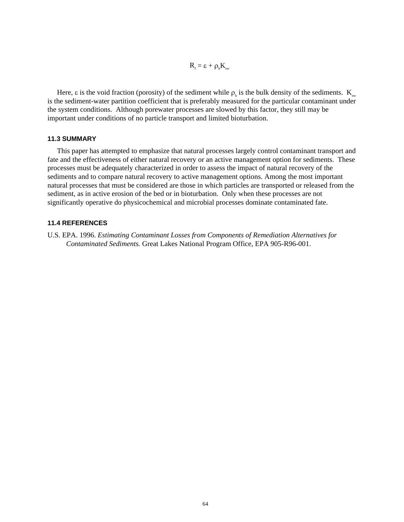$$
R_{_{f}}=\epsilon+\rho_{_{b}}K_{_{sw}}
$$

Here,  $\varepsilon$  is the void fraction (porosity) of the sediment while  $\rho_b$  is the bulk density of the sediments.  $K_{\text{sw}}$ is the sediment-water partition coefficient that is preferably measured for the particular contaminant under the system conditions. Although porewater processes are slowed by this factor, they still may be important under conditions of no particle transport and limited bioturbation.

## **11.3 SUMMARY**

This paper has attempted to emphasize that natural processes largely control contaminant transport and fate and the effectiveness of either natural recovery or an active management option for sediments. These processes must be adequately characterized in order to assess the impact of natural recovery of the sediments and to compare natural recovery to active management options. Among the most important natural processes that must be considered are those in which particles are transported or released from the sediment, as in active erosion of the bed or in bioturbation. Only when these processes are not significantly operative do physicochemical and microbial processes dominate contaminated fate.

#### **11.4 REFERENCES**

U.S. EPA. 1996. *Estimating Contaminant Losses from Components of Remediation Alternatives for Contaminated Sediments.* Great Lakes National Program Office, EPA 905-R96-001.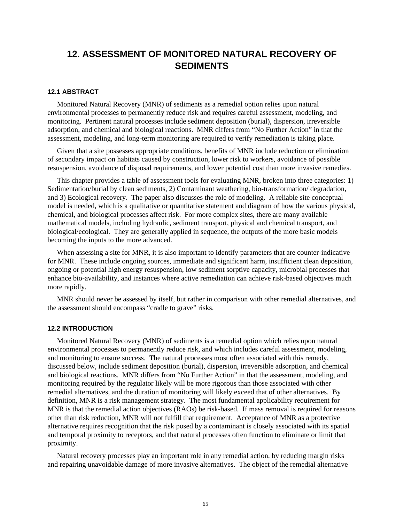# **12. ASSESSMENT OF MONITORED NATURAL RECOVERY OF SEDIMENTS**

## **12.1 ABSTRACT**

Monitored Natural Recovery (MNR) of sediments as a remedial option relies upon natural environmental processes to permanently reduce risk and requires careful assessment, modeling, and monitoring. Pertinent natural processes include sediment deposition (burial), dispersion, irreversible adsorption, and chemical and biological reactions. MNR differs from "No Further Action" in that the assessment, modeling, and long-term monitoring are required to verify remediation is taking place.

Given that a site possesses appropriate conditions, benefits of MNR include reduction or elimination of secondary impact on habitats caused by construction, lower risk to workers, avoidance of possible resuspension, avoidance of disposal requirements, and lower potential cost than more invasive remedies.

This chapter provides a table of assessment tools for evaluating MNR, broken into three categories: 1) Sedimentation/burial by clean sediments, 2) Contaminant weathering, bio-transformation/ degradation, and 3) Ecological recovery. The paper also discusses the role of modeling. A reliable site conceptual model is needed, which is a qualitative or quantitative statement and diagram of how the various physical, chemical, and biological processes affect risk. For more complex sites, there are many available mathematical models, including hydraulic, sediment transport, physical and chemical transport, and biological/ecological. They are generally applied in sequence, the outputs of the more basic models becoming the inputs to the more advanced.

When assessing a site for MNR, it is also important to identify parameters that are counter-indicative for MNR. These include ongoing sources, immediate and significant harm, insufficient clean deposition, ongoing or potential high energy resuspension, low sediment sorptive capacity, microbial processes that enhance bio-availability, and instances where active remediation can achieve risk-based objectives much more rapidly.

MNR should never be assessed by itself, but rather in comparison with other remedial alternatives, and the assessment should encompass "cradle to grave" risks.

#### **12.2 INTRODUCTION**

Monitored Natural Recovery (MNR) of sediments is a remedial option which relies upon natural environmental processes to permanently reduce risk, and which includes careful assessment, modeling, and monitoring to ensure success. The natural processes most often associated with this remedy, discussed below, include sediment deposition (burial), dispersion, irreversible adsorption, and chemical and biological reactions. MNR differs from "No Further Action" in that the assessment, modeling, and monitoring required by the regulator likely will be more rigorous than those associated with other remedial alternatives, and the duration of monitoring will likely exceed that of other alternatives. By definition, MNR is a risk management strategy. The most fundamental applicability requirement for MNR is that the remedial action objectives (RAOs) be risk-based. If mass removal is required for reasons other than risk reduction, MNR will not fulfill that requirement. Acceptance of MNR as a protective alternative requires recognition that the risk posed by a contaminant is closely associated with its spatial and temporal proximity to receptors, and that natural processes often function to eliminate or limit that proximity.

Natural recovery processes play an important role in any remedial action, by reducing margin risks and repairing unavoidable damage of more invasive alternatives. The object of the remedial alternative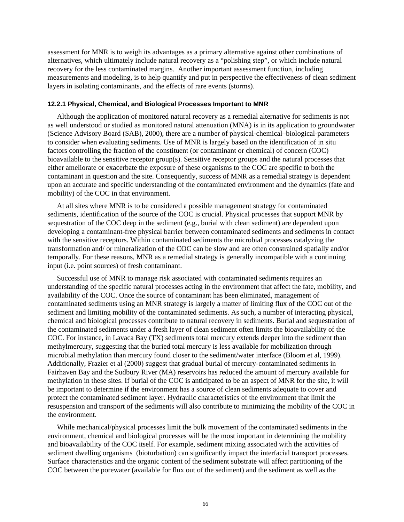assessment for MNR is to weigh its advantages as a primary alternative against other combinations of alternatives, which ultimately include natural recovery as a "polishing step", or which include natural recovery for the less contaminated margins. Another important assessment function, including measurements and modeling, is to help quantify and put in perspective the effectiveness of clean sediment layers in isolating contaminants, and the effects of rare events (storms).

#### **12.2.1 Physical, Chemical, and Biological Processes Important to MNR**

Although the application of monitored natural recovery as a remedial alternative for sediments is not as well understood or studied as monitored natural attenuation (MNA) is in its application to groundwater (Science Advisory Board (SAB), 2000), there are a number of physical-chemical–biological-parameters to consider when evaluating sediments. Use of MNR is largely based on the identification of in situ factors controlling the fraction of the constituent (or contaminant or chemical) of concern (COC) bioavailable to the sensitive receptor group(s). Sensitive receptor groups and the natural processes that either ameliorate or exacerbate the exposure of these organisms to the COC are specific to both the contaminant in question and the site. Consequently, success of MNR as a remedial strategy is dependent upon an accurate and specific understanding of the contaminated environment and the dynamics (fate and mobility) of the COC in that environment.

At all sites where MNR is to be considered a possible management strategy for contaminated sediments, identification of the source of the COC is crucial. Physical processes that support MNR by sequestration of the COC deep in the sediment (e.g., burial with clean sediment) are dependent upon developing a contaminant-free physical barrier between contaminated sediments and sediments in contact with the sensitive receptors. Within contaminated sediments the microbial processes catalyzing the transformation and/ or mineralization of the COC can be slow and are often constrained spatially and/or temporally. For these reasons, MNR as a remedial strategy is generally incompatible with a continuing input (i.e. point sources) of fresh contaminant.

Successful use of MNR to manage risk associated with contaminated sediments requires an understanding of the specific natural processes acting in the environment that affect the fate, mobility, and availability of the COC. Once the source of contaminant has been eliminated, management of contaminated sediments using an MNR strategy is largely a matter of limiting flux of the COC out of the sediment and limiting mobility of the contaminated sediments. As such, a number of interacting physical, chemical and biological processes contribute to natural recovery in sediments. Burial and sequestration of the contaminated sediments under a fresh layer of clean sediment often limits the bioavailability of the COC. For instance, in Lavaca Bay (TX) sediments total mercury extends deeper into the sediment than methylmercury, suggesting that the buried total mercury is less available for mobilization through microbial methylation than mercury found closer to the sediment/water interface (Bloom et al, 1999). Additionally, Frazier et al (2000) suggest that gradual burial of mercury-contaminated sediments in Fairhaven Bay and the Sudbury River (MA) reservoirs has reduced the amount of mercury available for methylation in these sites. If burial of the COC is anticipated to be an aspect of MNR for the site, it will be important to determine if the environment has a source of clean sediments adequate to cover and protect the contaminated sediment layer. Hydraulic characteristics of the environment that limit the resuspension and transport of the sediments will also contribute to minimizing the mobility of the COC in the environment.

While mechanical/physical processes limit the bulk movement of the contaminated sediments in the environment, chemical and biological processes will be the most important in determining the mobility and bioavailability of the COC itself. For example, sediment mixing associated with the activities of sediment dwelling organisms (bioturbation) can significantly impact the interfacial transport processes. Surface characteristics and the organic content of the sediment substrate will affect partitioning of the COC between the porewater (available for flux out of the sediment) and the sediment as well as the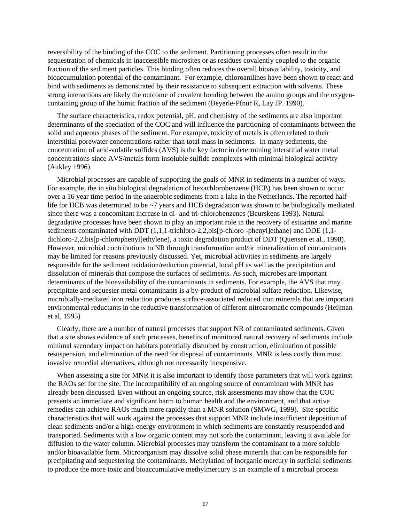reversibility of the binding of the COC to the sediment. Partitioning processes often result in the sequestration of chemicals in inaccessible microsites or as residues covalently coupled to the organic fraction of the sediment particles. This binding often reduces the overall bioavailability, toxicity, and bioaccumulation potential of the contaminant. For example, chloroanilines have been shown to react and bind with sediments as demonstrated by their resistance to subsequent extraction with solvents. These strong interactions are likely the outcome of covalent bonding between the amino groups and the oxygencontaining group of the humic fraction of the sediment (Beyerle-Pfnur R, Lay JP. 1990).

The surface characteristics, redox potential, pH, and chemistry of the sediments are also important determinants of the speciation of the COC and will influence the partitioning of contaminants between the solid and aqueous phases of the sediment. For example, toxicity of metals is often related to their interstitial porewater concentrations rather than total mass in sediments. In many sediments, the concentration of acid-volatile sulfides (AVS) is the key factor in determining interstitial water metal concentrations since AVS/metals form insoluble sulfide complexes with minimal biological activity (Ankley 1996)

Microbial processes are capable of supporting the goals of MNR in sediments in a number of ways. For example, the in situ biological degradation of hexachlorobenzene (HCB) has been shown to occur over a 16 year time period in the anaerobic sediments from a lake in the Netherlands. The reported halflife for HCB was determined to be ~7 years and HCB degradation was shown to be biologically mediated since there was a concomitant increase in di- and tri-chlorobenzenes (Beurskens 1993). Natural degradative processes have been shown to play an important role in the recovery of estuarine and marine sediments contaminated with DDT (1,1,1-trichloro-2,2,bis[p-chloro -phenyl]ethane) and DDE (1,1dichloro-2,2,bis[p-chlorophenyl]ethylene), a toxic degradation product of DDT (Quensen et al., 1998). However, microbial contributions to NR through transformation and/or mineralization of contaminants may be limited for reasons previously discussed. Yet, microbial activities in sediments are largely responsible for the sediment oxidation/reduction potential, local pH as well as the precipitation and dissolution of minerals that compose the surfaces of sediments. As such, microbes are important determinants of the bioavailability of the contaminants in sediments. For example, the AVS that may precipitate and sequester metal contaminants is a by-product of microbial sulfate reduction. Likewise, microbially-mediated iron reduction produces surface-associated reduced iron minerals that are important environmental reductants in the reductive transformation of different nitroaromatic compounds (Heijman et al, 1995)

Clearly, there are a number of natural processes that support NR of contaminated sediments. Given that a site shows evidence of such processes, benefits of monitored natural recovery of sediments include minimal secondary impact on habitats potentially disturbed by construction, elimination of possible resuspension, and elimination of the need for disposal of contaminants. MNR is less costly than most invasive remedial alternatives, although not necessarily inexpensive.

When assessing a site for MNR it is also important to identify those parameters that will work against the RAOs set for the site. The incompatibility of an ongoing source of contaminant with MNR has already been discussed. Even without an ongoing source, risk assessments may show that the COC presents an immediate and significant harm to human health and the environment, and that active remedies can achieve RAOs much more rapidly than a MNR solution (SMWG, 1999). Site-specific characteristics that will work against the processes that support MNR include insufficient deposition of clean sediments and/or a high-energy environment in which sediments are constantly resuspended and transported. Sediments with a low organic content may not sorb the contaminant, leaving it available for diffusion to the water column. Microbial processes may transform the contaminant to a more soluble and/or bioavailable form. Microorganism may dissolve solid phase minerals that can be responsible for precipitating and sequestering the contaminants. Methylation of inorganic mercury in surficial sediments to produce the more toxic and bioaccumulative methylmercury is an example of a microbial process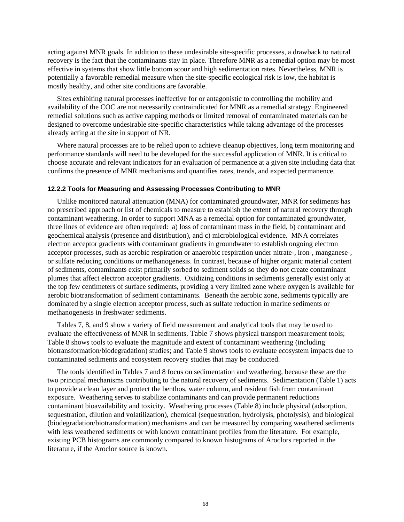acting against MNR goals. In addition to these undesirable site-specific processes, a drawback to natural recovery is the fact that the contaminants stay in place. Therefore MNR as a remedial option may be most effective in systems that show little bottom scour and high sedimentation rates. Nevertheless, MNR is potentially a favorable remedial measure when the site-specific ecological risk is low, the habitat is mostly healthy, and other site conditions are favorable.

Sites exhibiting natural processes ineffective for or antagonistic to controlling the mobility and availability of the COC are not necessarily contraindicated for MNR as a remedial strategy. Engineered remedial solutions such as active capping methods or limited removal of contaminated materials can be designed to overcome undesirable site-specific characteristics while taking advantage of the processes already acting at the site in support of NR.

Where natural processes are to be relied upon to achieve cleanup objectives, long term monitoring and performance standards will need to be developed for the successful application of MNR. It is critical to choose accurate and relevant indicators for an evaluation of permanence at a given site including data that confirms the presence of MNR mechanisms and quantifies rates, trends, and expected permanence.

## **12.2.2 Tools for Measuring and Assessing Processes Contributing to MNR**

Unlike monitored natural attenuation (MNA) for contaminated groundwater, MNR for sediments has no prescribed approach or list of chemicals to measure to establish the extent of natural recovery through contaminant weathering. In order to support MNA as a remedial option for contaminated groundwater, three lines of evidence are often required: a) loss of contaminant mass in the field, b) contaminant and geochemical analysis (presence and distribution), and c) microbiological evidence. MNA correlates electron acceptor gradients with contaminant gradients in groundwater to establish ongoing electron acceptor processes, such as aerobic respiration or anaerobic respiration under nitrate-, iron-, manganese-, or sulfate reducing conditions or methanogenesis. In contrast, because of higher organic material content of sediments, contaminants exist primarily sorbed to sediment solids so they do not create contaminant plumes that affect electron acceptor gradients. Oxidizing conditions in sediments generally exist only at the top few centimeters of surface sediments, providing a very limited zone where oxygen is available for aerobic biotransformation of sediment contaminants. Beneath the aerobic zone, sediments typically are dominated by a single electron acceptor process, such as sulfate reduction in marine sediments or methanogenesis in freshwater sediments.

Tables 7, 8, and 9 show a variety of field measurement and analytical tools that may be used to evaluate the effectiveness of MNR in sediments. [Table 7](#page-80-0) shows physical transport measurement tools; Table 8 shows tools to evaluate the magnitude and extent of contaminant weathering (including biotransformation/biodegradation) studies; and Table 9 shows tools to evaluate ecosystem impacts due to contaminated sediments and ecosystem recovery studies that may be conducted.

The tools identified in Tables 7 and 8 focus on sedimentation and weathering, because these are the two principal mechanisms contributing to the natural recovery of sediments. Sedimentation (Table 1) acts to provide a clean layer and protect the benthos, water column, and resident fish from contaminant exposure. Weathering serves to stabilize contaminants and can provide permanent reductions contaminant bioavailability and toxicity. Weathering processes (Table 8) include physical (adsorption, sequestration, dilution and volatilization), chemical (sequestration, hydrolysis, photolysis), and biological (biodegradation/biotransformation) mechanisms and can be measured by comparing weathered sediments with less weathered sediments or with known contaminant profiles from the literature. For example, existing PCB histograms are commonly compared to known histograms of Aroclors reported in the literature, if the Aroclor source is known.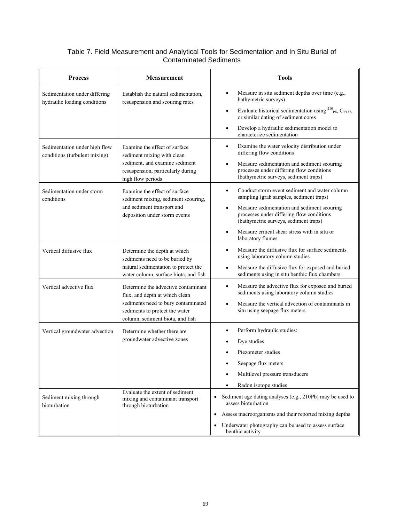# <span id="page-80-0"></span>Table 7. Field Measurement and Analytical Tools for Sedimentation and In Situ Burial of Contaminated Sediments

| <b>Process</b>                                                 | <b>Measurement</b>                                                                                                                  | <b>Tools</b>                                                                                                                                                                                                         |
|----------------------------------------------------------------|-------------------------------------------------------------------------------------------------------------------------------------|----------------------------------------------------------------------------------------------------------------------------------------------------------------------------------------------------------------------|
| Sedimentation under differing<br>hydraulic loading conditions  | Establish the natural sedimentation,<br>resuspension and scouring rates                                                             | Measure in situ sediment depths over time (e.g.,<br>bathymetric surveys)<br>Evaluate historical sedimentation using $^{210}$ <sub>Pb</sub> , Cs <sub>137</sub> ,<br>$\bullet$<br>or similar dating of sediment cores |
|                                                                |                                                                                                                                     | Develop a hydraulic sedimentation model to<br>characterize sedimentation                                                                                                                                             |
| Sedimentation under high flow<br>conditions (turbulent mixing) | Examine the effect of surface<br>sediment mixing with clean<br>sediment, and examine sediment                                       | Examine the water velocity distribution under<br>$\bullet$<br>differing flow conditions<br>Measure sedimentation and sediment scouring                                                                               |
|                                                                | resuspension, particularly during<br>high flow periods                                                                              | processes under differing flow conditions<br>(bathymetric surveys, sediment traps)                                                                                                                                   |
| Sedimentation under storm<br>conditions                        | Examine the effect of surface<br>sediment mixing, sediment scouring,<br>and sediment transport and<br>deposition under storm events | Conduct storm event sediment and water column<br>sampling (grab samples, sediment traps)                                                                                                                             |
|                                                                |                                                                                                                                     | Measure sedimentation and sediment scouring<br>processes under differing flow conditions<br>(bathymetric surveys, sediment traps)                                                                                    |
|                                                                |                                                                                                                                     | Measure critical shear stress with in situ or<br>laboratory flumes                                                                                                                                                   |
| Vertical diffusive flux                                        | Determine the depth at which<br>sediments need to be buried by                                                                      | Measure the diffusive flux for surface sediments<br>using laboratory column studies                                                                                                                                  |
|                                                                | natural sedimentation to protect the<br>water column, surface biota, and fish                                                       | Measure the diffusive flux for exposed and buried<br>sediments using in situ benthic flux chambers                                                                                                                   |
| Vertical advective flux                                        | Determine the advective contaminant<br>flux, and depth at which clean                                                               | Measure the advective flux for exposed and buried<br>$\bullet$<br>sediments using laboratory column studies                                                                                                          |
|                                                                | sediments need to bury contaminated<br>sediments to protect the water<br>column, sediment biota, and fish                           | Measure the vertical advection of contaminants in<br>situ using seepage flux meters                                                                                                                                  |
| Vertical groundwater advection                                 | Determine whether there are<br>groundwater advective zones                                                                          | Perform hydraulic studies:                                                                                                                                                                                           |
|                                                                |                                                                                                                                     | Dye studies                                                                                                                                                                                                          |
|                                                                |                                                                                                                                     | Piezometer studies                                                                                                                                                                                                   |
|                                                                |                                                                                                                                     | Seepage flux meters                                                                                                                                                                                                  |
|                                                                |                                                                                                                                     | Multilevel pressure transducers                                                                                                                                                                                      |
|                                                                | Evaluate the extent of sediment                                                                                                     | Radon isotope studies                                                                                                                                                                                                |
| Sediment mixing through<br>bioturbation                        | mixing and contaminant transport<br>through bioturbation                                                                            | Sediment age dating analyses (e.g., 210Pb) may be used to<br>assess bioturbation                                                                                                                                     |
|                                                                |                                                                                                                                     | Assess macroorganisms and their reported mixing depths<br>$\bullet$                                                                                                                                                  |
|                                                                |                                                                                                                                     | Underwater photography can be used to assess surface<br>٠<br>benthic activity                                                                                                                                        |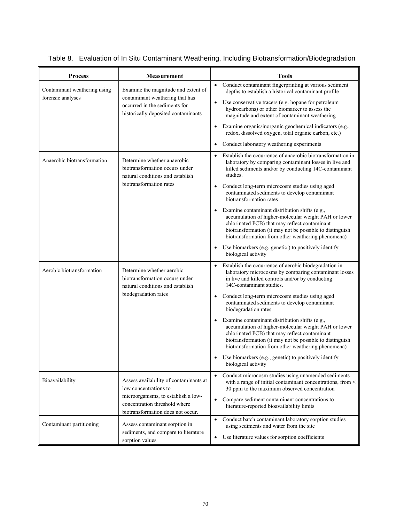| <b>Process</b>                                                                                                                                       | <b>Measurement</b>                                                                                                                                                                                          | <b>Tools</b>                                                                                                                                                                                                                                                                                |
|------------------------------------------------------------------------------------------------------------------------------------------------------|-------------------------------------------------------------------------------------------------------------------------------------------------------------------------------------------------------------|---------------------------------------------------------------------------------------------------------------------------------------------------------------------------------------------------------------------------------------------------------------------------------------------|
| Contaminant weathering using<br>forensic analyses                                                                                                    | Examine the magnitude and extent of<br>contaminant weathering that has<br>occurred in the sediments for<br>historically deposited contaminants                                                              | Conduct contaminant fingerprinting at various sediment<br>depths to establish a historical contaminant profile<br>Use conservative tracers (e.g. hopane for petroleum<br>hydrocarbons) or other biomarker to assess the<br>magnitude and extent of contaminant weathering                   |
|                                                                                                                                                      |                                                                                                                                                                                                             | Examine organic/inorganic geochemical indicators (e.g.,<br>$\bullet$<br>redox, dissolved oxygen, total organic carbon, etc.)                                                                                                                                                                |
| Anaerobic biotransformation                                                                                                                          | Determine whether anaerobic<br>biotransformation occurs under<br>natural conditions and establish<br>biotransformation rates                                                                                | Conduct laboratory weathering experiments<br>Establish the occurrence of anaerobic biotransformation in<br>$\bullet$<br>laboratory by comparing contaminant losses in live and<br>killed sediments and/or by conducting 14C-contaminant<br>studies.                                         |
|                                                                                                                                                      |                                                                                                                                                                                                             | Conduct long-term microcosm studies using aged<br>$\bullet$<br>contaminated sediments to develop contaminant<br>biotransformation rates                                                                                                                                                     |
|                                                                                                                                                      |                                                                                                                                                                                                             | Examine contaminant distribution shifts (e.g.,<br>$\bullet$<br>accumulation of higher-molecular weight PAH or lower<br>chlorinated PCB) that may reflect contaminant<br>biotransformation (it may not be possible to distinguish<br>biotransformation from other weathering phenomena)      |
|                                                                                                                                                      |                                                                                                                                                                                                             | Use biomarkers (e.g. genetic ) to positively identify<br>$\bullet$<br>biological activity                                                                                                                                                                                                   |
| Aerobic biotransformation<br>Determine whether aerobic<br>biotransformation occurs under<br>natural conditions and establish<br>biodegradation rates | Establish the occurrence of aerobic biodegradation in<br>$\bullet$<br>laboratory microcosms by comparing contaminant losses<br>in live and killed controls and/or by conducting<br>14C-contaminant studies. |                                                                                                                                                                                                                                                                                             |
|                                                                                                                                                      |                                                                                                                                                                                                             | Conduct long-term microcosm studies using aged<br>contaminated sediments to develop contaminant<br>biodegradation rates                                                                                                                                                                     |
|                                                                                                                                                      |                                                                                                                                                                                                             | Examine contaminant distribution shifts (e.g.,<br>$\bullet$<br>accumulation of higher-molecular weight PAH or lower<br>chlorinated PCB) that may reflect contaminant<br>biotransformation (it may not be possible to distinguish<br>biotransformation from other weathering phenomena)      |
|                                                                                                                                                      |                                                                                                                                                                                                             | Use biomarkers (e.g., genetic) to positively identify<br>biological activity                                                                                                                                                                                                                |
| Bioavailability                                                                                                                                      | Assess availability of contaminants at<br>low concentrations to<br>microorganisms, to establish a low-<br>concentration threshold where                                                                     | Conduct microcosm studies using unamended sediments<br>$\bullet$<br>with a range of initial contaminant concentrations, from <<br>30 ppm to the maximum observed concentration<br>Compare sediment contaminant concentrations to<br>$\bullet$<br>literature-reported bioavailability limits |
| Contaminant partitioning                                                                                                                             | biotransformation does not occur.<br>Assess contaminant sorption in                                                                                                                                         | Conduct batch contaminant laboratory sorption studies<br>$\bullet$                                                                                                                                                                                                                          |
|                                                                                                                                                      | sediments, and compare to literature<br>sorption values                                                                                                                                                     | using sediments and water from the site<br>Use literature values for sorption coefficients<br>$\bullet$                                                                                                                                                                                     |

|  |  | Table 8. Evaluation of In Situ Contaminant Weathering, Including Biotransformation/Biodegradation |
|--|--|---------------------------------------------------------------------------------------------------|
|  |  |                                                                                                   |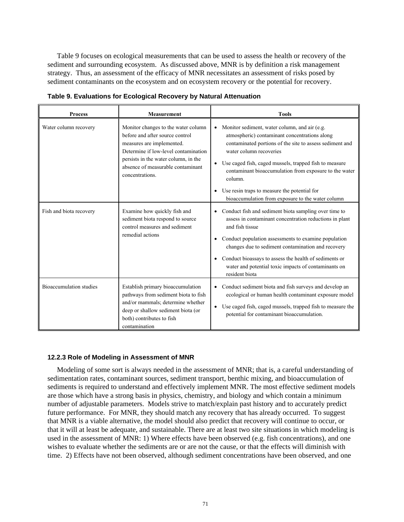Table 9 focuses on ecological measurements that can be used to assess the health or recovery of the sediment and surrounding ecosystem. As discussed above, MNR is by definition a risk management strategy. Thus, an assessment of the efficacy of MNR necessitates an assessment of risks posed by sediment contaminants on the ecosystem and on ecosystem recovery or the potential for recovery.

| <b>Process</b>                 | <b>Measurement</b>                                                                                                                                                                                                                          | <b>Tools</b>                                                                                                                                                                                                                                                                                                                                                                                              |
|--------------------------------|---------------------------------------------------------------------------------------------------------------------------------------------------------------------------------------------------------------------------------------------|-----------------------------------------------------------------------------------------------------------------------------------------------------------------------------------------------------------------------------------------------------------------------------------------------------------------------------------------------------------------------------------------------------------|
| Water column recovery          | Monitor changes to the water column<br>before and after source control<br>measures are implemented.<br>Determine if low-level contamination<br>persists in the water column, in the<br>absence of measurable contaminant<br>concentrations. | Monitor sediment, water column, and air (e.g.<br>atmospheric) contaminant concentrations along<br>contaminated portions of the site to assess sediment and<br>water column recoveries<br>Use caged fish, caged mussels, trapped fish to measure<br>contaminant bioaccumulation from exposure to the water<br>column.                                                                                      |
|                                |                                                                                                                                                                                                                                             | Use resin traps to measure the potential for<br>bioaccumulation from exposure to the water column                                                                                                                                                                                                                                                                                                         |
| Fish and biota recovery        | Examine how quickly fish and<br>sediment biota respond to source<br>control measures and sediment<br>remedial actions                                                                                                                       | Conduct fish and sediment biota sampling over time to<br>$\bullet$<br>assess in contaminant concentration reductions in plant<br>and fish tissue<br>• Conduct population assessments to examine population<br>changes due to sediment contamination and recovery<br>Conduct bioassays to assess the health of sediments or<br>٠<br>water and potential toxic impacts of contaminants on<br>resident biota |
| <b>Bioaccumulation</b> studies | Establish primary bioaccumulation<br>pathways from sediment biota to fish<br>and/or mammals; determine whether<br>deep or shallow sediment biota (or<br>both) contributes to fish<br>contamination                                          | • Conduct sediment biota and fish surveys and develop an<br>ecological or human health contaminant exposure model<br>Use caged fish, caged mussels, trapped fish to measure the<br>$\bullet$<br>potential for contaminant bioaccumulation.                                                                                                                                                                |

**Table 9. Evaluations for Ecological Recovery by Natural Attenuation** 

## **12.2.3 Role of Modeling in Assessment of MNR**

Modeling of some sort is always needed in the assessment of MNR; that is, a careful understanding of sedimentation rates, contaminant sources, sediment transport, benthic mixing, and bioaccumulation of sediments is required to understand and effectively implement MNR. The most effective sediment models are those which have a strong basis in physics, chemistry, and biology and which contain a minimum number of adjustable parameters. Models strive to match/explain past history and to accurately predict future performance. For MNR, they should match any recovery that has already occurred. To suggest that MNR is a viable alternative, the model should also predict that recovery will continue to occur, or that it will at least be adequate, and sustainable. There are at least two site situations in which modeling is used in the assessment of MNR: 1) Where effects have been observed (e.g. fish concentrations), and one wishes to evaluate whether the sediments are or are not the cause, or that the effects will diminish with time. 2) Effects have not been observed, although sediment concentrations have been observed, and one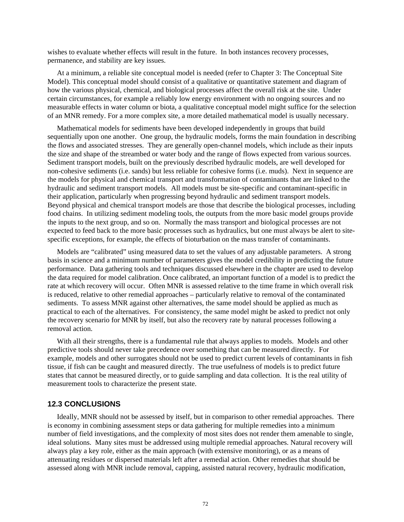wishes to evaluate whether effects will result in the future. In both instances recovery processes, permanence, and stability are key issues.

At a minimum, a reliable site conceptual model is needed (refer to Chapter 3: The Conceptual Site Model). This conceptual model should consist of a qualitative or quantitative statement and diagram of how the various physical, chemical, and biological processes affect the overall risk at the site. Under certain circumstances, for example a reliably low energy environment with no ongoing sources and no measurable effects in water column or biota, a qualitative conceptual model might suffice for the selection of an MNR remedy. For a more complex site, a more detailed mathematical model is usually necessary.

Mathematical models for sediments have been developed independently in groups that build sequentially upon one another. One group, the hydraulic models, forms the main foundation in describing the flows and associated stresses. They are generally open-channel models, which include as their inputs the size and shape of the streambed or water body and the range of flows expected from various sources. Sediment transport models, built on the previously described hydraulic models, are well developed for non-cohesive sediments (i.e. sands) but less reliable for cohesive forms (i.e. muds). Next in sequence are the models for physical and chemical transport and transformation of contaminants that are linked to the hydraulic and sediment transport models. All models must be site-specific and contaminant-specific in their application, particularly when progressing beyond hydraulic and sediment transport models. Beyond physical and chemical transport models are those that describe the biological processes, including food chains. In utilizing sediment modeling tools, the outputs from the more basic model groups provide the inputs to the next group, and so on. Normally the mass transport and biological processes are not expected to feed back to the more basic processes such as hydraulics, but one must always be alert to sitespecific exceptions, for example, the effects of bioturbation on the mass transfer of contaminants.

Models are "calibrated" using measured data to set the values of any adjustable parameters. A strong basis in science and a minimum number of parameters gives the model credibility in predicting the future performance. Data gathering tools and techniques discussed elsewhere in the chapter are used to develop the data required for model calibration. Once calibrated, an important function of a model is to predict the rate at which recovery will occur. Often MNR is assessed relative to the time frame in which overall risk is reduced, relative to other remedial approaches – particularly relative to removal of the contaminated sediments. To assess MNR against other alternatives, the same model should be applied as much as practical to each of the alternatives. For consistency, the same model might be asked to predict not only the recovery scenario for MNR by itself, but also the recovery rate by natural processes following a removal action.

With all their strengths, there is a fundamental rule that always applies to models. Models and other predictive tools should never take precedence over something that can be measured directly. For example, models and other surrogates should not be used to predict current levels of contaminants in fish tissue, if fish can be caught and measured directly. The true usefulness of models is to predict future states that cannot be measured directly, or to guide sampling and data collection. It is the real utility of measurement tools to characterize the present state.

# **12.3 CONCLUSIONS**

Ideally, MNR should not be assessed by itself, but in comparison to other remedial approaches. There is economy in combining assessment steps or data gathering for multiple remedies into a minimum number of field investigations, and the complexity of most sites does not render them amenable to single, ideal solutions. Many sites must be addressed using multiple remedial approaches. Natural recovery will always play a key role, either as the main approach (with extensive monitoring), or as a means of attenuating residues or dispersed materials left after a remedial action. Other remedies that should be assessed along with MNR include removal, capping, assisted natural recovery, hydraulic modification,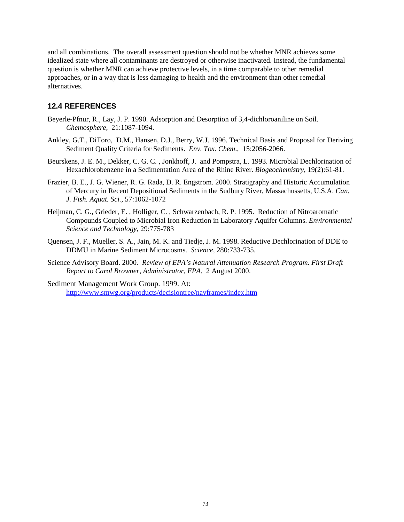and all combinations. The overall assessment question should not be whether MNR achieves some idealized state where all contaminants are destroyed or otherwise inactivated. Instead, the fundamental question is whether MNR can achieve protective levels, in a time comparable to other remedial approaches, or in a way that is less damaging to health and the environment than other remedial alternatives.

# **12.4 REFERENCES**

- Beyerle-Pfnur, R., Lay, J. P. 1990. Adsorption and Desorption of 3,4-dichloroaniline on Soil. *Chemosphere,* 21:1087-1094.
- Ankley, G.T., DiToro, D.M., Hansen, D.J., Berry, W.J. 1996. Technical Basis and Proposal for Deriving Sediment Quality Criteria for Sediments. *Env. Tox. Chem*., 15:2056-2066.
- Beurskens, J. E. M., Dekker, C. G. C. , Jonkhoff, J. and Pompstra, L. 1993. Microbial Dechlorination of Hexachlorobenzene in a Sedimentation Area of the Rhine River. *Biogeochemistry*, 19(2):61-81.
- Frazier, B. E., J. G. Wiener, R. G. Rada, D. R. Engstrom. 2000. Stratigraphy and Historic Accumulation of Mercury in Recent Depositional Sediments in the Sudbury River, Massachussetts, U.S.A. *Can. J. Fish. Aquat. Sci.,* 57:1062-1072
- Heijman, C. G., Grieder, E. , Holliger, C. , Schwarzenbach, R. P. 1995. Reduction of Nitroaromatic Compounds Coupled to Microbial Iron Reduction in Laboratory Aquifer Columns. *Environmental Science and Technology,* 29:775-783
- Quensen, J. F., Mueller, S. A., Jain, M. K. and Tiedje, J. M. 1998. Reductive Dechlorination of DDE to DDMU in Marine Sediment Microcosms. *Science,* 280:733-735.
- Science Advisory Board. 2000*. Review of EPA's Natural Attenuation Research Program*. *First Draft Report to Carol Browner, Administrator, EPA.* 2 August 2000.
- Sediment Management Work Group. 1999. At: [http://www.smwg.org/products/decisiontree/navframes/index.htm](http://www.smwg.org/productsdecisiontree/feasibility /table a-1.pdf)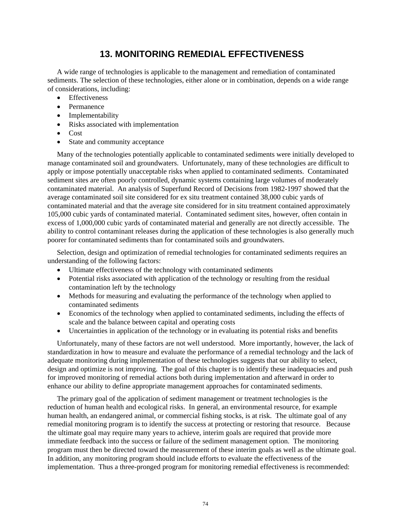# **13. MONITORING REMEDIAL EFFECTIVENESS**

A wide range of technologies is applicable to the management and remediation of contaminated sediments. The selection of these technologies, either alone or in combination, depends on a wide range of considerations, including:

- **Effectiveness**
- Permanence
- Implementability
- Risks associated with implementation
- Cost
- State and community acceptance

Many of the technologies potentially applicable to contaminated sediments were initially developed to manage contaminated soil and groundwaters. Unfortunately, many of these technologies are difficult to apply or impose potentially unacceptable risks when applied to contaminated sediments. Contaminated sediment sites are often poorly controlled, dynamic systems containing large volumes of moderately contaminated material. An analysis of Superfund Record of Decisions from 1982-1997 showed that the average contaminated soil site considered for ex situ treatment contained 38,000 cubic yards of contaminated material and that the average site considered for in situ treatment contained approximately 105,000 cubic yards of contaminated material. Contaminated sediment sites, however, often contain in excess of 1,000,000 cubic yards of contaminated material and generally are not directly accessible. The ability to control contaminant releases during the application of these technologies is also generally much poorer for contaminated sediments than for contaminated soils and groundwaters.

Selection, design and optimization of remedial technologies for contaminated sediments requires an understanding of the following factors:

- Ultimate effectiveness of the technology with contaminated sediments
- Potential risks associated with application of the technology or resulting from the residual contamination left by the technology
- Methods for measuring and evaluating the performance of the technology when applied to contaminated sediments
- Economics of the technology when applied to contaminated sediments, including the effects of scale and the balance between capital and operating costs
- Uncertainties in application of the technology or in evaluating its potential risks and benefits

Unfortunately, many of these factors are not well understood. More importantly, however, the lack of standardization in how to measure and evaluate the performance of a remedial technology and the lack of adequate monitoring during implementation of these technologies suggests that our ability to select, design and optimize is not improving. The goal of this chapter is to identify these inadequacies and push for improved monitoring of remedial actions both during implementation and afterward in order to enhance our ability to define appropriate management approaches for contaminated sediments.

The primary goal of the application of sediment management or treatment technologies is the reduction of human health and ecological risks. In general, an environmental resource, for example human health, an endangered animal, or commercial fishing stocks, is at risk. The ultimate goal of any remedial monitoring program is to identify the success at protecting or restoring that resource. Because the ultimate goal may require many years to achieve, interim goals are required that provide more immediate feedback into the success or failure of the sediment management option. The monitoring program must then be directed toward the measurement of these interim goals as well as the ultimate goal. In addition, any monitoring program should include efforts to evaluate the effectiveness of the implementation. Thus a three-pronged program for monitoring remedial effectiveness is recommended: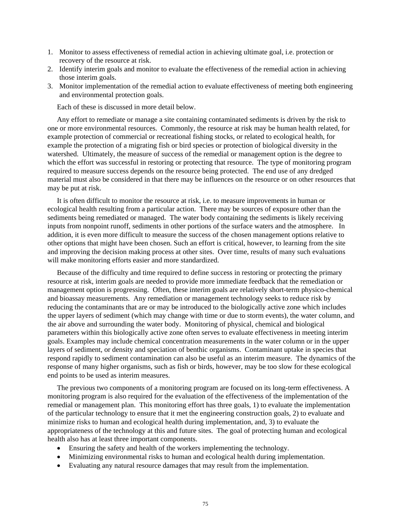- 1. Monitor to assess effectiveness of remedial action in achieving ultimate goal, i.e. protection or recovery of the resource at risk.
- 2. Identify interim goals and monitor to evaluate the effectiveness of the remedial action in achieving those interim goals.
- 3. Monitor implementation of the remedial action to evaluate effectiveness of meeting both engineering and environmental protection goals.

Each of these is discussed in more detail below.

Any effort to remediate or manage a site containing contaminated sediments is driven by the risk to one or more environmental resources. Commonly, the resource at risk may be human health related, for example protection of commercial or recreational fishing stocks, or related to ecological health, for example the protection of a migrating fish or bird species or protection of biological diversity in the watershed. Ultimately, the measure of success of the remedial or management option is the degree to which the effort was successful in restoring or protecting that resource. The type of monitoring program required to measure success depends on the resource being protected. The end use of any dredged material must also be considered in that there may be influences on the resource or on other resources that may be put at risk.

It is often difficult to monitor the resource at risk, i.e. to measure improvements in human or ecological health resulting from a particular action. There may be sources of exposure other than the sediments being remediated or managed. The water body containing the sediments is likely receiving inputs from nonpoint runoff, sediments in other portions of the surface waters and the atmosphere. In addition, it is even more difficult to measure the success of the chosen management options relative to other options that might have been chosen. Such an effort is critical, however, to learning from the site and improving the decision making process at other sites. Over time, results of many such evaluations will make monitoring efforts easier and more standardized.

Because of the difficulty and time required to define success in restoring or protecting the primary resource at risk, interim goals are needed to provide more immediate feedback that the remediation or management option is progressing. Often, these interim goals are relatively short-term physico-chemical and bioassay measurements. Any remediation or management technology seeks to reduce risk by reducing the contaminants that are or may be introduced to the biologically active zone which includes the upper layers of sediment (which may change with time or due to storm events), the water column, and the air above and surrounding the water body. Monitoring of physical, chemical and biological parameters within this biologically active zone often serves to evaluate effectiveness in meeting interim goals. Examples may include chemical concentration measurements in the water column or in the upper layers of sediment, or density and speciation of benthic organisms. Contaminant uptake in species that respond rapidly to sediment contamination can also be useful as an interim measure. The dynamics of the response of many higher organisms, such as fish or birds, however, may be too slow for these ecological end points to be used as interim measures.

The previous two components of a monitoring program are focused on its long-term effectiveness. A monitoring program is also required for the evaluation of the effectiveness of the implementation of the remedial or management plan. This monitoring effort has three goals, 1) to evaluate the implementation of the particular technology to ensure that it met the engineering construction goals, 2) to evaluate and minimize risks to human and ecological health during implementation, and, 3) to evaluate the appropriateness of the technology at this and future sites. The goal of protecting human and ecological health also has at least three important components.

- Ensuring the safety and health of the workers implementing the technology.
- Minimizing environmental risks to human and ecological health during implementation.
- Evaluating any natural resource damages that may result from the implementation.